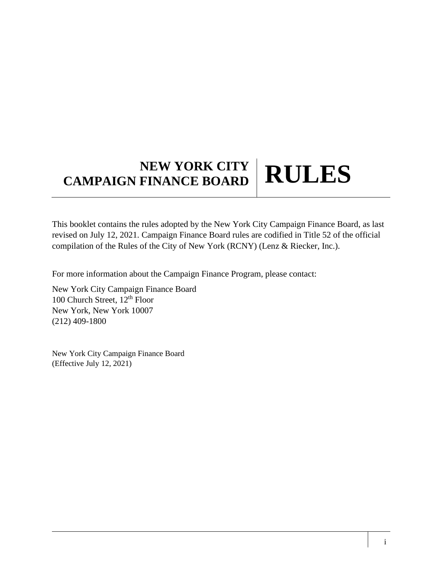# **NEW YORK CITY CAMPAIGN FINANCE BOARD RULES**

This booklet contains the rules adopted by the New York City Campaign Finance Board, as last revised on July 12, 2021. Campaign Finance Board rules are codified in Title 52 of the official compilation of the Rules of the City of New York (RCNY) (Lenz & Riecker, Inc.).

For more information about the Campaign Finance Program, please contact:

New York City Campaign Finance Board 100 Church Street,  $12<sup>th</sup>$  Floor New York, New York 10007 (212) 409-1800

New York City Campaign Finance Board (Effective July 12, 2021)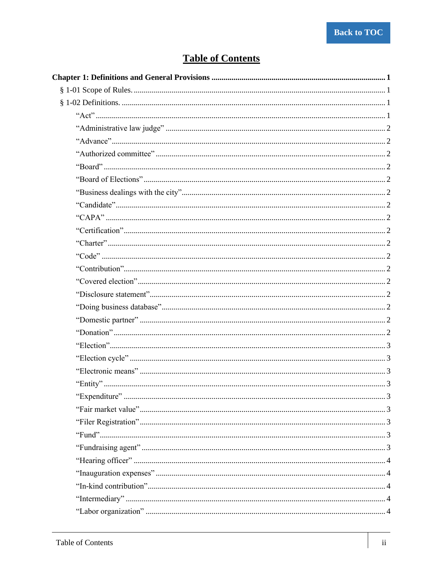# **Table of Contents**

<span id="page-1-0"></span>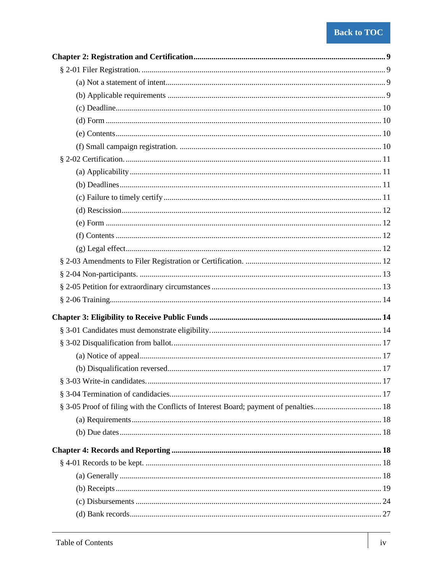| § 3-05 Proof of filing with the Conflicts of Interest Board; payment of penalties 18 |  |
|--------------------------------------------------------------------------------------|--|
|                                                                                      |  |
|                                                                                      |  |
|                                                                                      |  |
|                                                                                      |  |
|                                                                                      |  |
|                                                                                      |  |
|                                                                                      |  |
|                                                                                      |  |
|                                                                                      |  |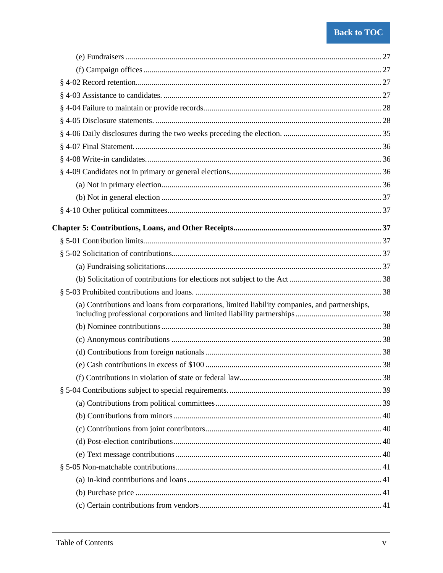| (a) Contributions and loans from corporations, limited liability companies, and partnerships, |  |
|-----------------------------------------------------------------------------------------------|--|
|                                                                                               |  |
|                                                                                               |  |
|                                                                                               |  |
|                                                                                               |  |
|                                                                                               |  |
|                                                                                               |  |
|                                                                                               |  |
|                                                                                               |  |
|                                                                                               |  |
|                                                                                               |  |
|                                                                                               |  |
|                                                                                               |  |
|                                                                                               |  |
|                                                                                               |  |
|                                                                                               |  |
|                                                                                               |  |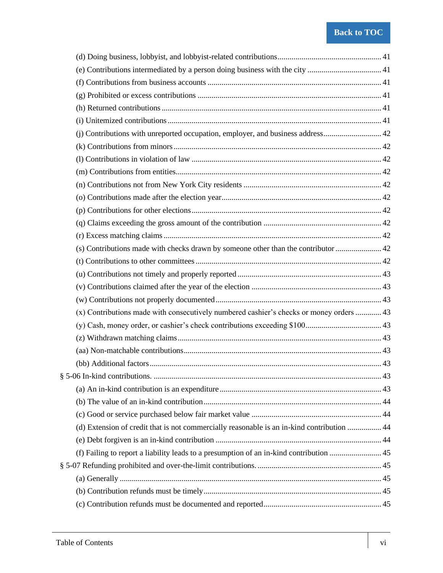| (x) Contributions made with consecutively numbered cashier's checks or money orders  43    |    |
|--------------------------------------------------------------------------------------------|----|
|                                                                                            |    |
|                                                                                            |    |
|                                                                                            |    |
|                                                                                            |    |
|                                                                                            | 43 |
|                                                                                            |    |
|                                                                                            |    |
|                                                                                            |    |
| (d) Extension of credit that is not commercially reasonable is an in-kind contribution  44 |    |
|                                                                                            |    |
|                                                                                            |    |
|                                                                                            |    |
|                                                                                            |    |
|                                                                                            |    |
|                                                                                            |    |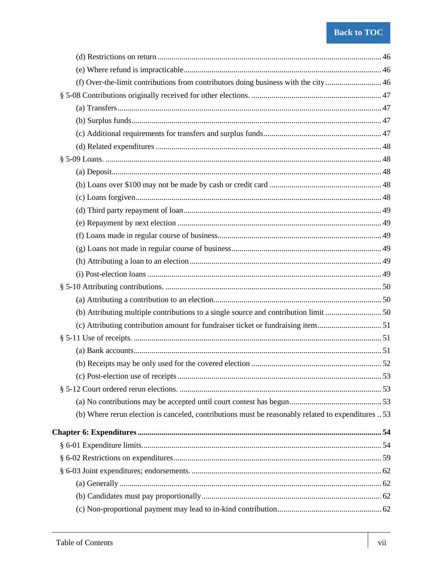| (d) Restrictions on return $\ldots$ $\ldots$ $\ldots$ $\ldots$ $\ldots$ $\ldots$ $\ldots$ $\ldots$ $\ldots$ $\ldots$ $\ldots$ $\ldots$ $\ldots$ $\ldots$ $\ldots$ $\ldots$ $\ldots$ $\ldots$ $\ldots$ $\ldots$ $\ldots$ $\ldots$ $\ldots$ $\ldots$ $\ldots$ $\ldots$ $\ldots$ $\ldots$ $\ldots$ $\ldots$ $\ldots$ $\ldots$ $\$ |  |
|--------------------------------------------------------------------------------------------------------------------------------------------------------------------------------------------------------------------------------------------------------------------------------------------------------------------------------|--|
|                                                                                                                                                                                                                                                                                                                                |  |
| (f) Over-the-limit contributions from contributors doing business with the city 46                                                                                                                                                                                                                                             |  |
|                                                                                                                                                                                                                                                                                                                                |  |
|                                                                                                                                                                                                                                                                                                                                |  |
|                                                                                                                                                                                                                                                                                                                                |  |
|                                                                                                                                                                                                                                                                                                                                |  |
|                                                                                                                                                                                                                                                                                                                                |  |
|                                                                                                                                                                                                                                                                                                                                |  |
|                                                                                                                                                                                                                                                                                                                                |  |
|                                                                                                                                                                                                                                                                                                                                |  |
|                                                                                                                                                                                                                                                                                                                                |  |
|                                                                                                                                                                                                                                                                                                                                |  |
|                                                                                                                                                                                                                                                                                                                                |  |
|                                                                                                                                                                                                                                                                                                                                |  |
|                                                                                                                                                                                                                                                                                                                                |  |
|                                                                                                                                                                                                                                                                                                                                |  |
|                                                                                                                                                                                                                                                                                                                                |  |
|                                                                                                                                                                                                                                                                                                                                |  |
|                                                                                                                                                                                                                                                                                                                                |  |
| (b) Attributing multiple contributions to a single source and contribution limit 50                                                                                                                                                                                                                                            |  |
| (c) Attributing contribution amount for fundraiser ticket or fundraising item51                                                                                                                                                                                                                                                |  |
|                                                                                                                                                                                                                                                                                                                                |  |
|                                                                                                                                                                                                                                                                                                                                |  |
|                                                                                                                                                                                                                                                                                                                                |  |
|                                                                                                                                                                                                                                                                                                                                |  |
|                                                                                                                                                                                                                                                                                                                                |  |
|                                                                                                                                                                                                                                                                                                                                |  |
| (b) Where rerun election is canceled, contributions must be reasonably related to expenditures  53                                                                                                                                                                                                                             |  |
|                                                                                                                                                                                                                                                                                                                                |  |
|                                                                                                                                                                                                                                                                                                                                |  |
|                                                                                                                                                                                                                                                                                                                                |  |
|                                                                                                                                                                                                                                                                                                                                |  |
|                                                                                                                                                                                                                                                                                                                                |  |
|                                                                                                                                                                                                                                                                                                                                |  |
|                                                                                                                                                                                                                                                                                                                                |  |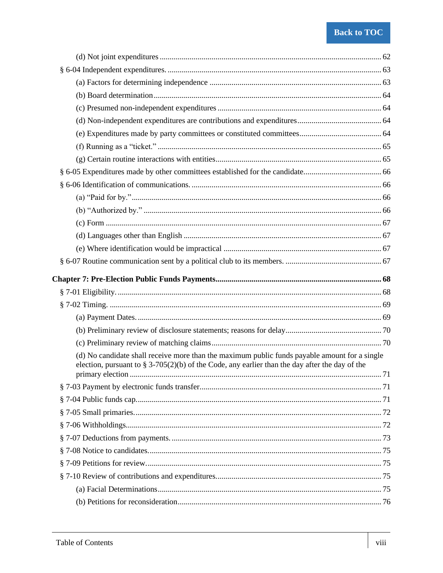| (d) No candidate shall receive more than the maximum public funds payable amount for a single  |  |
|------------------------------------------------------------------------------------------------|--|
| election, pursuant to § 3-705(2)(b) of the Code, any earlier than the day after the day of the |  |
|                                                                                                |  |
|                                                                                                |  |
|                                                                                                |  |
|                                                                                                |  |
|                                                                                                |  |
|                                                                                                |  |
|                                                                                                |  |
|                                                                                                |  |
|                                                                                                |  |
|                                                                                                |  |
|                                                                                                |  |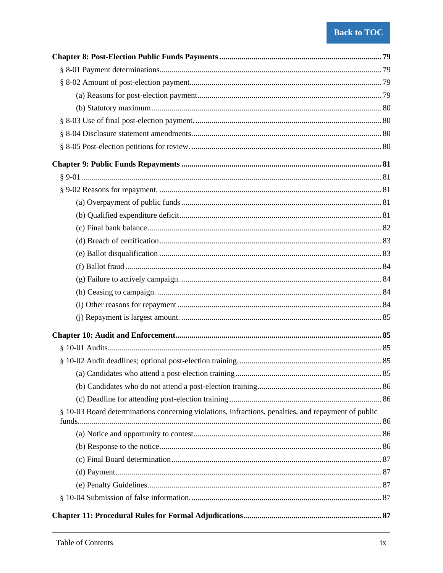| § 10-03 Board determinations concerning violations, infractions, penalties, and repayment of public |  |
|-----------------------------------------------------------------------------------------------------|--|
|                                                                                                     |  |
|                                                                                                     |  |
|                                                                                                     |  |
|                                                                                                     |  |
|                                                                                                     |  |
|                                                                                                     |  |
|                                                                                                     |  |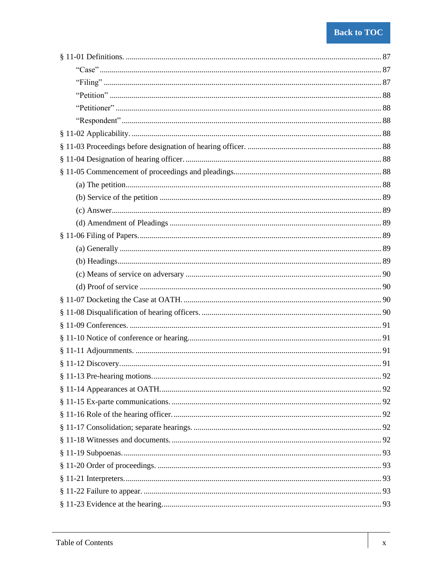| .92 |
|-----|
|     |
|     |
|     |
|     |
|     |
|     |
|     |
|     |
|     |
|     |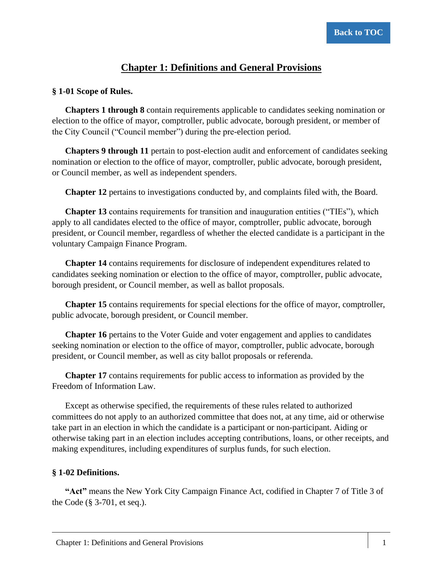# **Chapter 1: Definitions and General Provisions**

#### <span id="page-13-1"></span><span id="page-13-0"></span>**§ 1-01 Scope of Rules.**

**Chapters 1 through 8** contain requirements applicable to candidates seeking nomination or election to the office of mayor, comptroller, public advocate, borough president, or member of the City Council ("Council member") during the pre-election period.

**Chapters 9 through 11** pertain to post-election audit and enforcement of candidates seeking nomination or election to the office of mayor, comptroller, public advocate, borough president, or Council member, as well as independent spenders.

**Chapter 12** pertains to investigations conducted by, and complaints filed with, the Board.

**Chapter 13** contains requirements for transition and inauguration entities ("TIEs"), which apply to all candidates elected to the office of mayor, comptroller, public advocate, borough president, or Council member, regardless of whether the elected candidate is a participant in the voluntary Campaign Finance Program.

**Chapter 14** contains requirements for disclosure of independent expenditures related to candidates seeking nomination or election to the office of mayor, comptroller, public advocate, borough president, or Council member, as well as ballot proposals.

**Chapter 15** contains requirements for special elections for the office of mayor, comptroller, public advocate, borough president, or Council member.

**Chapter 16** pertains to the Voter Guide and voter engagement and applies to candidates seeking nomination or election to the office of mayor, comptroller, public advocate, borough president, or Council member, as well as city ballot proposals or referenda.

**Chapter 17** contains requirements for public access to information as provided by the Freedom of Information Law.

Except as otherwise specified, the requirements of these rules related to authorized committees do not apply to an authorized committee that does not, at any time, aid or otherwise take part in an election in which the candidate is a participant or non-participant. Aiding or otherwise taking part in an election includes accepting contributions, loans, or other receipts, and making expenditures, including expenditures of surplus funds, for such election.

#### <span id="page-13-2"></span>**§ 1-02 Definitions.**

<span id="page-13-3"></span>**"Act"** means the New York City Campaign Finance Act, codified in Chapter 7 of Title 3 of the Code (§ 3-701, et seq.).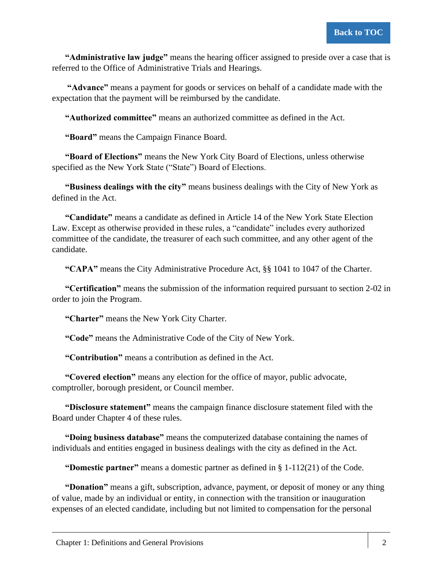<span id="page-14-0"></span>**"Administrative law judge"** means the hearing officer assigned to preside over a case that is referred to the Office of Administrative Trials and Hearings.

<span id="page-14-1"></span>**"Advance"** means a payment for goods or services on behalf of a candidate made with the expectation that the payment will be reimbursed by the candidate.

<span id="page-14-2"></span>**"Authorized committee"** means an authorized committee as defined in the Act.

<span id="page-14-3"></span>**"Board"** means the Campaign Finance Board.

<span id="page-14-4"></span>**"Board of Elections"** means the New York City Board of Elections, unless otherwise specified as the New York State ("State") Board of Elections.

<span id="page-14-5"></span>**"Business dealings with the city"** means business dealings with the City of New York as defined in the Act.

<span id="page-14-6"></span>**"Candidate"** means a candidate as defined in Article 14 of the New York State Election Law. Except as otherwise provided in these rules, a "candidate" includes every authorized committee of the candidate, the treasurer of each such committee, and any other agent of the candidate.

<span id="page-14-7"></span>**"CAPA"** means the City Administrative Procedure Act, §§ 1041 to 1047 of the Charter.

<span id="page-14-8"></span>**"Certification"** means the submission of the information required pursuant to section 2-02 in order to join the Program.

<span id="page-14-9"></span>**"Charter"** means the New York City Charter.

<span id="page-14-10"></span>**"Code"** means the Administrative Code of the City of New York.

<span id="page-14-11"></span>**"Contribution"** means a contribution as defined in the Act.

<span id="page-14-12"></span>**"Covered election"** means any election for the office of mayor, public advocate, comptroller, borough president, or Council member.

<span id="page-14-13"></span>**"Disclosure statement"** means the campaign finance disclosure statement filed with the Board under Chapter 4 of these rules.

<span id="page-14-14"></span>**"Doing business database"** means the computerized database containing the names of individuals and entities engaged in business dealings with the city as defined in the Act.

<span id="page-14-15"></span>**"Domestic partner"** means a domestic partner as defined in § 1-112(21) of the Code.

<span id="page-14-16"></span>**"Donation"** means a gift, subscription, advance, payment, or deposit of money or any thing of value, made by an individual or entity, in connection with the transition or inauguration expenses of an elected candidate, including but not limited to compensation for the personal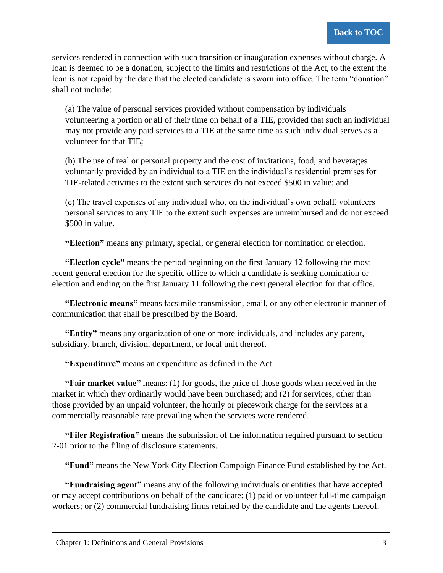services rendered in connection with such transition or inauguration expenses without charge. A loan is deemed to be a donation, subject to the limits and restrictions of the Act, to the extent the loan is not repaid by the date that the elected candidate is sworn into office. The term "donation" shall not include:

(a) The value of personal services provided without compensation by individuals volunteering a portion or all of their time on behalf of a TIE, provided that such an individual may not provide any paid services to a TIE at the same time as such individual serves as a volunteer for that TIE;

(b) The use of real or personal property and the cost of invitations, food, and beverages voluntarily provided by an individual to a TIE on the individual's residential premises for TIE-related activities to the extent such services do not exceed \$500 in value; and

(c) The travel expenses of any individual who, on the individual's own behalf, volunteers personal services to any TIE to the extent such expenses are unreimbursed and do not exceed \$500 in value.

<span id="page-15-0"></span>**"Election"** means any primary, special, or general election for nomination or election.

<span id="page-15-1"></span>**"Election cycle"** means the period beginning on the first January 12 following the most recent general election for the specific office to which a candidate is seeking nomination or election and ending on the first January 11 following the next general election for that office.

<span id="page-15-2"></span>**"Electronic means"** means facsimile transmission, email, or any other electronic manner of communication that shall be prescribed by the Board.

<span id="page-15-3"></span>**"Entity"** means any organization of one or more individuals, and includes any parent, subsidiary, branch, division, department, or local unit thereof.

<span id="page-15-4"></span>**"Expenditure"** means an expenditure as defined in the Act.

<span id="page-15-5"></span>**"Fair market value"** means: (1) for goods, the price of those goods when received in the market in which they ordinarily would have been purchased; and (2) for services, other than those provided by an unpaid volunteer, the hourly or piecework charge for the services at a commercially reasonable rate prevailing when the services were rendered.

<span id="page-15-6"></span>**"Filer Registration"** means the submission of the information required pursuant to section 2-01 prior to the filing of disclosure statements.

<span id="page-15-7"></span>**"Fund"** means the New York City Election Campaign Finance Fund established by the Act.

<span id="page-15-8"></span>**"Fundraising agent"** means any of the following individuals or entities that have accepted or may accept contributions on behalf of the candidate: (1) paid or volunteer full-time campaign workers; or (2) commercial fundraising firms retained by the candidate and the agents thereof.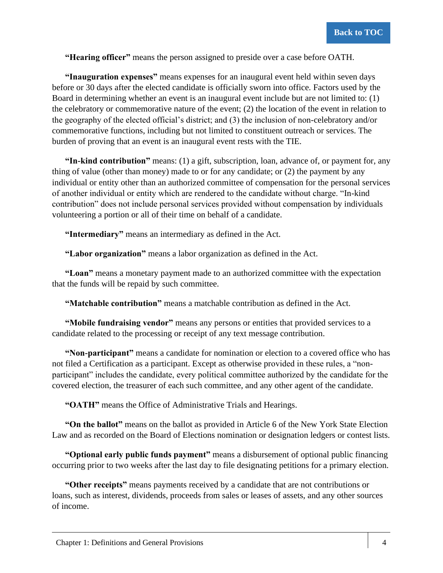<span id="page-16-0"></span>**"Hearing officer"** means the person assigned to preside over a case before OATH.

<span id="page-16-1"></span>**"Inauguration expenses"** means expenses for an inaugural event held within seven days before or 30 days after the elected candidate is officially sworn into office. Factors used by the Board in determining whether an event is an inaugural event include but are not limited to: (1) the celebratory or commemorative nature of the event; (2) the location of the event in relation to the geography of the elected official's district; and (3) the inclusion of non-celebratory and/or commemorative functions, including but not limited to constituent outreach or services. The burden of proving that an event is an inaugural event rests with the TIE.

<span id="page-16-2"></span>**"In-kind contribution"** means: (1) a gift, subscription, loan, advance of, or payment for, any thing of value (other than money) made to or for any candidate; or (2) the payment by any individual or entity other than an authorized committee of compensation for the personal services of another individual or entity which are rendered to the candidate without charge. "In-kind contribution" does not include personal services provided without compensation by individuals volunteering a portion or all of their time on behalf of a candidate.

<span id="page-16-3"></span>**"Intermediary"** means an intermediary as defined in the Act.

<span id="page-16-4"></span>**"Labor organization"** means a labor organization as defined in the Act.

<span id="page-16-5"></span>**"Loan"** means a monetary payment made to an authorized committee with the expectation that the funds will be repaid by such committee.

<span id="page-16-6"></span>**"Matchable contribution"** means a matchable contribution as defined in the Act.

<span id="page-16-7"></span>**"Mobile fundraising vendor"** means any persons or entities that provided services to a candidate related to the processing or receipt of any text message contribution.

<span id="page-16-8"></span>**"Non-participant"** means a candidate for nomination or election to a covered office who has not filed a Certification as a participant. Except as otherwise provided in these rules, a "nonparticipant" includes the candidate, every political committee authorized by the candidate for the covered election, the treasurer of each such committee, and any other agent of the candidate.

<span id="page-16-9"></span>**"OATH"** means the Office of Administrative Trials and Hearings.

<span id="page-16-10"></span>**"On the ballot"** means on the ballot as provided in Article 6 of the New York State Election Law and as recorded on the Board of Elections nomination or designation ledgers or contest lists.

<span id="page-16-11"></span>**"Optional early public funds payment"** means a disbursement of optional public financing occurring prior to two weeks after the last day to file designating petitions for a primary election.

<span id="page-16-12"></span>**"Other receipts"** means payments received by a candidate that are not contributions or loans, such as interest, dividends, proceeds from sales or leases of assets, and any other sources of income.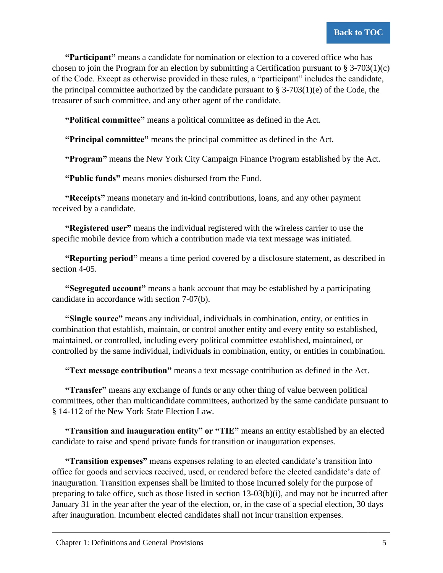<span id="page-17-0"></span>**"Participant"** means a candidate for nomination or election to a covered office who has chosen to join the Program for an election by submitting a Certification pursuant to  $\S 3-703(1)(c)$ of the Code. Except as otherwise provided in these rules, a "participant" includes the candidate, the principal committee authorized by the candidate pursuant to  $\S$  3-703(1)(e) of the Code, the treasurer of such committee, and any other agent of the candidate.

<span id="page-17-1"></span>**"Political committee"** means a political committee as defined in the Act.

<span id="page-17-2"></span>**"Principal committee"** means the principal committee as defined in the Act.

<span id="page-17-3"></span>**"Program"** means the New York City Campaign Finance Program established by the Act.

<span id="page-17-4"></span>**"Public funds"** means monies disbursed from the Fund.

<span id="page-17-5"></span>**"Receipts"** means monetary and in-kind contributions, loans, and any other payment received by a candidate.

<span id="page-17-6"></span>**"Registered user"** means the individual registered with the wireless carrier to use the specific mobile device from which a contribution made via text message was initiated.

<span id="page-17-7"></span>**"Reporting period"** means a time period covered by a disclosure statement, as described in section 4-05.

<span id="page-17-8"></span>**"Segregated account"** means a bank account that may be established by a participating candidate in accordance with section 7-07(b).

<span id="page-17-9"></span>**"Single source"** means any individual, individuals in combination, entity, or entities in combination that establish, maintain, or control another entity and every entity so established, maintained, or controlled, including every political committee established, maintained, or controlled by the same individual, individuals in combination, entity, or entities in combination.

<span id="page-17-10"></span>**"Text message contribution"** means a text message contribution as defined in the Act.

<span id="page-17-11"></span>**"Transfer"** means any exchange of funds or any other thing of value between political committees, other than multicandidate committees, authorized by the same candidate pursuant to § 14-112 of the New York State Election Law.

<span id="page-17-12"></span>**"Transition and inauguration entity" or "TIE"** means an entity established by an elected candidate to raise and spend private funds for transition or inauguration expenses.

<span id="page-17-13"></span>**"Transition expenses"** means expenses relating to an elected candidate's transition into office for goods and services received, used, or rendered before the elected candidate's date of inauguration. Transition expenses shall be limited to those incurred solely for the purpose of preparing to take office, such as those listed in section 13-03(b)(i), and may not be incurred after January 31 in the year after the year of the election, or, in the case of a special election, 30 days after inauguration. Incumbent elected candidates shall not incur transition expenses.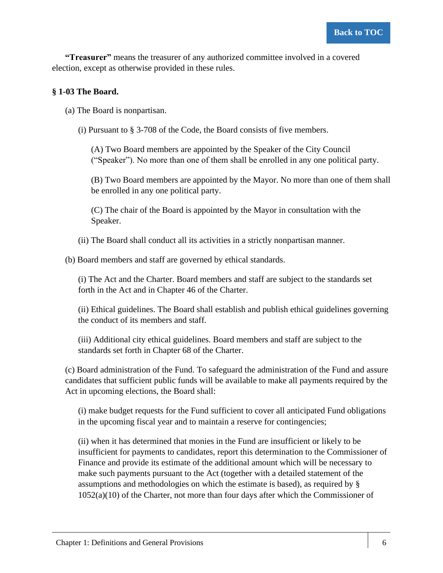<span id="page-18-0"></span>**"Treasurer"** means the treasurer of any authorized committee involved in a covered election, except as otherwise provided in these rules.

### <span id="page-18-1"></span>**§ 1-03 The Board.**

- <span id="page-18-2"></span>(a) The Board is nonpartisan.
	- (i) Pursuant to § 3-708 of the Code, the Board consists of five members.

(A) Two Board members are appointed by the Speaker of the City Council ("Speaker"). No more than one of them shall be enrolled in any one political party.

(B) Two Board members are appointed by the Mayor. No more than one of them shall be enrolled in any one political party.

(C) The chair of the Board is appointed by the Mayor in consultation with the Speaker.

(ii) The Board shall conduct all its activities in a strictly nonpartisan manner.

<span id="page-18-3"></span>(b) Board members and staff are governed by ethical standards.

(i) The Act and the Charter. Board members and staff are subject to the standards set forth in the Act and in Chapter 46 of the Charter.

(ii) Ethical guidelines. The Board shall establish and publish ethical guidelines governing the conduct of its members and staff.

(iii) Additional city ethical guidelines. Board members and staff are subject to the standards set forth in Chapter 68 of the Charter.

<span id="page-18-4"></span>(c) Board administration of the Fund. To safeguard the administration of the Fund and assure candidates that sufficient public funds will be available to make all payments required by the Act in upcoming elections, the Board shall:

(i) make budget requests for the Fund sufficient to cover all anticipated Fund obligations in the upcoming fiscal year and to maintain a reserve for contingencies;

(ii) when it has determined that monies in the Fund are insufficient or likely to be insufficient for payments to candidates, report this determination to the Commissioner of Finance and provide its estimate of the additional amount which will be necessary to make such payments pursuant to the Act (together with a detailed statement of the assumptions and methodologies on which the estimate is based), as required by § 1052(a)(10) of the Charter, not more than four days after which the Commissioner of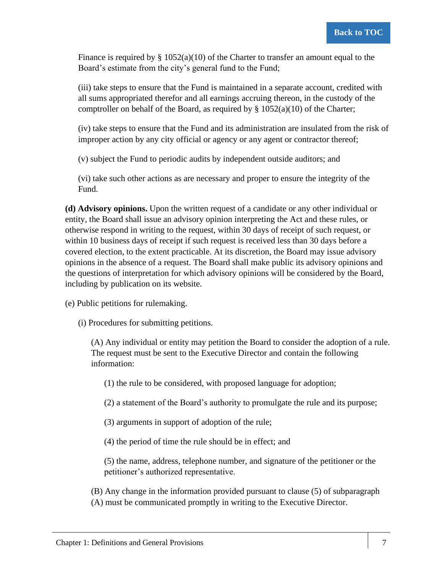Finance is required by  $\S 1052(a)(10)$  of the Charter to transfer an amount equal to the Board's estimate from the city's general fund to the Fund;

(iii) take steps to ensure that the Fund is maintained in a separate account, credited with all sums appropriated therefor and all earnings accruing thereon, in the custody of the comptroller on behalf of the Board, as required by  $\S 1052(a)(10)$  of the Charter;

(iv) take steps to ensure that the Fund and its administration are insulated from the risk of improper action by any city official or agency or any agent or contractor thereof;

(v) subject the Fund to periodic audits by independent outside auditors; and

(vi) take such other actions as are necessary and proper to ensure the integrity of the Fund.

<span id="page-19-0"></span>**(d) Advisory opinions.** Upon the written request of a candidate or any other individual or entity, the Board shall issue an advisory opinion interpreting the Act and these rules, or otherwise respond in writing to the request, within 30 days of receipt of such request, or within 10 business days of receipt if such request is received less than 30 days before a covered election, to the extent practicable. At its discretion, the Board may issue advisory opinions in the absence of a request. The Board shall make public its advisory opinions and the questions of interpretation for which advisory opinions will be considered by the Board, including by publication on its website.

<span id="page-19-1"></span>(e) Public petitions for rulemaking.

(i) Procedures for submitting petitions.

(A) Any individual or entity may petition the Board to consider the adoption of a rule. The request must be sent to the Executive Director and contain the following information:

(1) the rule to be considered, with proposed language for adoption;

(2) a statement of the Board's authority to promulgate the rule and its purpose;

(3) arguments in support of adoption of the rule;

(4) the period of time the rule should be in effect; and

(5) the name, address, telephone number, and signature of the petitioner or the petitioner's authorized representative.

(B) Any change in the information provided pursuant to clause (5) of subparagraph (A) must be communicated promptly in writing to the Executive Director.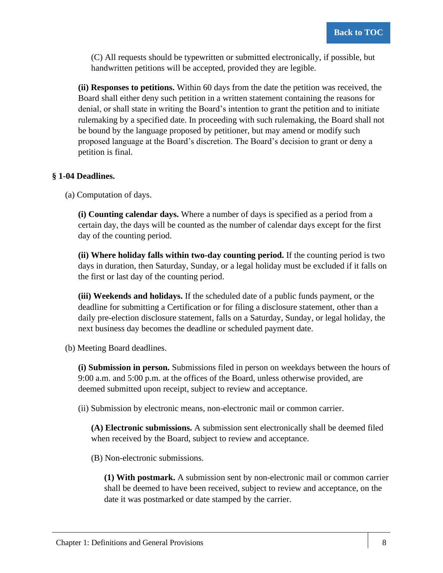(C) All requests should be typewritten or submitted electronically, if possible, but handwritten petitions will be accepted, provided they are legible.

**(ii) Responses to petitions.** Within 60 days from the date the petition was received, the Board shall either deny such petition in a written statement containing the reasons for denial, or shall state in writing the Board's intention to grant the petition and to initiate rulemaking by a specified date. In proceeding with such rulemaking, the Board shall not be bound by the language proposed by petitioner, but may amend or modify such proposed language at the Board's discretion. The Board's decision to grant or deny a petition is final.

#### <span id="page-20-0"></span>**§ 1-04 Deadlines.**

<span id="page-20-1"></span>(a) Computation of days.

**(i) Counting calendar days.** Where a number of days is specified as a period from a certain day, the days will be counted as the number of calendar days except for the first day of the counting period.

**(ii) Where holiday falls within two-day counting period.** If the counting period is two days in duration, then Saturday, Sunday, or a legal holiday must be excluded if it falls on the first or last day of the counting period.

**(iii) Weekends and holidays.** If the scheduled date of a public funds payment, or the deadline for submitting a Certification or for filing a disclosure statement, other than a daily pre-election disclosure statement, falls on a Saturday, Sunday, or legal holiday, the next business day becomes the deadline or scheduled payment date.

<span id="page-20-2"></span>(b) Meeting Board deadlines.

**(i) Submission in person.** Submissions filed in person on weekdays between the hours of 9:00 a.m. and 5:00 p.m. at the offices of the Board, unless otherwise provided, are deemed submitted upon receipt, subject to review and acceptance.

(ii) Submission by electronic means, non-electronic mail or common carrier.

**(A) Electronic submissions.** A submission sent electronically shall be deemed filed when received by the Board, subject to review and acceptance.

(B) Non-electronic submissions.

**(1) With postmark.** A submission sent by non-electronic mail or common carrier shall be deemed to have been received, subject to review and acceptance, on the date it was postmarked or date stamped by the carrier.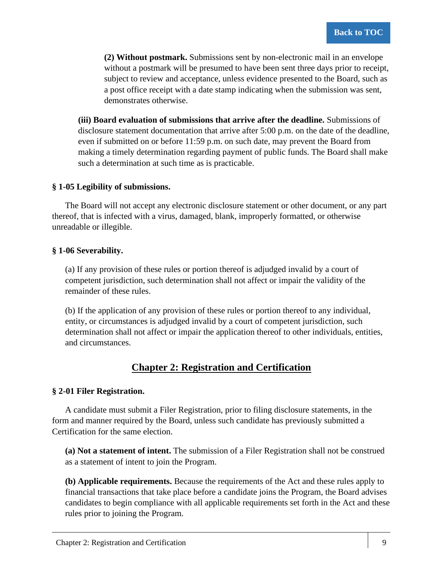**(2) Without postmark.** Submissions sent by non-electronic mail in an envelope without a postmark will be presumed to have been sent three days prior to receipt, subject to review and acceptance, unless evidence presented to the Board, such as a post office receipt with a date stamp indicating when the submission was sent, demonstrates otherwise.

**(iii) Board evaluation of submissions that arrive after the deadline.** Submissions of disclosure statement documentation that arrive after 5:00 p.m. on the date of the deadline, even if submitted on or before 11:59 p.m. on such date, may prevent the Board from making a timely determination regarding payment of public funds. The Board shall make such a determination at such time as is practicable.

#### <span id="page-21-0"></span>**§ 1-05 Legibility of submissions.**

The Board will not accept any electronic disclosure statement or other document, or any part thereof, that is infected with a virus, damaged, blank, improperly formatted, or otherwise unreadable or illegible.

#### <span id="page-21-1"></span>**§ 1-06 Severability.**

(a) If any provision of these rules or portion thereof is adjudged invalid by a court of competent jurisdiction, such determination shall not affect or impair the validity of the remainder of these rules.

(b) If the application of any provision of these rules or portion thereof to any individual, entity, or circumstances is adjudged invalid by a court of competent jurisdiction, such determination shall not affect or impair the application thereof to other individuals, entities, and circumstances.

# **Chapter 2: Registration and Certification**

### <span id="page-21-3"></span><span id="page-21-2"></span>**§ 2-01 Filer Registration.**

A candidate must submit a Filer Registration, prior to filing disclosure statements, in the form and manner required by the Board, unless such candidate has previously submitted a Certification for the same election.

<span id="page-21-4"></span>**(a) Not a statement of intent.** The submission of a Filer Registration shall not be construed as a statement of intent to join the Program.

<span id="page-21-5"></span>**(b) Applicable requirements.** Because the requirements of the Act and these rules apply to financial transactions that take place before a candidate joins the Program, the Board advises candidates to begin compliance with all applicable requirements set forth in the Act and these rules prior to joining the Program.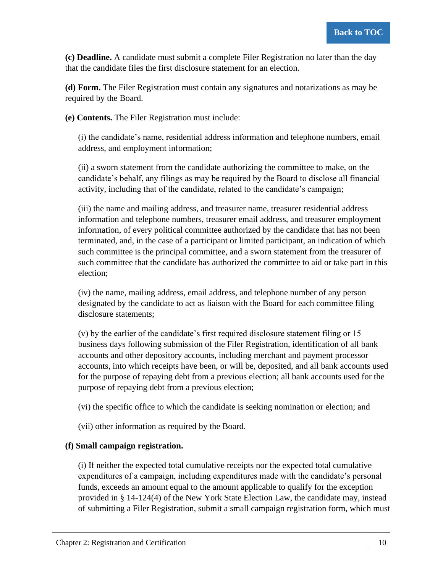<span id="page-22-0"></span>**(c) Deadline.** A candidate must submit a complete Filer Registration no later than the day that the candidate files the first disclosure statement for an election.

<span id="page-22-1"></span>**(d) Form.** The Filer Registration must contain any signatures and notarizations as may be required by the Board.

<span id="page-22-2"></span>**(e) Contents.** The Filer Registration must include:

(i) the candidate's name, residential address information and telephone numbers, email address, and employment information;

(ii) a sworn statement from the candidate authorizing the committee to make, on the candidate's behalf, any filings as may be required by the Board to disclose all financial activity, including that of the candidate, related to the candidate's campaign;

(iii) the name and mailing address, and treasurer name, treasurer residential address information and telephone numbers, treasurer email address, and treasurer employment information, of every political committee authorized by the candidate that has not been terminated, and, in the case of a participant or limited participant, an indication of which such committee is the principal committee, and a sworn statement from the treasurer of such committee that the candidate has authorized the committee to aid or take part in this election;

(iv) the name, mailing address, email address, and telephone number of any person designated by the candidate to act as liaison with the Board for each committee filing disclosure statements;

(v) by the earlier of the candidate's first required disclosure statement filing or 15 business days following submission of the Filer Registration, identification of all bank accounts and other depository accounts, including merchant and payment processor accounts, into which receipts have been, or will be, deposited, and all bank accounts used for the purpose of repaying debt from a previous election; all bank accounts used for the purpose of repaying debt from a previous election;

(vi) the specific office to which the candidate is seeking nomination or election; and

(vii) other information as required by the Board.

### <span id="page-22-3"></span>**(f) Small campaign registration.**

(i) If neither the expected total cumulative receipts nor the expected total cumulative expenditures of a campaign, including expenditures made with the candidate's personal funds, exceeds an amount equal to the amount applicable to qualify for the exception provided in § 14-124(4) of the New York State Election Law, the candidate may, instead of submitting a Filer Registration, submit a small campaign registration form, which must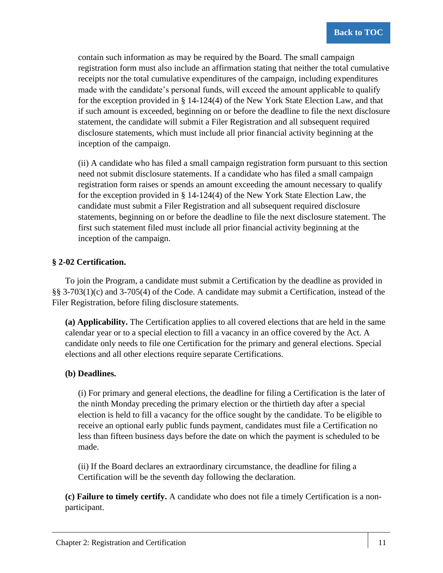contain such information as may be required by the Board. The small campaign registration form must also include an affirmation stating that neither the total cumulative receipts nor the total cumulative expenditures of the campaign, including expenditures made with the candidate's personal funds, will exceed the amount applicable to qualify for the exception provided in § 14-124(4) of the New York State Election Law, and that if such amount is exceeded, beginning on or before the deadline to file the next disclosure statement, the candidate will submit a Filer Registration and all subsequent required disclosure statements, which must include all prior financial activity beginning at the inception of the campaign.

(ii) A candidate who has filed a small campaign registration form pursuant to this section need not submit disclosure statements. If a candidate who has filed a small campaign registration form raises or spends an amount exceeding the amount necessary to qualify for the exception provided in § 14-124(4) of the New York State Election Law, the candidate must submit a Filer Registration and all subsequent required disclosure statements, beginning on or before the deadline to file the next disclosure statement. The first such statement filed must include all prior financial activity beginning at the inception of the campaign.

#### <span id="page-23-0"></span>**§ 2-02 Certification.**

To join the Program, a candidate must submit a Certification by the deadline as provided in §§ 3-703(1)(c) and 3-705(4) of the Code. A candidate may submit a Certification, instead of the Filer Registration, before filing disclosure statements.

<span id="page-23-1"></span>**(a) Applicability.** The Certification applies to all covered elections that are held in the same calendar year or to a special election to fill a vacancy in an office covered by the Act. A candidate only needs to file one Certification for the primary and general elections. Special elections and all other elections require separate Certifications.

#### <span id="page-23-2"></span>**(b) Deadlines.**

(i) For primary and general elections, the deadline for filing a Certification is the later of the ninth Monday preceding the primary election or the thirtieth day after a special election is held to fill a vacancy for the office sought by the candidate. To be eligible to receive an optional early public funds payment, candidates must file a Certification no less than fifteen business days before the date on which the payment is scheduled to be made.

(ii) If the Board declares an extraordinary circumstance, the deadline for filing a Certification will be the seventh day following the declaration.

<span id="page-23-3"></span>**(c) Failure to timely certify.** A candidate who does not file a timely Certification is a nonparticipant.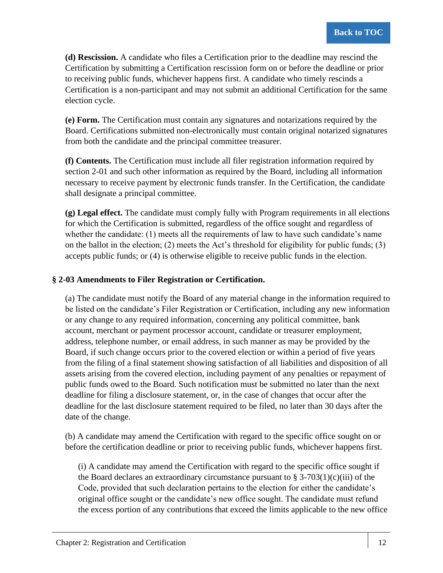<span id="page-24-0"></span>**(d) Rescission.** A candidate who files a Certification prior to the deadline may rescind the Certification by submitting a Certification rescission form on or before the deadline or prior to receiving public funds, whichever happens first. A candidate who timely rescinds a Certification is a non-participant and may not submit an additional Certification for the same election cycle.

<span id="page-24-1"></span>**(e) Form.** The Certification must contain any signatures and notarizations required by the Board. Certifications submitted non-electronically must contain original notarized signatures from both the candidate and the principal committee treasurer.

<span id="page-24-2"></span>**(f) Contents.** The Certification must include all filer registration information required by section 2-01 and such other information as required by the Board, including all information necessary to receive payment by electronic funds transfer. In the Certification, the candidate shall designate a principal committee.

<span id="page-24-3"></span>**(g) Legal effect.** The candidate must comply fully with Program requirements in all elections for which the Certification is submitted, regardless of the office sought and regardless of whether the candidate: (1) meets all the requirements of law to have such candidate's name on the ballot in the election; (2) meets the Act's threshold for eligibility for public funds; (3) accepts public funds; or (4) is otherwise eligible to receive public funds in the election.

#### <span id="page-24-4"></span>**§ 2-03 Amendments to Filer Registration or Certification.**

(a) The candidate must notify the Board of any material change in the information required to be listed on the candidate's Filer Registration or Certification, including any new information or any change to any required information, concerning any political committee, bank account, merchant or payment processor account, candidate or treasurer employment, address, telephone number, or email address, in such manner as may be provided by the Board, if such change occurs prior to the covered election or within a period of five years from the filing of a final statement showing satisfaction of all liabilities and disposition of all assets arising from the covered election, including payment of any penalties or repayment of public funds owed to the Board. Such notification must be submitted no later than the next deadline for filing a disclosure statement, or, in the case of changes that occur after the deadline for the last disclosure statement required to be filed, no later than 30 days after the date of the change.

(b) A candidate may amend the Certification with regard to the specific office sought on or before the certification deadline or prior to receiving public funds, whichever happens first.

(i) A candidate may amend the Certification with regard to the specific office sought if the Board declares an extraordinary circumstance pursuant to  $\S$  3-703(1)(c)(iii) of the Code, provided that such declaration pertains to the election for either the candidate's original office sought or the candidate's new office sought. The candidate must refund the excess portion of any contributions that exceed the limits applicable to the new office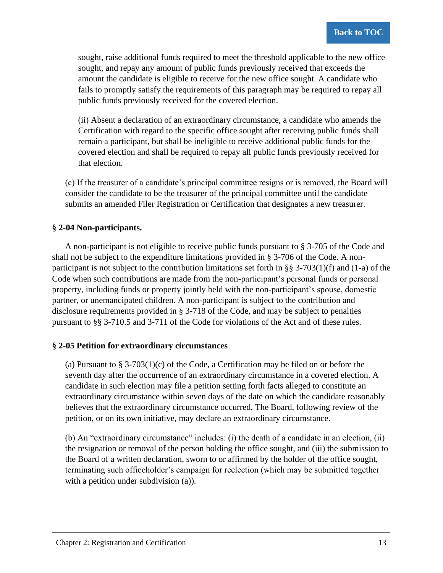sought, raise additional funds required to meet the threshold applicable to the new office sought, and repay any amount of public funds previously received that exceeds the amount the candidate is eligible to receive for the new office sought. A candidate who fails to promptly satisfy the requirements of this paragraph may be required to repay all public funds previously received for the covered election.

(ii) Absent a declaration of an extraordinary circumstance, a candidate who amends the Certification with regard to the specific office sought after receiving public funds shall remain a participant, but shall be ineligible to receive additional public funds for the covered election and shall be required to repay all public funds previously received for that election.

(c) If the treasurer of a candidate's principal committee resigns or is removed, the Board will consider the candidate to be the treasurer of the principal committee until the candidate submits an amended Filer Registration or Certification that designates a new treasurer.

#### <span id="page-25-0"></span>**§ 2-04 Non-participants.**

A non-participant is not eligible to receive public funds pursuant to § 3-705 of the Code and shall not be subject to the expenditure limitations provided in § 3-706 of the Code. A nonparticipant is not subject to the contribution limitations set forth in §§ 3-703(1)(f) and (1-a) of the Code when such contributions are made from the non-participant's personal funds or personal property, including funds or property jointly held with the non-participant's spouse, domestic partner, or unemancipated children. A non-participant is subject to the contribution and disclosure requirements provided in § 3-718 of the Code, and may be subject to penalties pursuant to §§ 3-710.5 and 3-711 of the Code for violations of the Act and of these rules.

#### <span id="page-25-1"></span>**§ 2-05 Petition for extraordinary circumstances**

(a) Pursuant to § 3-703(1)(c) of the Code, a Certification may be filed on or before the seventh day after the occurrence of an extraordinary circumstance in a covered election. A candidate in such election may file a petition setting forth facts alleged to constitute an extraordinary circumstance within seven days of the date on which the candidate reasonably believes that the extraordinary circumstance occurred. The Board, following review of the petition, or on its own initiative, may declare an extraordinary circumstance.

(b) An "extraordinary circumstance" includes: (i) the death of a candidate in an election, (ii) the resignation or removal of the person holding the office sought, and (iii) the submission to the Board of a written declaration, sworn to or affirmed by the holder of the office sought, terminating such officeholder's campaign for reelection (which may be submitted together with a petition under subdivision (a)).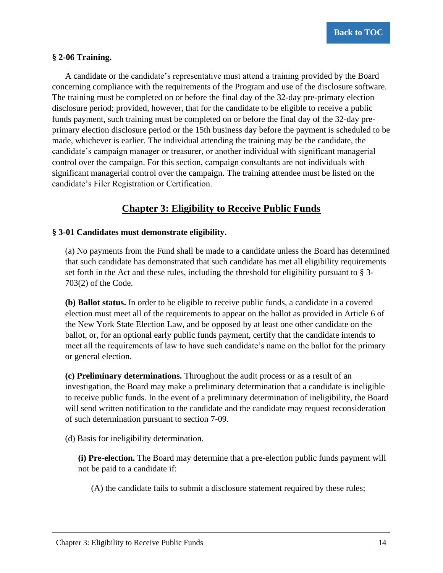#### <span id="page-26-0"></span>**§ 2-06 Training.**

A candidate or the candidate's representative must attend a training provided by the Board concerning compliance with the requirements of the Program and use of the disclosure software. The training must be completed on or before the final day of the 32-day pre-primary election disclosure period; provided, however, that for the candidate to be eligible to receive a public funds payment, such training must be completed on or before the final day of the 32-day preprimary election disclosure period or the 15th business day before the payment is scheduled to be made, whichever is earlier. The individual attending the training may be the candidate, the candidate's campaign manager or treasurer, or another individual with significant managerial control over the campaign. For this section, campaign consultants are not individuals with significant managerial control over the campaign. The training attendee must be listed on the candidate's Filer Registration or Certification.

### **Chapter 3: Eligibility to Receive Public Funds**

#### <span id="page-26-2"></span><span id="page-26-1"></span>**§ 3-01 Candidates must demonstrate eligibility.**

(a) No payments from the Fund shall be made to a candidate unless the Board has determined that such candidate has demonstrated that such candidate has met all eligibility requirements set forth in the Act and these rules, including the threshold for eligibility pursuant to § 3- 703(2) of the Code.

**(b) Ballot status.** In order to be eligible to receive public funds, a candidate in a covered election must meet all of the requirements to appear on the ballot as provided in Article 6 of the New York State Election Law, and be opposed by at least one other candidate on the ballot, or, for an optional early public funds payment, certify that the candidate intends to meet all the requirements of law to have such candidate's name on the ballot for the primary or general election.

**(c) Preliminary determinations.** Throughout the audit process or as a result of an investigation, the Board may make a preliminary determination that a candidate is ineligible to receive public funds. In the event of a preliminary determination of ineligibility, the Board will send written notification to the candidate and the candidate may request reconsideration of such determination pursuant to section 7-09.

(d) Basis for ineligibility determination.

**(i) Pre-election.** The Board may determine that a pre-election public funds payment will not be paid to a candidate if:

(A) the candidate fails to submit a disclosure statement required by these rules;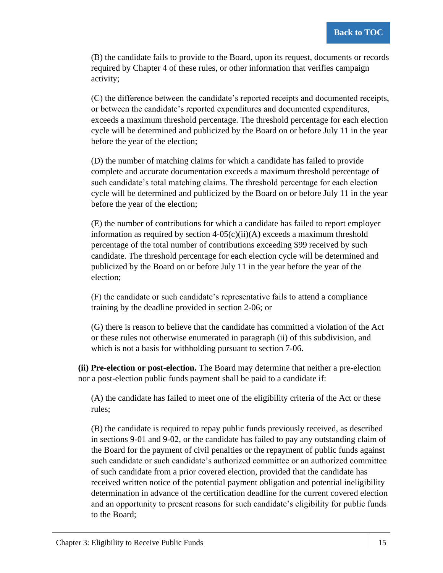(B) the candidate fails to provide to the Board, upon its request, documents or records required by Chapter 4 of these rules, or other information that verifies campaign activity;

(C) the difference between the candidate's reported receipts and documented receipts, or between the candidate's reported expenditures and documented expenditures, exceeds a maximum threshold percentage. The threshold percentage for each election cycle will be determined and publicized by the Board on or before July 11 in the year before the year of the election;

(D) the number of matching claims for which a candidate has failed to provide complete and accurate documentation exceeds a maximum threshold percentage of such candidate's total matching claims. The threshold percentage for each election cycle will be determined and publicized by the Board on or before July 11 in the year before the year of the election;

(E) the number of contributions for which a candidate has failed to report employer information as required by section  $4-05(c)(ii)(A)$  exceeds a maximum threshold percentage of the total number of contributions exceeding \$99 received by such candidate. The threshold percentage for each election cycle will be determined and publicized by the Board on or before July 11 in the year before the year of the election;

(F) the candidate or such candidate's representative fails to attend a compliance training by the deadline provided in section 2-06; or

(G) there is reason to believe that the candidate has committed a violation of the Act or these rules not otherwise enumerated in paragraph (ii) of this subdivision, and which is not a basis for withholding pursuant to section 7-06.

**(ii) Pre-election or post-election.** The Board may determine that neither a pre-election nor a post-election public funds payment shall be paid to a candidate if:

(A) the candidate has failed to meet one of the eligibility criteria of the Act or these rules;

(B) the candidate is required to repay public funds previously received, as described in sections 9-01 and 9-02, or the candidate has failed to pay any outstanding claim of the Board for the payment of civil penalties or the repayment of public funds against such candidate or such candidate's authorized committee or an authorized committee of such candidate from a prior covered election, provided that the candidate has received written notice of the potential payment obligation and potential ineligibility determination in advance of the certification deadline for the current covered election and an opportunity to present reasons for such candidate's eligibility for public funds to the Board;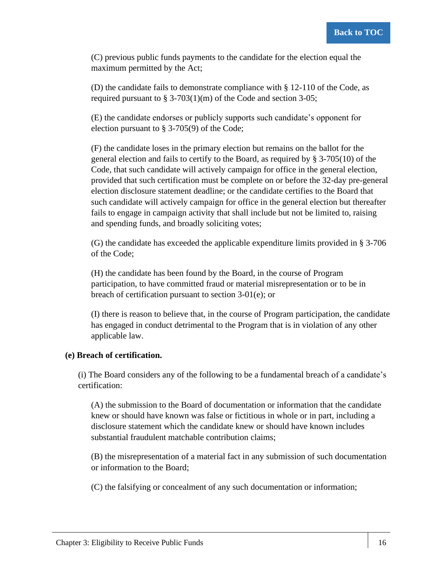(C) previous public funds payments to the candidate for the election equal the maximum permitted by the Act;

(D) the candidate fails to demonstrate compliance with  $\S$  12-110 of the Code, as required pursuant to  $\S 3-703(1)(m)$  of the Code and section 3-05;

(E) the candidate endorses or publicly supports such candidate's opponent for election pursuant to § 3-705(9) of the Code;

(F) the candidate loses in the primary election but remains on the ballot for the general election and fails to certify to the Board, as required by § 3-705(10) of the Code, that such candidate will actively campaign for office in the general election, provided that such certification must be complete on or before the 32-day pre-general election disclosure statement deadline; or the candidate certifies to the Board that such candidate will actively campaign for office in the general election but thereafter fails to engage in campaign activity that shall include but not be limited to, raising and spending funds, and broadly soliciting votes;

(G) the candidate has exceeded the applicable expenditure limits provided in § 3-706 of the Code;

(H) the candidate has been found by the Board, in the course of Program participation, to have committed fraud or material misrepresentation or to be in breach of certification pursuant to section 3-01(e); or

(I) there is reason to believe that, in the course of Program participation, the candidate has engaged in conduct detrimental to the Program that is in violation of any other applicable law.

#### **(e) Breach of certification.**

(i) The Board considers any of the following to be a fundamental breach of a candidate's certification:

(A) the submission to the Board of documentation or information that the candidate knew or should have known was false or fictitious in whole or in part, including a disclosure statement which the candidate knew or should have known includes substantial fraudulent matchable contribution claims;

(B) the misrepresentation of a material fact in any submission of such documentation or information to the Board;

(C) the falsifying or concealment of any such documentation or information;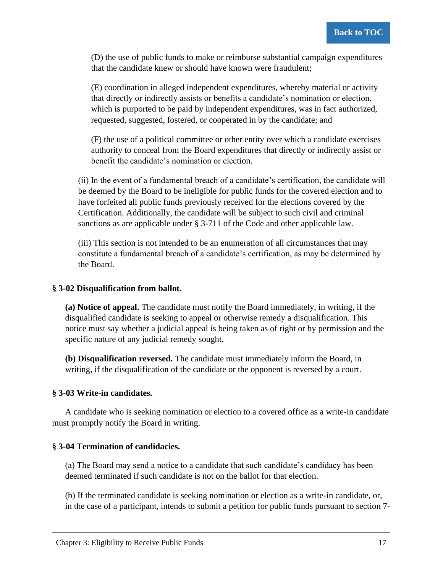(D) the use of public funds to make or reimburse substantial campaign expenditures that the candidate knew or should have known were fraudulent;

(E) coordination in alleged independent expenditures, whereby material or activity that directly or indirectly assists or benefits a candidate's nomination or election, which is purported to be paid by independent expenditures, was in fact authorized, requested, suggested, fostered, or cooperated in by the candidate; and

(F) the use of a political committee or other entity over which a candidate exercises authority to conceal from the Board expenditures that directly or indirectly assist or benefit the candidate's nomination or election.

(ii) In the event of a fundamental breach of a candidate's certification, the candidate will be deemed by the Board to be ineligible for public funds for the covered election and to have forfeited all public funds previously received for the elections covered by the Certification. Additionally, the candidate will be subject to such civil and criminal sanctions as are applicable under § 3-711 of the Code and other applicable law.

(iii) This section is not intended to be an enumeration of all circumstances that may constitute a fundamental breach of a candidate's certification, as may be determined by the Board.

#### <span id="page-29-0"></span>**§ 3-02 Disqualification from ballot.**

<span id="page-29-1"></span>**(a) Notice of appeal.** The candidate must notify the Board immediately, in writing, if the disqualified candidate is seeking to appeal or otherwise remedy a disqualification. This notice must say whether a judicial appeal is being taken as of right or by permission and the specific nature of any judicial remedy sought.

<span id="page-29-2"></span>**(b) Disqualification reversed.** The candidate must immediately inform the Board, in writing, if the disqualification of the candidate or the opponent is reversed by a court.

#### <span id="page-29-3"></span>**§ 3-03 Write-in candidates.**

A candidate who is seeking nomination or election to a covered office as a write-in candidate must promptly notify the Board in writing.

#### <span id="page-29-4"></span>**§ 3-04 Termination of candidacies.**

(a) The Board may send a notice to a candidate that such candidate's candidacy has been deemed terminated if such candidate is not on the ballot for that election.

(b) If the terminated candidate is seeking nomination or election as a write-in candidate, or, in the case of a participant, intends to submit a petition for public funds pursuant to section 7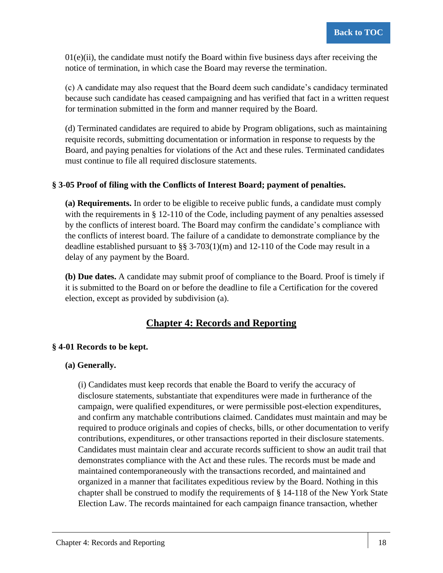$01(e)(ii)$ , the candidate must notify the Board within five business days after receiving the notice of termination, in which case the Board may reverse the termination.

(c) A candidate may also request that the Board deem such candidate's candidacy terminated because such candidate has ceased campaigning and has verified that fact in a written request for termination submitted in the form and manner required by the Board.

(d) Terminated candidates are required to abide by Program obligations, such as maintaining requisite records, submitting documentation or information in response to requests by the Board, and paying penalties for violations of the Act and these rules. Terminated candidates must continue to file all required disclosure statements.

#### <span id="page-30-0"></span>**§ 3-05 Proof of filing with the Conflicts of Interest Board; payment of penalties.**

<span id="page-30-1"></span>**(a) Requirements.** In order to be eligible to receive public funds, a candidate must comply with the requirements in § 12-110 of the Code, including payment of any penalties assessed by the conflicts of interest board. The Board may confirm the candidate's compliance with the conflicts of interest board. The failure of a candidate to demonstrate compliance by the deadline established pursuant to  $\S$ § 3-703(1)(m) and 12-110 of the Code may result in a delay of any payment by the Board.

<span id="page-30-2"></span>**(b) Due dates.** A candidate may submit proof of compliance to the Board. Proof is timely if it is submitted to the Board on or before the deadline to file a Certification for the covered election, except as provided by subdivision (a).

### **Chapter 4: Records and Reporting**

#### <span id="page-30-4"></span><span id="page-30-3"></span>**§ 4-01 Records to be kept.**

#### <span id="page-30-5"></span>**(a) Generally.**

(i) Candidates must keep records that enable the Board to verify the accuracy of disclosure statements, substantiate that expenditures were made in furtherance of the campaign, were qualified expenditures, or were permissible post-election expenditures, and confirm any matchable contributions claimed. Candidates must maintain and may be required to produce originals and copies of checks, bills, or other documentation to verify contributions, expenditures, or other transactions reported in their disclosure statements. Candidates must maintain clear and accurate records sufficient to show an audit trail that demonstrates compliance with the Act and these rules. The records must be made and maintained contemporaneously with the transactions recorded, and maintained and organized in a manner that facilitates expeditious review by the Board. Nothing in this chapter shall be construed to modify the requirements of § 14-118 of the New York State Election Law. The records maintained for each campaign finance transaction, whether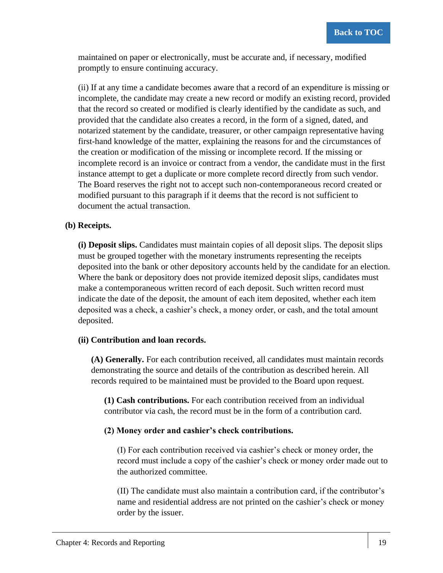maintained on paper or electronically, must be accurate and, if necessary, modified promptly to ensure continuing accuracy.

(ii) If at any time a candidate becomes aware that a record of an expenditure is missing or incomplete, the candidate may create a new record or modify an existing record, provided that the record so created or modified is clearly identified by the candidate as such, and provided that the candidate also creates a record, in the form of a signed, dated, and notarized statement by the candidate, treasurer, or other campaign representative having first-hand knowledge of the matter, explaining the reasons for and the circumstances of the creation or modification of the missing or incomplete record. If the missing or incomplete record is an invoice or contract from a vendor, the candidate must in the first instance attempt to get a duplicate or more complete record directly from such vendor. The Board reserves the right not to accept such non-contemporaneous record created or modified pursuant to this paragraph if it deems that the record is not sufficient to document the actual transaction.

#### <span id="page-31-0"></span>**(b) Receipts.**

**(i) Deposit slips.** Candidates must maintain copies of all deposit slips. The deposit slips must be grouped together with the monetary instruments representing the receipts deposited into the bank or other depository accounts held by the candidate for an election. Where the bank or depository does not provide itemized deposit slips, candidates must make a contemporaneous written record of each deposit. Such written record must indicate the date of the deposit, the amount of each item deposited, whether each item deposited was a check, a cashier's check, a money order, or cash, and the total amount deposited.

#### **(ii) Contribution and loan records.**

**(A) Generally.** For each contribution received, all candidates must maintain records demonstrating the source and details of the contribution as described herein. All records required to be maintained must be provided to the Board upon request.

**(1) Cash contributions.** For each contribution received from an individual contributor via cash, the record must be in the form of a contribution card.

#### **(2) Money order and cashier's check contributions.**

(I) For each contribution received via cashier's check or money order, the record must include a copy of the cashier's check or money order made out to the authorized committee.

(II) The candidate must also maintain a contribution card, if the contributor's name and residential address are not printed on the cashier's check or money order by the issuer.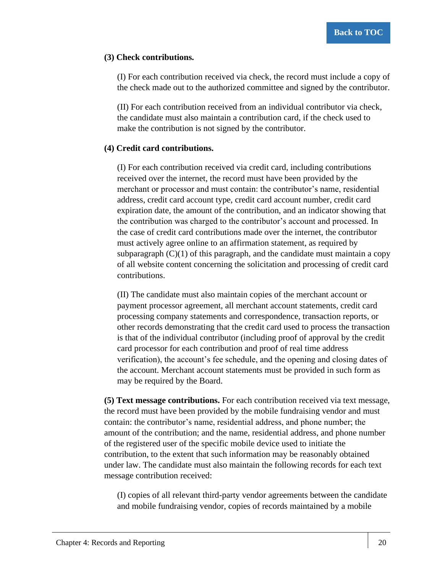#### **(3) Check contributions.**

(I) For each contribution received via check, the record must include a copy of the check made out to the authorized committee and signed by the contributor.

(II) For each contribution received from an individual contributor via check, the candidate must also maintain a contribution card, if the check used to make the contribution is not signed by the contributor.

#### **(4) Credit card contributions.**

(I) For each contribution received via credit card, including contributions received over the internet, the record must have been provided by the merchant or processor and must contain: the contributor's name, residential address, credit card account type, credit card account number, credit card expiration date, the amount of the contribution, and an indicator showing that the contribution was charged to the contributor's account and processed. In the case of credit card contributions made over the internet, the contributor must actively agree online to an affirmation statement, as required by subparagraph  $(C)(1)$  of this paragraph, and the candidate must maintain a copy of all website content concerning the solicitation and processing of credit card contributions.

(II) The candidate must also maintain copies of the merchant account or payment processor agreement, all merchant account statements, credit card processing company statements and correspondence, transaction reports, or other records demonstrating that the credit card used to process the transaction is that of the individual contributor (including proof of approval by the credit card processor for each contribution and proof of real time address verification), the account's fee schedule, and the opening and closing dates of the account. Merchant account statements must be provided in such form as may be required by the Board.

**(5) Text message contributions.** For each contribution received via text message, the record must have been provided by the mobile fundraising vendor and must contain: the contributor's name, residential address, and phone number; the amount of the contribution; and the name, residential address, and phone number of the registered user of the specific mobile device used to initiate the contribution, to the extent that such information may be reasonably obtained under law. The candidate must also maintain the following records for each text message contribution received:

(I) copies of all relevant third-party vendor agreements between the candidate and mobile fundraising vendor, copies of records maintained by a mobile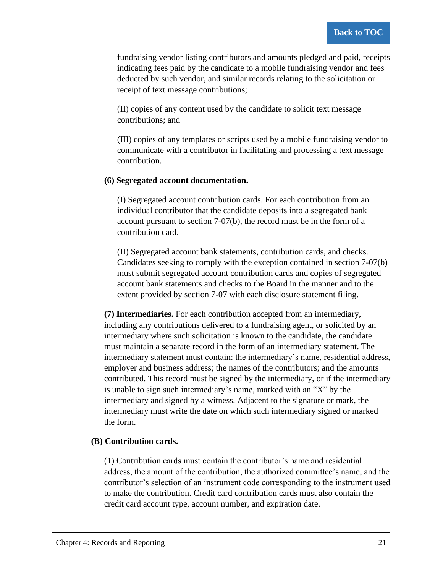fundraising vendor listing contributors and amounts pledged and paid, receipts indicating fees paid by the candidate to a mobile fundraising vendor and fees deducted by such vendor, and similar records relating to the solicitation or receipt of text message contributions;

(II) copies of any content used by the candidate to solicit text message contributions; and

(III) copies of any templates or scripts used by a mobile fundraising vendor to communicate with a contributor in facilitating and processing a text message contribution.

#### **(6) Segregated account documentation.**

(I) Segregated account contribution cards. For each contribution from an individual contributor that the candidate deposits into a segregated bank account pursuant to section 7-07(b), the record must be in the form of a contribution card.

(II) Segregated account bank statements, contribution cards, and checks. Candidates seeking to comply with the exception contained in section 7-07(b) must submit segregated account contribution cards and copies of segregated account bank statements and checks to the Board in the manner and to the extent provided by section 7-07 with each disclosure statement filing.

**(7) Intermediaries.** For each contribution accepted from an intermediary, including any contributions delivered to a fundraising agent, or solicited by an intermediary where such solicitation is known to the candidate, the candidate must maintain a separate record in the form of an intermediary statement. The intermediary statement must contain: the intermediary's name, residential address, employer and business address; the names of the contributors; and the amounts contributed. This record must be signed by the intermediary, or if the intermediary is unable to sign such intermediary's name, marked with an "X" by the intermediary and signed by a witness. Adjacent to the signature or mark, the intermediary must write the date on which such intermediary signed or marked the form.

#### **(B) Contribution cards.**

(1) Contribution cards must contain the contributor's name and residential address, the amount of the contribution, the authorized committee's name, and the contributor's selection of an instrument code corresponding to the instrument used to make the contribution. Credit card contribution cards must also contain the credit card account type, account number, and expiration date.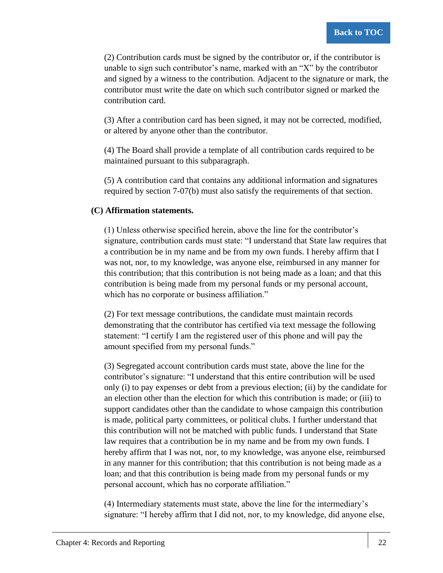(2) Contribution cards must be signed by the contributor or, if the contributor is unable to sign such contributor's name, marked with an "X" by the contributor and signed by a witness to the contribution. Adjacent to the signature or mark, the contributor must write the date on which such contributor signed or marked the contribution card.

(3) After a contribution card has been signed, it may not be corrected, modified, or altered by anyone other than the contributor.

(4) The Board shall provide a template of all contribution cards required to be maintained pursuant to this subparagraph.

(5) A contribution card that contains any additional information and signatures required by section 7-07(b) must also satisfy the requirements of that section.

#### **(C) Affirmation statements.**

(1) Unless otherwise specified herein, above the line for the contributor's signature, contribution cards must state: "I understand that State law requires that a contribution be in my name and be from my own funds. I hereby affirm that I was not, nor, to my knowledge, was anyone else, reimbursed in any manner for this contribution; that this contribution is not being made as a loan; and that this contribution is being made from my personal funds or my personal account, which has no corporate or business affiliation."

(2) For text message contributions, the candidate must maintain records demonstrating that the contributor has certified via text message the following statement: "I certify I am the registered user of this phone and will pay the amount specified from my personal funds."

(3) Segregated account contribution cards must state, above the line for the contributor's signature: "I understand that this entire contribution will be used only (i) to pay expenses or debt from a previous election; (ii) by the candidate for an election other than the election for which this contribution is made; or (iii) to support candidates other than the candidate to whose campaign this contribution is made, political party committees, or political clubs. I further understand that this contribution will not be matched with public funds. I understand that State law requires that a contribution be in my name and be from my own funds. I hereby affirm that I was not, nor, to my knowledge, was anyone else, reimbursed in any manner for this contribution; that this contribution is not being made as a loan; and that this contribution is being made from my personal funds or my personal account, which has no corporate affiliation."

(4) Intermediary statements must state, above the line for the intermediary's signature: "I hereby affirm that I did not, nor, to my knowledge, did anyone else,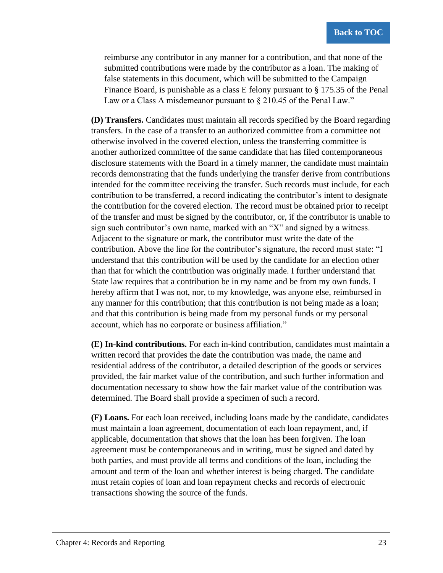reimburse any contributor in any manner for a contribution, and that none of the submitted contributions were made by the contributor as a loan. The making of false statements in this document, which will be submitted to the Campaign Finance Board, is punishable as a class E felony pursuant to § 175.35 of the Penal Law or a Class A misdemeanor pursuant to  $\S 210.45$  of the Penal Law."

**(D) Transfers.** Candidates must maintain all records specified by the Board regarding transfers. In the case of a transfer to an authorized committee from a committee not otherwise involved in the covered election, unless the transferring committee is another authorized committee of the same candidate that has filed contemporaneous disclosure statements with the Board in a timely manner, the candidate must maintain records demonstrating that the funds underlying the transfer derive from contributions intended for the committee receiving the transfer. Such records must include, for each contribution to be transferred, a record indicating the contributor's intent to designate the contribution for the covered election. The record must be obtained prior to receipt of the transfer and must be signed by the contributor, or, if the contributor is unable to sign such contributor's own name, marked with an "X" and signed by a witness. Adjacent to the signature or mark, the contributor must write the date of the contribution. Above the line for the contributor's signature, the record must state: "I understand that this contribution will be used by the candidate for an election other than that for which the contribution was originally made. I further understand that State law requires that a contribution be in my name and be from my own funds. I hereby affirm that I was not, nor, to my knowledge, was anyone else, reimbursed in any manner for this contribution; that this contribution is not being made as a loan; and that this contribution is being made from my personal funds or my personal account, which has no corporate or business affiliation."

**(E) In-kind contributions.** For each in-kind contribution, candidates must maintain a written record that provides the date the contribution was made, the name and residential address of the contributor, a detailed description of the goods or services provided, the fair market value of the contribution, and such further information and documentation necessary to show how the fair market value of the contribution was determined. The Board shall provide a specimen of such a record.

**(F) Loans.** For each loan received, including loans made by the candidate, candidates must maintain a loan agreement, documentation of each loan repayment, and, if applicable, documentation that shows that the loan has been forgiven. The loan agreement must be contemporaneous and in writing, must be signed and dated by both parties, and must provide all terms and conditions of the loan, including the amount and term of the loan and whether interest is being charged. The candidate must retain copies of loan and loan repayment checks and records of electronic transactions showing the source of the funds.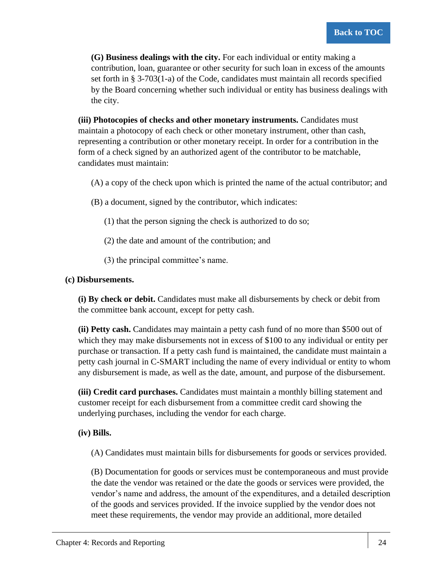**(G) Business dealings with the city.** For each individual or entity making a contribution, loan, guarantee or other security for such loan in excess of the amounts set forth in § 3-703(1-a) of the Code, candidates must maintain all records specified by the Board concerning whether such individual or entity has business dealings with the city.

**(iii) Photocopies of checks and other monetary instruments.** Candidates must maintain a photocopy of each check or other monetary instrument, other than cash, representing a contribution or other monetary receipt. In order for a contribution in the form of a check signed by an authorized agent of the contributor to be matchable, candidates must maintain:

(A) a copy of the check upon which is printed the name of the actual contributor; and

- (B) a document, signed by the contributor, which indicates:
	- (1) that the person signing the check is authorized to do so;
	- (2) the date and amount of the contribution; and
	- (3) the principal committee's name.

#### **(c) Disbursements.**

**(i) By check or debit.** Candidates must make all disbursements by check or debit from the committee bank account, except for petty cash.

**(ii) Petty cash.** Candidates may maintain a petty cash fund of no more than \$500 out of which they may make disbursements not in excess of \$100 to any individual or entity per purchase or transaction. If a petty cash fund is maintained, the candidate must maintain a petty cash journal in C-SMART including the name of every individual or entity to whom any disbursement is made, as well as the date, amount, and purpose of the disbursement.

**(iii) Credit card purchases.** Candidates must maintain a monthly billing statement and customer receipt for each disbursement from a committee credit card showing the underlying purchases, including the vendor for each charge.

**(iv) Bills.**

(A) Candidates must maintain bills for disbursements for goods or services provided.

(B) Documentation for goods or services must be contemporaneous and must provide the date the vendor was retained or the date the goods or services were provided, the vendor's name and address, the amount of the expenditures, and a detailed description of the goods and services provided. If the invoice supplied by the vendor does not meet these requirements, the vendor may provide an additional, more detailed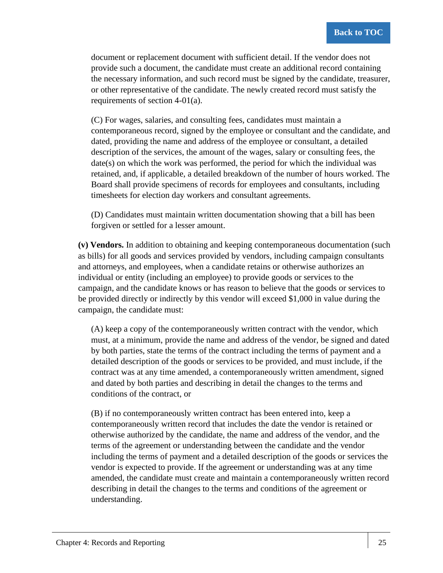document or replacement document with sufficient detail. If the vendor does not provide such a document, the candidate must create an additional record containing the necessary information, and such record must be signed by the candidate, treasurer, or other representative of the candidate. The newly created record must satisfy the requirements of section 4-01(a).

(C) For wages, salaries, and consulting fees, candidates must maintain a contemporaneous record, signed by the employee or consultant and the candidate, and dated, providing the name and address of the employee or consultant, a detailed description of the services, the amount of the wages, salary or consulting fees, the date(s) on which the work was performed, the period for which the individual was retained, and, if applicable, a detailed breakdown of the number of hours worked. The Board shall provide specimens of records for employees and consultants, including timesheets for election day workers and consultant agreements.

(D) Candidates must maintain written documentation showing that a bill has been forgiven or settled for a lesser amount.

**(v) Vendors.** In addition to obtaining and keeping contemporaneous documentation (such as bills) for all goods and services provided by vendors, including campaign consultants and attorneys, and employees, when a candidate retains or otherwise authorizes an individual or entity (including an employee) to provide goods or services to the campaign, and the candidate knows or has reason to believe that the goods or services to be provided directly or indirectly by this vendor will exceed \$1,000 in value during the campaign, the candidate must:

(A) keep a copy of the contemporaneously written contract with the vendor, which must, at a minimum, provide the name and address of the vendor, be signed and dated by both parties, state the terms of the contract including the terms of payment and a detailed description of the goods or services to be provided, and must include, if the contract was at any time amended, a contemporaneously written amendment, signed and dated by both parties and describing in detail the changes to the terms and conditions of the contract, or

(B) if no contemporaneously written contract has been entered into, keep a contemporaneously written record that includes the date the vendor is retained or otherwise authorized by the candidate, the name and address of the vendor, and the terms of the agreement or understanding between the candidate and the vendor including the terms of payment and a detailed description of the goods or services the vendor is expected to provide. If the agreement or understanding was at any time amended, the candidate must create and maintain a contemporaneously written record describing in detail the changes to the terms and conditions of the agreement or understanding.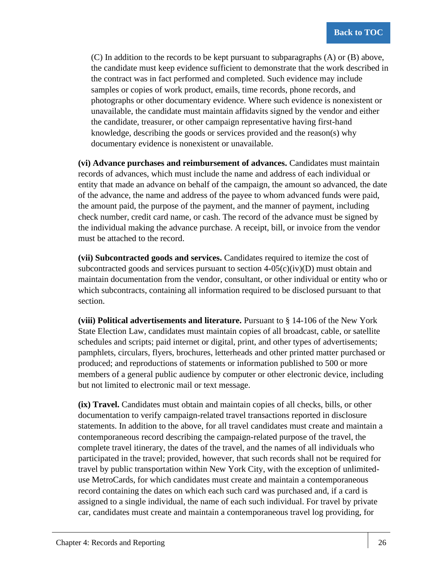(C) In addition to the records to be kept pursuant to subparagraphs (A) or (B) above, the candidate must keep evidence sufficient to demonstrate that the work described in the contract was in fact performed and completed. Such evidence may include samples or copies of work product, emails, time records, phone records, and photographs or other documentary evidence. Where such evidence is nonexistent or unavailable, the candidate must maintain affidavits signed by the vendor and either the candidate, treasurer, or other campaign representative having first-hand knowledge, describing the goods or services provided and the reason(s) why documentary evidence is nonexistent or unavailable.

**(vi) Advance purchases and reimbursement of advances.** Candidates must maintain records of advances, which must include the name and address of each individual or entity that made an advance on behalf of the campaign, the amount so advanced, the date of the advance, the name and address of the payee to whom advanced funds were paid, the amount paid, the purpose of the payment, and the manner of payment, including check number, credit card name, or cash. The record of the advance must be signed by the individual making the advance purchase. A receipt, bill, or invoice from the vendor must be attached to the record.

**(vii) Subcontracted goods and services.** Candidates required to itemize the cost of subcontracted goods and services pursuant to section  $4-05(c)(iv)(D)$  must obtain and maintain documentation from the vendor, consultant, or other individual or entity who or which subcontracts, containing all information required to be disclosed pursuant to that section.

**(viii) Political advertisements and literature.** Pursuant to § 14-106 of the New York State Election Law, candidates must maintain copies of all broadcast, cable, or satellite schedules and scripts; paid internet or digital, print, and other types of advertisements; pamphlets, circulars, flyers, brochures, letterheads and other printed matter purchased or produced; and reproductions of statements or information published to 500 or more members of a general public audience by computer or other electronic device, including but not limited to electronic mail or text message.

**(ix) Travel.** Candidates must obtain and maintain copies of all checks, bills, or other documentation to verify campaign-related travel transactions reported in disclosure statements. In addition to the above, for all travel candidates must create and maintain a contemporaneous record describing the campaign-related purpose of the travel, the complete travel itinerary, the dates of the travel, and the names of all individuals who participated in the travel; provided, however, that such records shall not be required for travel by public transportation within New York City, with the exception of unlimiteduse MetroCards, for which candidates must create and maintain a contemporaneous record containing the dates on which each such card was purchased and, if a card is assigned to a single individual, the name of each such individual. For travel by private car, candidates must create and maintain a contemporaneous travel log providing, for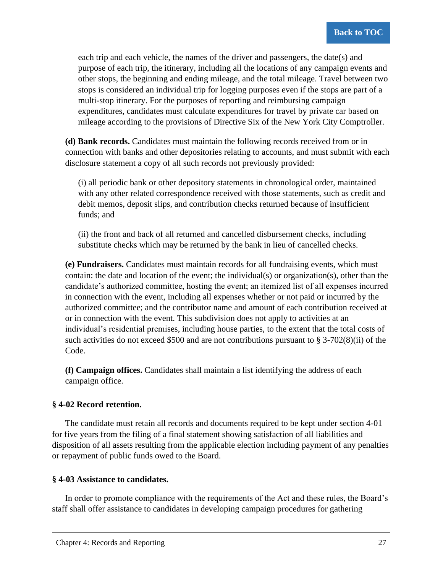each trip and each vehicle, the names of the driver and passengers, the date(s) and purpose of each trip, the itinerary, including all the locations of any campaign events and other stops, the beginning and ending mileage, and the total mileage. Travel between two stops is considered an individual trip for logging purposes even if the stops are part of a multi-stop itinerary. For the purposes of reporting and reimbursing campaign expenditures, candidates must calculate expenditures for travel by private car based on mileage according to the provisions of Directive Six of the New York City Comptroller.

**(d) Bank records.** Candidates must maintain the following records received from or in connection with banks and other depositories relating to accounts, and must submit with each disclosure statement a copy of all such records not previously provided:

(i) all periodic bank or other depository statements in chronological order, maintained with any other related correspondence received with those statements, such as credit and debit memos, deposit slips, and contribution checks returned because of insufficient funds; and

(ii) the front and back of all returned and cancelled disbursement checks, including substitute checks which may be returned by the bank in lieu of cancelled checks.

**(e) Fundraisers.** Candidates must maintain records for all fundraising events, which must contain: the date and location of the event; the individual(s) or organization(s), other than the candidate's authorized committee, hosting the event; an itemized list of all expenses incurred in connection with the event, including all expenses whether or not paid or incurred by the authorized committee; and the contributor name and amount of each contribution received at or in connection with the event. This subdivision does not apply to activities at an individual's residential premises, including house parties, to the extent that the total costs of such activities do not exceed \$500 and are not contributions pursuant to  $\S 3-702(8)(ii)$  of the Code.

**(f) Campaign offices.** Candidates shall maintain a list identifying the address of each campaign office.

# **§ 4-02 Record retention.**

The candidate must retain all records and documents required to be kept under section 4-01 for five years from the filing of a final statement showing satisfaction of all liabilities and disposition of all assets resulting from the applicable election including payment of any penalties or repayment of public funds owed to the Board.

### **§ 4-03 Assistance to candidates.**

In order to promote compliance with the requirements of the Act and these rules, the Board's staff shall offer assistance to candidates in developing campaign procedures for gathering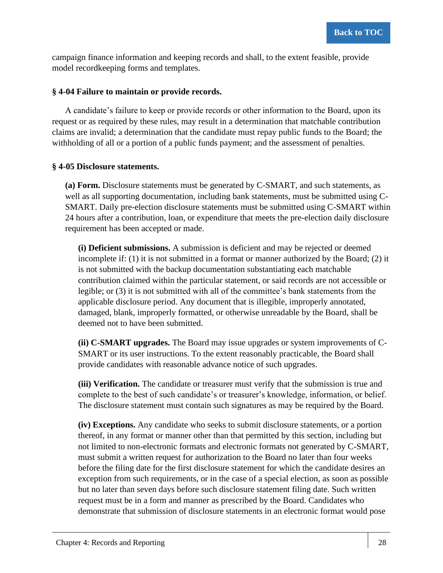campaign finance information and keeping records and shall, to the extent feasible, provide model recordkeeping forms and templates.

### **§ 4-04 Failure to maintain or provide records.**

A candidate's failure to keep or provide records or other information to the Board, upon its request or as required by these rules, may result in a determination that matchable contribution claims are invalid; a determination that the candidate must repay public funds to the Board; the withholding of all or a portion of a public funds payment; and the assessment of penalties.

### **§ 4-05 Disclosure statements.**

**(a) Form.** Disclosure statements must be generated by C-SMART, and such statements, as well as all supporting documentation, including bank statements, must be submitted using C-SMART. Daily pre-election disclosure statements must be submitted using C-SMART within 24 hours after a contribution, loan, or expenditure that meets the pre-election daily disclosure requirement has been accepted or made.

**(i) Deficient submissions.** A submission is deficient and may be rejected or deemed incomplete if: (1) it is not submitted in a format or manner authorized by the Board; (2) it is not submitted with the backup documentation substantiating each matchable contribution claimed within the particular statement, or said records are not accessible or legible; or (3) it is not submitted with all of the committee's bank statements from the applicable disclosure period. Any document that is illegible, improperly annotated, damaged, blank, improperly formatted, or otherwise unreadable by the Board, shall be deemed not to have been submitted.

**(ii) C-SMART upgrades.** The Board may issue upgrades or system improvements of C-SMART or its user instructions. To the extent reasonably practicable, the Board shall provide candidates with reasonable advance notice of such upgrades.

**(iii) Verification.** The candidate or treasurer must verify that the submission is true and complete to the best of such candidate's or treasurer's knowledge, information, or belief. The disclosure statement must contain such signatures as may be required by the Board.

**(iv) Exceptions.** Any candidate who seeks to submit disclosure statements, or a portion thereof, in any format or manner other than that permitted by this section, including but not limited to non-electronic formats and electronic formats not generated by C-SMART, must submit a written request for authorization to the Board no later than four weeks before the filing date for the first disclosure statement for which the candidate desires an exception from such requirements, or in the case of a special election, as soon as possible but no later than seven days before such disclosure statement filing date. Such written request must be in a form and manner as prescribed by the Board. Candidates who demonstrate that submission of disclosure statements in an electronic format would pose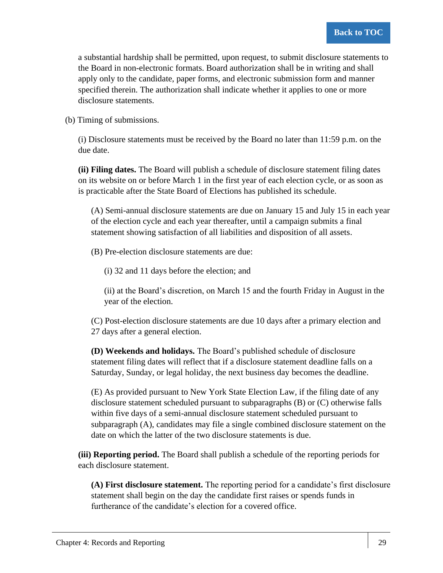a substantial hardship shall be permitted, upon request, to submit disclosure statements to the Board in non-electronic formats. Board authorization shall be in writing and shall apply only to the candidate, paper forms, and electronic submission form and manner specified therein. The authorization shall indicate whether it applies to one or more disclosure statements.

(b) Timing of submissions.

(i) Disclosure statements must be received by the Board no later than 11:59 p.m. on the due date.

**(ii) Filing dates.** The Board will publish a schedule of disclosure statement filing dates on its website on or before March 1 in the first year of each election cycle, or as soon as is practicable after the State Board of Elections has published its schedule.

(A) Semi-annual disclosure statements are due on January 15 and July 15 in each year of the election cycle and each year thereafter, until a campaign submits a final statement showing satisfaction of all liabilities and disposition of all assets.

(B) Pre-election disclosure statements are due:

(i) 32 and 11 days before the election; and

(ii) at the Board's discretion, on March 15 and the fourth Friday in August in the year of the election.

(C) Post-election disclosure statements are due 10 days after a primary election and 27 days after a general election.

**(D) Weekends and holidays.** The Board's published schedule of disclosure statement filing dates will reflect that if a disclosure statement deadline falls on a Saturday, Sunday, or legal holiday, the next business day becomes the deadline.

(E) As provided pursuant to New York State Election Law, if the filing date of any disclosure statement scheduled pursuant to subparagraphs (B) or (C) otherwise falls within five days of a semi-annual disclosure statement scheduled pursuant to subparagraph (A), candidates may file a single combined disclosure statement on the date on which the latter of the two disclosure statements is due.

**(iii) Reporting period.** The Board shall publish a schedule of the reporting periods for each disclosure statement.

**(A) First disclosure statement.** The reporting period for a candidate's first disclosure statement shall begin on the day the candidate first raises or spends funds in furtherance of the candidate's election for a covered office.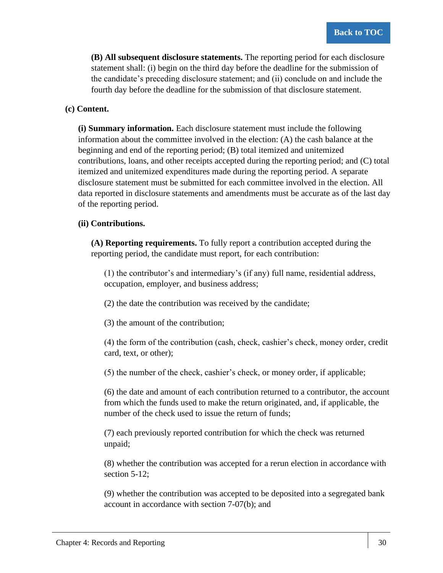**(B) All subsequent disclosure statements.** The reporting period for each disclosure statement shall: (i) begin on the third day before the deadline for the submission of the candidate's preceding disclosure statement; and (ii) conclude on and include the fourth day before the deadline for the submission of that disclosure statement.

### **(c) Content.**

**(i) Summary information.** Each disclosure statement must include the following information about the committee involved in the election: (A) the cash balance at the beginning and end of the reporting period; (B) total itemized and unitemized contributions, loans, and other receipts accepted during the reporting period; and (C) total itemized and unitemized expenditures made during the reporting period. A separate disclosure statement must be submitted for each committee involved in the election. All data reported in disclosure statements and amendments must be accurate as of the last day of the reporting period.

### **(ii) Contributions.**

**(A) Reporting requirements.** To fully report a contribution accepted during the reporting period, the candidate must report, for each contribution:

(1) the contributor's and intermediary's (if any) full name, residential address, occupation, employer, and business address;

(2) the date the contribution was received by the candidate;

(3) the amount of the contribution;

(4) the form of the contribution (cash, check, cashier's check, money order, credit card, text, or other);

(5) the number of the check, cashier's check, or money order, if applicable;

(6) the date and amount of each contribution returned to a contributor, the account from which the funds used to make the return originated, and, if applicable, the number of the check used to issue the return of funds;

(7) each previously reported contribution for which the check was returned unpaid;

(8) whether the contribution was accepted for a rerun election in accordance with section 5-12:

(9) whether the contribution was accepted to be deposited into a segregated bank account in accordance with section 7-07(b); and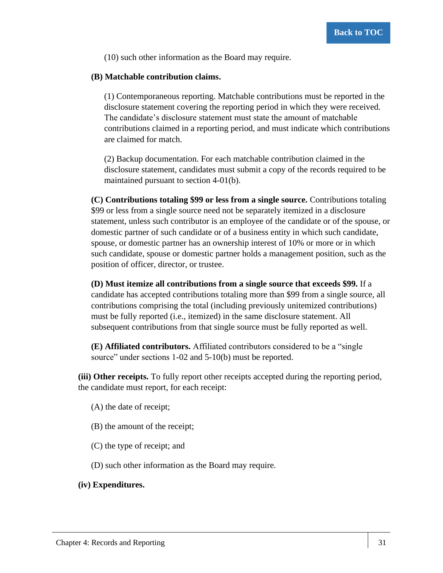(10) such other information as the Board may require.

#### **(B) Matchable contribution claims.**

(1) Contemporaneous reporting. Matchable contributions must be reported in the disclosure statement covering the reporting period in which they were received. The candidate's disclosure statement must state the amount of matchable contributions claimed in a reporting period, and must indicate which contributions are claimed for match.

(2) Backup documentation. For each matchable contribution claimed in the disclosure statement, candidates must submit a copy of the records required to be maintained pursuant to section 4-01(b).

**(C) Contributions totaling \$99 or less from a single source.** Contributions totaling \$99 or less from a single source need not be separately itemized in a disclosure statement, unless such contributor is an employee of the candidate or of the spouse, or domestic partner of such candidate or of a business entity in which such candidate, spouse, or domestic partner has an ownership interest of 10% or more or in which such candidate, spouse or domestic partner holds a management position, such as the position of officer, director, or trustee.

**(D) Must itemize all contributions from a single source that exceeds \$99.** If a candidate has accepted contributions totaling more than \$99 from a single source, all contributions comprising the total (including previously unitemized contributions) must be fully reported (i.e., itemized) in the same disclosure statement. All subsequent contributions from that single source must be fully reported as well.

**(E) Affiliated contributors.** Affiliated contributors considered to be a "single source" under sections 1-02 and 5-10(b) must be reported.

**(iii) Other receipts.** To fully report other receipts accepted during the reporting period, the candidate must report, for each receipt:

(A) the date of receipt;

- (B) the amount of the receipt;
- (C) the type of receipt; and

(D) such other information as the Board may require.

#### **(iv) Expenditures.**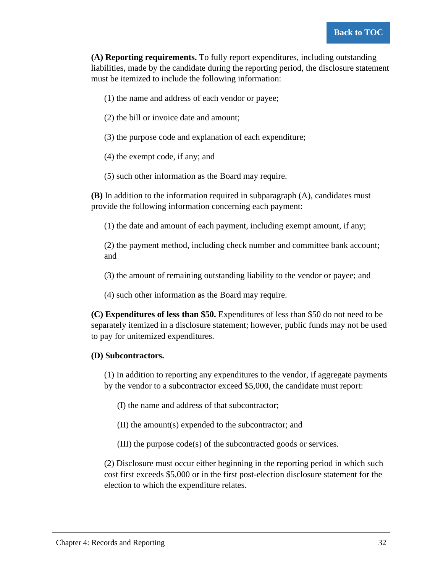**(A) Reporting requirements.** To fully report expenditures, including outstanding liabilities, made by the candidate during the reporting period, the disclosure statement must be itemized to include the following information:

- (1) the name and address of each vendor or payee;
- (2) the bill or invoice date and amount;
- (3) the purpose code and explanation of each expenditure;
- (4) the exempt code, if any; and
- (5) such other information as the Board may require.

**(B)** In addition to the information required in subparagraph (A), candidates must provide the following information concerning each payment:

(1) the date and amount of each payment, including exempt amount, if any;

(2) the payment method, including check number and committee bank account; and

(3) the amount of remaining outstanding liability to the vendor or payee; and

(4) such other information as the Board may require.

**(C) Expenditures of less than \$50.** Expenditures of less than \$50 do not need to be separately itemized in a disclosure statement; however, public funds may not be used to pay for unitemized expenditures.

#### **(D) Subcontractors.**

(1) In addition to reporting any expenditures to the vendor, if aggregate payments by the vendor to a subcontractor exceed \$5,000, the candidate must report:

(I) the name and address of that subcontractor;

(II) the amount(s) expended to the subcontractor; and

(III) the purpose code(s) of the subcontracted goods or services.

(2) Disclosure must occur either beginning in the reporting period in which such cost first exceeds \$5,000 or in the first post-election disclosure statement for the election to which the expenditure relates.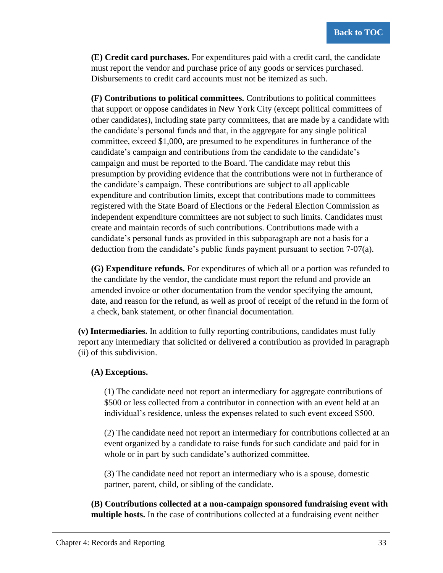**(E) Credit card purchases.** For expenditures paid with a credit card, the candidate must report the vendor and purchase price of any goods or services purchased. Disbursements to credit card accounts must not be itemized as such.

**(F) Contributions to political committees.** Contributions to political committees that support or oppose candidates in New York City (except political committees of other candidates), including state party committees, that are made by a candidate with the candidate's personal funds and that, in the aggregate for any single political committee, exceed \$1,000, are presumed to be expenditures in furtherance of the candidate's campaign and contributions from the candidate to the candidate's campaign and must be reported to the Board. The candidate may rebut this presumption by providing evidence that the contributions were not in furtherance of the candidate's campaign. These contributions are subject to all applicable expenditure and contribution limits, except that contributions made to committees registered with the State Board of Elections or the Federal Election Commission as independent expenditure committees are not subject to such limits. Candidates must create and maintain records of such contributions. Contributions made with a candidate's personal funds as provided in this subparagraph are not a basis for a deduction from the candidate's public funds payment pursuant to section 7-07(a).

**(G) Expenditure refunds.** For expenditures of which all or a portion was refunded to the candidate by the vendor, the candidate must report the refund and provide an amended invoice or other documentation from the vendor specifying the amount, date, and reason for the refund, as well as proof of receipt of the refund in the form of a check, bank statement, or other financial documentation.

**(v) Intermediaries.** In addition to fully reporting contributions, candidates must fully report any intermediary that solicited or delivered a contribution as provided in paragraph (ii) of this subdivision.

### **(A) Exceptions.**

(1) The candidate need not report an intermediary for aggregate contributions of \$500 or less collected from a contributor in connection with an event held at an individual's residence, unless the expenses related to such event exceed \$500.

(2) The candidate need not report an intermediary for contributions collected at an event organized by a candidate to raise funds for such candidate and paid for in whole or in part by such candidate's authorized committee.

(3) The candidate need not report an intermediary who is a spouse, domestic partner, parent, child, or sibling of the candidate.

**(B) Contributions collected at a non-campaign sponsored fundraising event with multiple hosts.** In the case of contributions collected at a fundraising event neither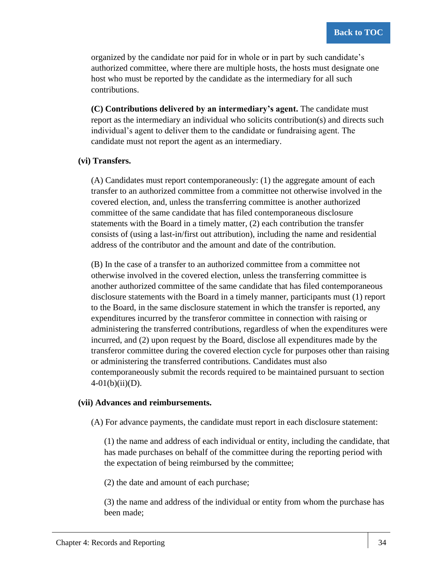organized by the candidate nor paid for in whole or in part by such candidate's authorized committee, where there are multiple hosts, the hosts must designate one host who must be reported by the candidate as the intermediary for all such contributions.

**(C) Contributions delivered by an intermediary's agent.** The candidate must report as the intermediary an individual who solicits contribution(s) and directs such individual's agent to deliver them to the candidate or fundraising agent. The candidate must not report the agent as an intermediary.

#### **(vi) Transfers.**

(A) Candidates must report contemporaneously: (1) the aggregate amount of each transfer to an authorized committee from a committee not otherwise involved in the covered election, and, unless the transferring committee is another authorized committee of the same candidate that has filed contemporaneous disclosure statements with the Board in a timely matter, (2) each contribution the transfer consists of (using a last-in/first out attribution), including the name and residential address of the contributor and the amount and date of the contribution.

(B) In the case of a transfer to an authorized committee from a committee not otherwise involved in the covered election, unless the transferring committee is another authorized committee of the same candidate that has filed contemporaneous disclosure statements with the Board in a timely manner, participants must (1) report to the Board, in the same disclosure statement in which the transfer is reported, any expenditures incurred by the transferor committee in connection with raising or administering the transferred contributions, regardless of when the expenditures were incurred, and (2) upon request by the Board, disclose all expenditures made by the transferor committee during the covered election cycle for purposes other than raising or administering the transferred contributions. Candidates must also contemporaneously submit the records required to be maintained pursuant to section  $4-01(b)(ii)(D)$ .

#### **(vii) Advances and reimbursements.**

(A) For advance payments, the candidate must report in each disclosure statement:

(1) the name and address of each individual or entity, including the candidate, that has made purchases on behalf of the committee during the reporting period with the expectation of being reimbursed by the committee;

(2) the date and amount of each purchase;

(3) the name and address of the individual or entity from whom the purchase has been made;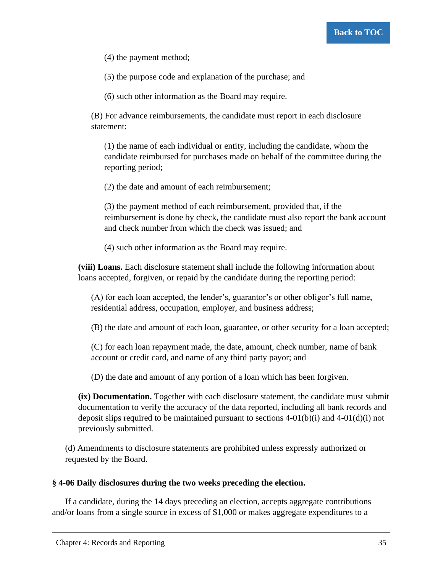(4) the payment method;

(5) the purpose code and explanation of the purchase; and

(6) such other information as the Board may require.

(B) For advance reimbursements, the candidate must report in each disclosure statement:

(1) the name of each individual or entity, including the candidate, whom the candidate reimbursed for purchases made on behalf of the committee during the reporting period;

(2) the date and amount of each reimbursement;

(3) the payment method of each reimbursement, provided that, if the reimbursement is done by check, the candidate must also report the bank account and check number from which the check was issued; and

(4) such other information as the Board may require.

**(viii) Loans.** Each disclosure statement shall include the following information about loans accepted, forgiven, or repaid by the candidate during the reporting period:

(A) for each loan accepted, the lender's, guarantor's or other obligor's full name, residential address, occupation, employer, and business address;

(B) the date and amount of each loan, guarantee, or other security for a loan accepted;

(C) for each loan repayment made, the date, amount, check number, name of bank account or credit card, and name of any third party payor; and

(D) the date and amount of any portion of a loan which has been forgiven.

**(ix) Documentation.** Together with each disclosure statement, the candidate must submit documentation to verify the accuracy of the data reported, including all bank records and deposit slips required to be maintained pursuant to sections  $4-01(b)(i)$  and  $4-01(d)(i)$  not previously submitted.

(d) Amendments to disclosure statements are prohibited unless expressly authorized or requested by the Board.

### **§ 4-06 Daily disclosures during the two weeks preceding the election.**

If a candidate, during the 14 days preceding an election, accepts aggregate contributions and/or loans from a single source in excess of \$1,000 or makes aggregate expenditures to a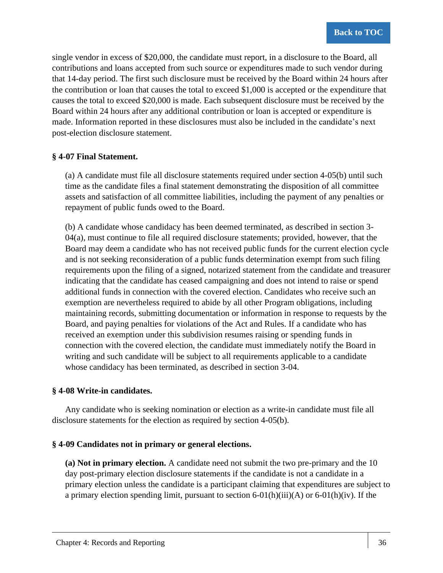single vendor in excess of \$20,000, the candidate must report, in a disclosure to the Board, all contributions and loans accepted from such source or expenditures made to such vendor during that 14-day period. The first such disclosure must be received by the Board within 24 hours after the contribution or loan that causes the total to exceed \$1,000 is accepted or the expenditure that causes the total to exceed \$20,000 is made. Each subsequent disclosure must be received by the Board within 24 hours after any additional contribution or loan is accepted or expenditure is made. Information reported in these disclosures must also be included in the candidate's next post-election disclosure statement.

### **§ 4-07 Final Statement.**

(a) A candidate must file all disclosure statements required under section 4-05(b) until such time as the candidate files a final statement demonstrating the disposition of all committee assets and satisfaction of all committee liabilities, including the payment of any penalties or repayment of public funds owed to the Board.

(b) A candidate whose candidacy has been deemed terminated, as described in section 3- 04(a), must continue to file all required disclosure statements; provided, however, that the Board may deem a candidate who has not received public funds for the current election cycle and is not seeking reconsideration of a public funds determination exempt from such filing requirements upon the filing of a signed, notarized statement from the candidate and treasurer indicating that the candidate has ceased campaigning and does not intend to raise or spend additional funds in connection with the covered election. Candidates who receive such an exemption are nevertheless required to abide by all other Program obligations, including maintaining records, submitting documentation or information in response to requests by the Board, and paying penalties for violations of the Act and Rules. If a candidate who has received an exemption under this subdivision resumes raising or spending funds in connection with the covered election, the candidate must immediately notify the Board in writing and such candidate will be subject to all requirements applicable to a candidate whose candidacy has been terminated, as described in section 3-04.

### **§ 4-08 Write-in candidates.**

Any candidate who is seeking nomination or election as a write-in candidate must file all disclosure statements for the election as required by section 4-05(b).

### **§ 4-09 Candidates not in primary or general elections.**

**(a) Not in primary election.** A candidate need not submit the two pre-primary and the 10 day post-primary election disclosure statements if the candidate is not a candidate in a primary election unless the candidate is a participant claiming that expenditures are subject to a primary election spending limit, pursuant to section  $6-01(h)(iii)(A)$  or  $6-01(h)(iv)$ . If the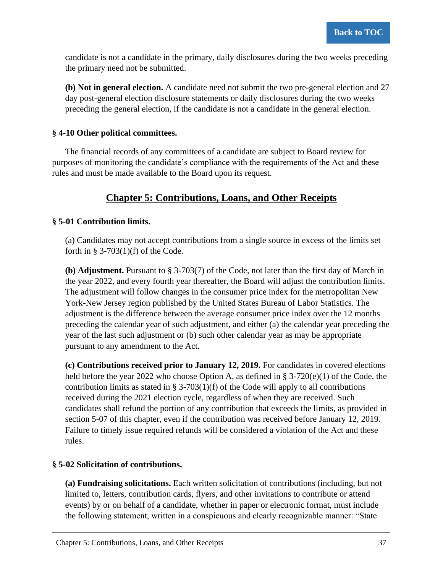candidate is not a candidate in the primary, daily disclosures during the two weeks preceding the primary need not be submitted.

**(b) Not in general election.** A candidate need not submit the two pre-general election and 27 day post-general election disclosure statements or daily disclosures during the two weeks preceding the general election, if the candidate is not a candidate in the general election.

### **§ 4-10 Other political committees.**

The financial records of any committees of a candidate are subject to Board review for purposes of monitoring the candidate's compliance with the requirements of the Act and these rules and must be made available to the Board upon its request.

# **Chapter 5: Contributions, Loans, and Other Receipts**

### **§ 5-01 Contribution limits.**

(a) Candidates may not accept contributions from a single source in excess of the limits set forth in  $\S$  3-703(1)(f) of the Code.

**(b) Adjustment.** Pursuant to § 3-703(7) of the Code, not later than the first day of March in the year 2022, and every fourth year thereafter, the Board will adjust the contribution limits. The adjustment will follow changes in the consumer price index for the metropolitan New York-New Jersey region published by the United States Bureau of Labor Statistics. The adjustment is the difference between the average consumer price index over the 12 months preceding the calendar year of such adjustment, and either (a) the calendar year preceding the year of the last such adjustment or (b) such other calendar year as may be appropriate pursuant to any amendment to the Act.

**(c) Contributions received prior to January 12, 2019.** For candidates in covered elections held before the year 2022 who choose Option A, as defined in § 3-720(e)(1) of the Code, the contribution limits as stated in §  $3-703(1)(f)$  of the Code will apply to all contributions received during the 2021 election cycle, regardless of when they are received. Such candidates shall refund the portion of any contribution that exceeds the limits, as provided in section 5-07 of this chapter, even if the contribution was received before January 12, 2019. Failure to timely issue required refunds will be considered a violation of the Act and these rules.

### **§ 5-02 Solicitation of contributions.**

**(a) Fundraising solicitations.** Each written solicitation of contributions (including, but not limited to, letters, contribution cards, flyers, and other invitations to contribute or attend events) by or on behalf of a candidate, whether in paper or electronic format, must include the following statement, written in a conspicuous and clearly recognizable manner: "State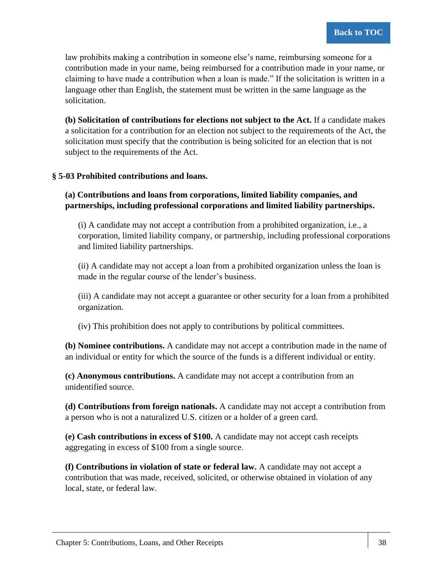law prohibits making a contribution in someone else's name, reimbursing someone for a contribution made in your name, being reimbursed for a contribution made in your name, or claiming to have made a contribution when a loan is made." If the solicitation is written in a language other than English, the statement must be written in the same language as the solicitation.

**(b) Solicitation of contributions for elections not subject to the Act.** If a candidate makes a solicitation for a contribution for an election not subject to the requirements of the Act, the solicitation must specify that the contribution is being solicited for an election that is not subject to the requirements of the Act.

### **§ 5-03 Prohibited contributions and loans.**

**(a) Contributions and loans from corporations, limited liability companies, and partnerships, including professional corporations and limited liability partnerships.**

(i) A candidate may not accept a contribution from a prohibited organization, i.e., a corporation, limited liability company, or partnership, including professional corporations and limited liability partnerships.

(ii) A candidate may not accept a loan from a prohibited organization unless the loan is made in the regular course of the lender's business.

(iii) A candidate may not accept a guarantee or other security for a loan from a prohibited organization.

(iv) This prohibition does not apply to contributions by political committees.

**(b) Nominee contributions.** A candidate may not accept a contribution made in the name of an individual or entity for which the source of the funds is a different individual or entity.

**(c) Anonymous contributions.** A candidate may not accept a contribution from an unidentified source.

**(d) Contributions from foreign nationals.** A candidate may not accept a contribution from a person who is not a naturalized U.S. citizen or a holder of a green card.

**(e) Cash contributions in excess of \$100.** A candidate may not accept cash receipts aggregating in excess of \$100 from a single source.

**(f) Contributions in violation of state or federal law.** A candidate may not accept a contribution that was made, received, solicited, or otherwise obtained in violation of any local, state, or federal law.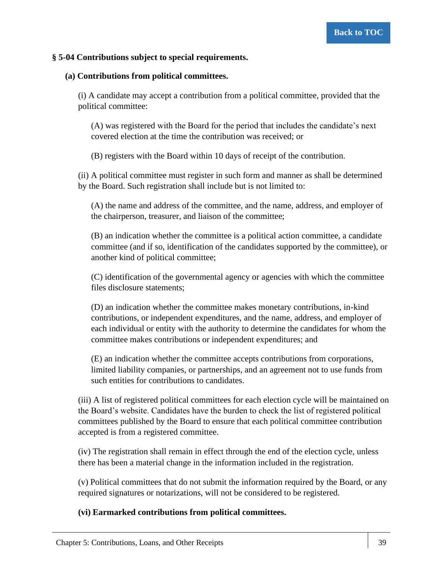### **§ 5-04 Contributions subject to special requirements.**

### **(a) Contributions from political committees.**

(i) A candidate may accept a contribution from a political committee, provided that the political committee:

(A) was registered with the Board for the period that includes the candidate's next covered election at the time the contribution was received; or

(B) registers with the Board within 10 days of receipt of the contribution.

(ii) A political committee must register in such form and manner as shall be determined by the Board. Such registration shall include but is not limited to:

(A) the name and address of the committee, and the name, address, and employer of the chairperson, treasurer, and liaison of the committee;

(B) an indication whether the committee is a political action committee, a candidate committee (and if so, identification of the candidates supported by the committee), or another kind of political committee;

(C) identification of the governmental agency or agencies with which the committee files disclosure statements;

(D) an indication whether the committee makes monetary contributions, in-kind contributions, or independent expenditures, and the name, address, and employer of each individual or entity with the authority to determine the candidates for whom the committee makes contributions or independent expenditures; and

(E) an indication whether the committee accepts contributions from corporations, limited liability companies, or partnerships, and an agreement not to use funds from such entities for contributions to candidates.

(iii) A list of registered political committees for each election cycle will be maintained on the Board's website. Candidates have the burden to check the list of registered political committees published by the Board to ensure that each political committee contribution accepted is from a registered committee.

(iv) The registration shall remain in effect through the end of the election cycle, unless there has been a material change in the information included in the registration.

(v) Political committees that do not submit the information required by the Board, or any required signatures or notarizations, will not be considered to be registered.

### **(vi) Earmarked contributions from political committees.**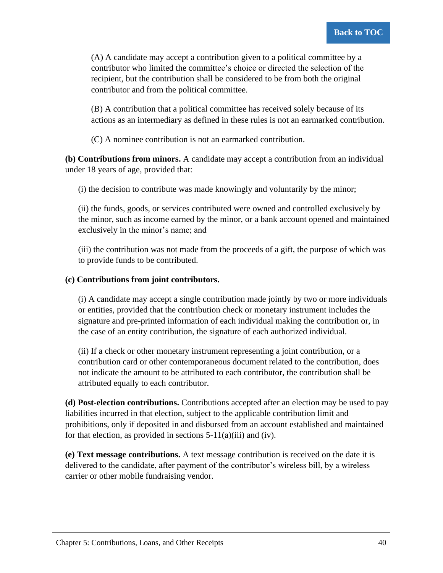(A) A candidate may accept a contribution given to a political committee by a contributor who limited the committee's choice or directed the selection of the recipient, but the contribution shall be considered to be from both the original contributor and from the political committee.

(B) A contribution that a political committee has received solely because of its actions as an intermediary as defined in these rules is not an earmarked contribution.

(C) A nominee contribution is not an earmarked contribution.

**(b) Contributions from minors.** A candidate may accept a contribution from an individual under 18 years of age, provided that:

(i) the decision to contribute was made knowingly and voluntarily by the minor;

(ii) the funds, goods, or services contributed were owned and controlled exclusively by the minor, such as income earned by the minor, or a bank account opened and maintained exclusively in the minor's name; and

(iii) the contribution was not made from the proceeds of a gift, the purpose of which was to provide funds to be contributed.

### **(c) Contributions from joint contributors.**

(i) A candidate may accept a single contribution made jointly by two or more individuals or entities, provided that the contribution check or monetary instrument includes the signature and pre-printed information of each individual making the contribution or, in the case of an entity contribution, the signature of each authorized individual.

(ii) If a check or other monetary instrument representing a joint contribution, or a contribution card or other contemporaneous document related to the contribution, does not indicate the amount to be attributed to each contributor, the contribution shall be attributed equally to each contributor.

**(d) Post-election contributions.** Contributions accepted after an election may be used to pay liabilities incurred in that election, subject to the applicable contribution limit and prohibitions, only if deposited in and disbursed from an account established and maintained for that election, as provided in sections  $5-11(a)(iii)$  and (iv).

**(e) Text message contributions.** A text message contribution is received on the date it is delivered to the candidate, after payment of the contributor's wireless bill, by a wireless carrier or other mobile fundraising vendor.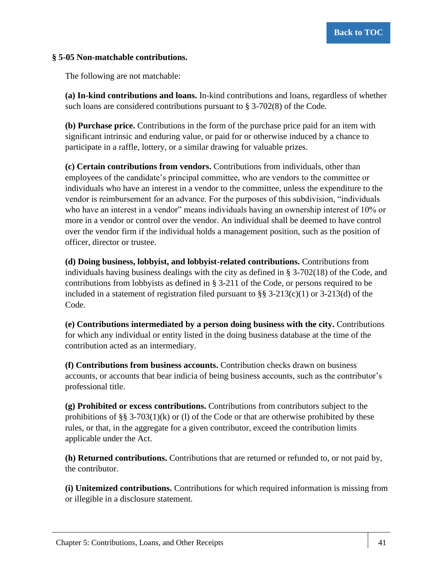### **§ 5-05 Non-matchable contributions.**

The following are not matchable:

**(a) In-kind contributions and loans.** In-kind contributions and loans, regardless of whether such loans are considered contributions pursuant to  $\S 3-702(8)$  of the Code.

**(b) Purchase price.** Contributions in the form of the purchase price paid for an item with significant intrinsic and enduring value, or paid for or otherwise induced by a chance to participate in a raffle, lottery, or a similar drawing for valuable prizes.

**(c) Certain contributions from vendors.** Contributions from individuals, other than employees of the candidate's principal committee, who are vendors to the committee or individuals who have an interest in a vendor to the committee, unless the expenditure to the vendor is reimbursement for an advance. For the purposes of this subdivision, "individuals who have an interest in a vendor" means individuals having an ownership interest of 10% or more in a vendor or control over the vendor. An individual shall be deemed to have control over the vendor firm if the individual holds a management position, such as the position of officer, director or trustee.

**(d) Doing business, lobbyist, and lobbyist-related contributions.** Contributions from individuals having business dealings with the city as defined in  $\S 3-702(18)$  of the Code, and contributions from lobbyists as defined in § 3-211 of the Code, or persons required to be included in a statement of registration filed pursuant to  $\S$ § 3-213(c)(1) or 3-213(d) of the Code.

**(e) Contributions intermediated by a person doing business with the city.** Contributions for which any individual or entity listed in the doing business database at the time of the contribution acted as an intermediary.

**(f) Contributions from business accounts.** Contribution checks drawn on business accounts, or accounts that bear indicia of being business accounts, such as the contributor's professional title.

**(g) Prohibited or excess contributions.** Contributions from contributors subject to the prohibitions of §§ 3-703(1)(k) or (1) of the Code or that are otherwise prohibited by these rules, or that, in the aggregate for a given contributor, exceed the contribution limits applicable under the Act.

**(h) Returned contributions.** Contributions that are returned or refunded to, or not paid by, the contributor.

**(i) Unitemized contributions.** Contributions for which required information is missing from or illegible in a disclosure statement.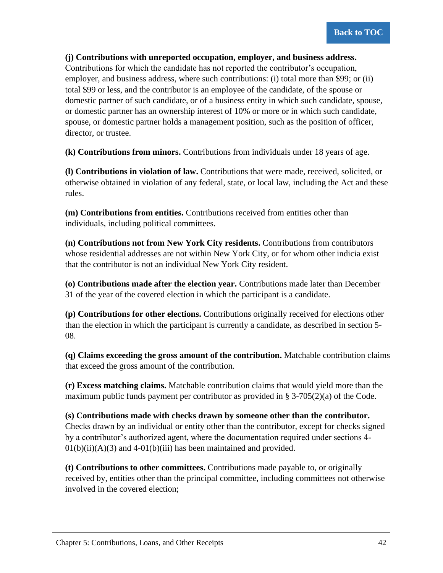### **(j) Contributions with unreported occupation, employer, and business address.**

Contributions for which the candidate has not reported the contributor's occupation, employer, and business address, where such contributions: (i) total more than \$99; or (ii) total \$99 or less, and the contributor is an employee of the candidate, of the spouse or domestic partner of such candidate, or of a business entity in which such candidate, spouse, or domestic partner has an ownership interest of 10% or more or in which such candidate, spouse, or domestic partner holds a management position, such as the position of officer, director, or trustee.

**(k) Contributions from minors.** Contributions from individuals under 18 years of age.

**(l) Contributions in violation of law.** Contributions that were made, received, solicited, or otherwise obtained in violation of any federal, state, or local law, including the Act and these rules.

**(m) Contributions from entities.** Contributions received from entities other than individuals, including political committees.

**(n) Contributions not from New York City residents.** Contributions from contributors whose residential addresses are not within New York City, or for whom other indicia exist that the contributor is not an individual New York City resident.

**(o) Contributions made after the election year.** Contributions made later than December 31 of the year of the covered election in which the participant is a candidate.

**(p) Contributions for other elections.** Contributions originally received for elections other than the election in which the participant is currently a candidate, as described in section 5- 08.

**(q) Claims exceeding the gross amount of the contribution.** Matchable contribution claims that exceed the gross amount of the contribution.

**(r) Excess matching claims.** Matchable contribution claims that would yield more than the maximum public funds payment per contributor as provided in  $\S$  3-705(2)(a) of the Code.

**(s) Contributions made with checks drawn by someone other than the contributor.** Checks drawn by an individual or entity other than the contributor, except for checks signed by a contributor's authorized agent, where the documentation required under sections 4-  $01(b)(ii)(A)(3)$  and  $4-01(b)(iii)$  has been maintained and provided.

**(t) Contributions to other committees.** Contributions made payable to, or originally received by, entities other than the principal committee, including committees not otherwise involved in the covered election;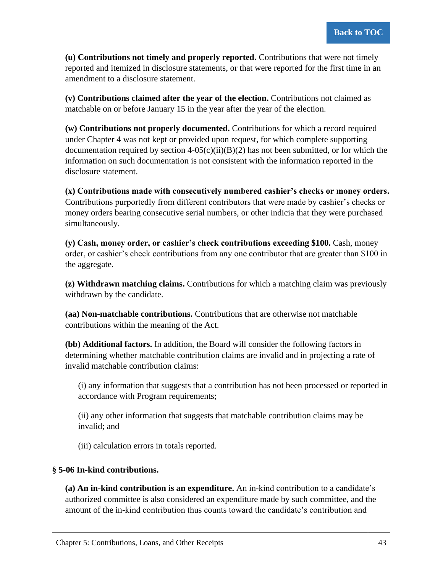**(u) Contributions not timely and properly reported.** Contributions that were not timely reported and itemized in disclosure statements, or that were reported for the first time in an amendment to a disclosure statement.

**(v) Contributions claimed after the year of the election.** Contributions not claimed as matchable on or before January 15 in the year after the year of the election.

**(w) Contributions not properly documented.** Contributions for which a record required under Chapter 4 was not kept or provided upon request, for which complete supporting documentation required by section  $4-05(c)(ii)(B)(2)$  has not been submitted, or for which the information on such documentation is not consistent with the information reported in the disclosure statement.

**(x) Contributions made with consecutively numbered cashier's checks or money orders.** Contributions purportedly from different contributors that were made by cashier's checks or money orders bearing consecutive serial numbers, or other indicia that they were purchased simultaneously.

**(y) Cash, money order, or cashier's check contributions exceeding \$100.** Cash, money order, or cashier's check contributions from any one contributor that are greater than \$100 in the aggregate.

**(z) Withdrawn matching claims.** Contributions for which a matching claim was previously withdrawn by the candidate.

**(aa) Non-matchable contributions.** Contributions that are otherwise not matchable contributions within the meaning of the Act.

**(bb) Additional factors.** In addition, the Board will consider the following factors in determining whether matchable contribution claims are invalid and in projecting a rate of invalid matchable contribution claims:

(i) any information that suggests that a contribution has not been processed or reported in accordance with Program requirements;

(ii) any other information that suggests that matchable contribution claims may be invalid; and

(iii) calculation errors in totals reported.

# **§ 5-06 In-kind contributions.**

**(a) An in-kind contribution is an expenditure.** An in-kind contribution to a candidate's authorized committee is also considered an expenditure made by such committee, and the amount of the in-kind contribution thus counts toward the candidate's contribution and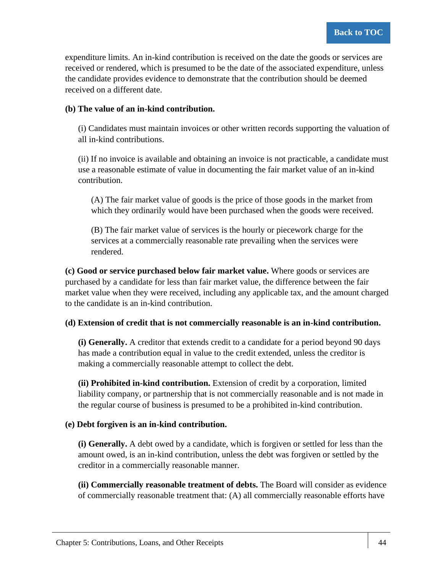expenditure limits. An in-kind contribution is received on the date the goods or services are received or rendered, which is presumed to be the date of the associated expenditure, unless the candidate provides evidence to demonstrate that the contribution should be deemed received on a different date.

### **(b) The value of an in-kind contribution.**

(i) Candidates must maintain invoices or other written records supporting the valuation of all in-kind contributions.

(ii) If no invoice is available and obtaining an invoice is not practicable, a candidate must use a reasonable estimate of value in documenting the fair market value of an in-kind contribution.

(A) The fair market value of goods is the price of those goods in the market from which they ordinarily would have been purchased when the goods were received.

(B) The fair market value of services is the hourly or piecework charge for the services at a commercially reasonable rate prevailing when the services were rendered.

**(c) Good or service purchased below fair market value.** Where goods or services are purchased by a candidate for less than fair market value, the difference between the fair market value when they were received, including any applicable tax, and the amount charged to the candidate is an in-kind contribution.

### **(d) Extension of credit that is not commercially reasonable is an in-kind contribution.**

**(i) Generally.** A creditor that extends credit to a candidate for a period beyond 90 days has made a contribution equal in value to the credit extended, unless the creditor is making a commercially reasonable attempt to collect the debt.

**(ii) Prohibited in-kind contribution.** Extension of credit by a corporation, limited liability company, or partnership that is not commercially reasonable and is not made in the regular course of business is presumed to be a prohibited in-kind contribution.

# **(e) Debt forgiven is an in-kind contribution.**

**(i) Generally.** A debt owed by a candidate, which is forgiven or settled for less than the amount owed, is an in-kind contribution, unless the debt was forgiven or settled by the creditor in a commercially reasonable manner.

**(ii) Commercially reasonable treatment of debts.** The Board will consider as evidence of commercially reasonable treatment that: (A) all commercially reasonable efforts have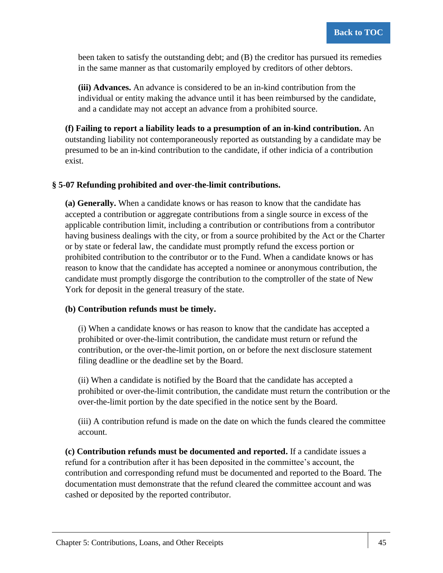been taken to satisfy the outstanding debt; and (B) the creditor has pursued its remedies in the same manner as that customarily employed by creditors of other debtors.

**(iii) Advances.** An advance is considered to be an in-kind contribution from the individual or entity making the advance until it has been reimbursed by the candidate, and a candidate may not accept an advance from a prohibited source.

**(f) Failing to report a liability leads to a presumption of an in-kind contribution.** An outstanding liability not contemporaneously reported as outstanding by a candidate may be presumed to be an in-kind contribution to the candidate, if other indicia of a contribution exist.

### **§ 5-07 Refunding prohibited and over-the-limit contributions.**

**(a) Generally.** When a candidate knows or has reason to know that the candidate has accepted a contribution or aggregate contributions from a single source in excess of the applicable contribution limit, including a contribution or contributions from a contributor having business dealings with the city, or from a source prohibited by the Act or the Charter or by state or federal law, the candidate must promptly refund the excess portion or prohibited contribution to the contributor or to the Fund. When a candidate knows or has reason to know that the candidate has accepted a nominee or anonymous contribution, the candidate must promptly disgorge the contribution to the comptroller of the state of New York for deposit in the general treasury of the state.

### **(b) Contribution refunds must be timely.**

(i) When a candidate knows or has reason to know that the candidate has accepted a prohibited or over-the-limit contribution, the candidate must return or refund the contribution, or the over-the-limit portion, on or before the next disclosure statement filing deadline or the deadline set by the Board.

(ii) When a candidate is notified by the Board that the candidate has accepted a prohibited or over-the-limit contribution, the candidate must return the contribution or the over-the-limit portion by the date specified in the notice sent by the Board.

(iii) A contribution refund is made on the date on which the funds cleared the committee account.

**(c) Contribution refunds must be documented and reported.** If a candidate issues a refund for a contribution after it has been deposited in the committee's account, the contribution and corresponding refund must be documented and reported to the Board. The documentation must demonstrate that the refund cleared the committee account and was cashed or deposited by the reported contributor.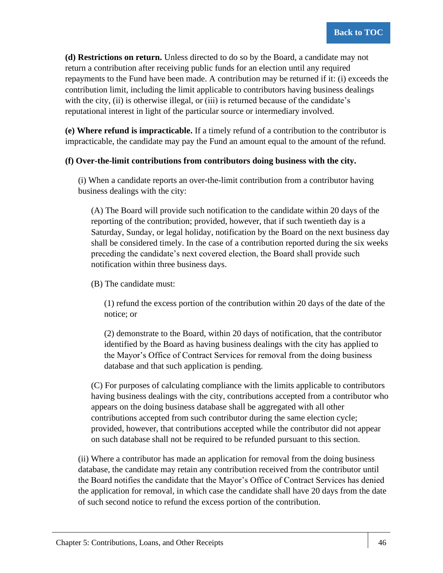**(d) Restrictions on return.** Unless directed to do so by the Board, a candidate may not return a contribution after receiving public funds for an election until any required repayments to the Fund have been made. A contribution may be returned if it: (i) exceeds the contribution limit, including the limit applicable to contributors having business dealings with the city, (ii) is otherwise illegal, or (iii) is returned because of the candidate's reputational interest in light of the particular source or intermediary involved.

**(e) Where refund is impracticable.** If a timely refund of a contribution to the contributor is impracticable, the candidate may pay the Fund an amount equal to the amount of the refund.

### **(f) Over-the-limit contributions from contributors doing business with the city.**

(i) When a candidate reports an over-the-limit contribution from a contributor having business dealings with the city:

(A) The Board will provide such notification to the candidate within 20 days of the reporting of the contribution; provided, however, that if such twentieth day is a Saturday, Sunday, or legal holiday, notification by the Board on the next business day shall be considered timely. In the case of a contribution reported during the six weeks preceding the candidate's next covered election, the Board shall provide such notification within three business days.

(B) The candidate must:

(1) refund the excess portion of the contribution within 20 days of the date of the notice; or

(2) demonstrate to the Board, within 20 days of notification, that the contributor identified by the Board as having business dealings with the city has applied to the Mayor's Office of Contract Services for removal from the doing business database and that such application is pending.

(C) For purposes of calculating compliance with the limits applicable to contributors having business dealings with the city, contributions accepted from a contributor who appears on the doing business database shall be aggregated with all other contributions accepted from such contributor during the same election cycle; provided, however, that contributions accepted while the contributor did not appear on such database shall not be required to be refunded pursuant to this section.

(ii) Where a contributor has made an application for removal from the doing business database, the candidate may retain any contribution received from the contributor until the Board notifies the candidate that the Mayor's Office of Contract Services has denied the application for removal, in which case the candidate shall have 20 days from the date of such second notice to refund the excess portion of the contribution.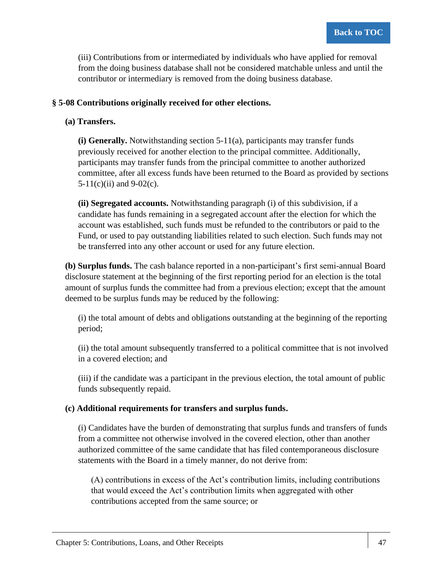(iii) Contributions from or intermediated by individuals who have applied for removal from the doing business database shall not be considered matchable unless and until the contributor or intermediary is removed from the doing business database.

### **§ 5-08 Contributions originally received for other elections.**

### **(a) Transfers.**

**(i) Generally.** Notwithstanding section 5-11(a), participants may transfer funds previously received for another election to the principal committee. Additionally, participants may transfer funds from the principal committee to another authorized committee, after all excess funds have been returned to the Board as provided by sections  $5-11(c)$ (ii) and  $9-02(c)$ .

**(ii) Segregated accounts.** Notwithstanding paragraph (i) of this subdivision, if a candidate has funds remaining in a segregated account after the election for which the account was established, such funds must be refunded to the contributors or paid to the Fund, or used to pay outstanding liabilities related to such election. Such funds may not be transferred into any other account or used for any future election.

**(b) Surplus funds.** The cash balance reported in a non-participant's first semi-annual Board disclosure statement at the beginning of the first reporting period for an election is the total amount of surplus funds the committee had from a previous election; except that the amount deemed to be surplus funds may be reduced by the following:

(i) the total amount of debts and obligations outstanding at the beginning of the reporting period;

(ii) the total amount subsequently transferred to a political committee that is not involved in a covered election; and

(iii) if the candidate was a participant in the previous election, the total amount of public funds subsequently repaid.

### **(c) Additional requirements for transfers and surplus funds.**

(i) Candidates have the burden of demonstrating that surplus funds and transfers of funds from a committee not otherwise involved in the covered election, other than another authorized committee of the same candidate that has filed contemporaneous disclosure statements with the Board in a timely manner, do not derive from:

(A) contributions in excess of the Act's contribution limits, including contributions that would exceed the Act's contribution limits when aggregated with other contributions accepted from the same source; or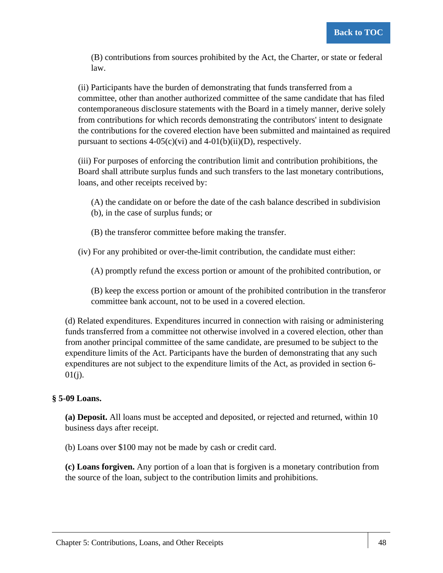(B) contributions from sources prohibited by the Act, the Charter, or state or federal law.

(ii) Participants have the burden of demonstrating that funds transferred from a committee, other than another authorized committee of the same candidate that has filed contemporaneous disclosure statements with the Board in a timely manner, derive solely from contributions for which records demonstrating the contributors' intent to designate the contributions for the covered election have been submitted and maintained as required pursuant to sections  $4-05(c)(vi)$  and  $4-01(b)(ii)(D)$ , respectively.

(iii) For purposes of enforcing the contribution limit and contribution prohibitions, the Board shall attribute surplus funds and such transfers to the last monetary contributions, loans, and other receipts received by:

- (A) the candidate on or before the date of the cash balance described in subdivision (b), in the case of surplus funds; or
- (B) the transferor committee before making the transfer.

(iv) For any prohibited or over-the-limit contribution, the candidate must either:

(A) promptly refund the excess portion or amount of the prohibited contribution, or

(B) keep the excess portion or amount of the prohibited contribution in the transferor committee bank account, not to be used in a covered election.

(d) Related expenditures. Expenditures incurred in connection with raising or administering funds transferred from a committee not otherwise involved in a covered election, other than from another principal committee of the same candidate, are presumed to be subject to the expenditure limits of the Act. Participants have the burden of demonstrating that any such expenditures are not subject to the expenditure limits of the Act, as provided in section 6-  $01(i)$ .

# **§ 5-09 Loans.**

**(a) Deposit.** All loans must be accepted and deposited, or rejected and returned, within 10 business days after receipt.

(b) Loans over \$100 may not be made by cash or credit card.

**(c) Loans forgiven.** Any portion of a loan that is forgiven is a monetary contribution from the source of the loan, subject to the contribution limits and prohibitions.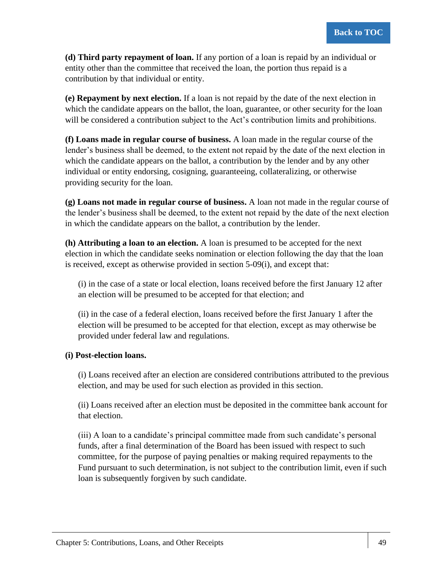**(d) Third party repayment of loan.** If any portion of a loan is repaid by an individual or entity other than the committee that received the loan, the portion thus repaid is a contribution by that individual or entity.

**(e) Repayment by next election.** If a loan is not repaid by the date of the next election in which the candidate appears on the ballot, the loan, guarantee, or other security for the loan will be considered a contribution subject to the Act's contribution limits and prohibitions.

**(f) Loans made in regular course of business.** A loan made in the regular course of the lender's business shall be deemed, to the extent not repaid by the date of the next election in which the candidate appears on the ballot, a contribution by the lender and by any other individual or entity endorsing, cosigning, guaranteeing, collateralizing, or otherwise providing security for the loan.

**(g) Loans not made in regular course of business.** A loan not made in the regular course of the lender's business shall be deemed, to the extent not repaid by the date of the next election in which the candidate appears on the ballot, a contribution by the lender.

**(h) Attributing a loan to an election.** A loan is presumed to be accepted for the next election in which the candidate seeks nomination or election following the day that the loan is received, except as otherwise provided in section 5-09(i), and except that:

(i) in the case of a state or local election, loans received before the first January 12 after an election will be presumed to be accepted for that election; and

(ii) in the case of a federal election, loans received before the first January 1 after the election will be presumed to be accepted for that election, except as may otherwise be provided under federal law and regulations.

# **(i) Post-election loans.**

(i) Loans received after an election are considered contributions attributed to the previous election, and may be used for such election as provided in this section.

(ii) Loans received after an election must be deposited in the committee bank account for that election.

(iii) A loan to a candidate's principal committee made from such candidate's personal funds, after a final determination of the Board has been issued with respect to such committee, for the purpose of paying penalties or making required repayments to the Fund pursuant to such determination, is not subject to the contribution limit, even if such loan is subsequently forgiven by such candidate.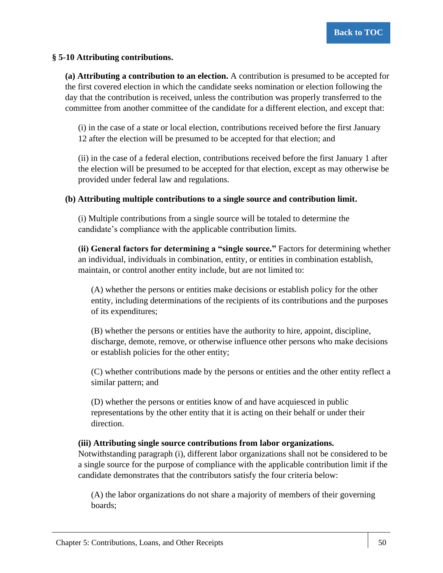### **§ 5-10 Attributing contributions.**

**(a) Attributing a contribution to an election.** A contribution is presumed to be accepted for the first covered election in which the candidate seeks nomination or election following the day that the contribution is received, unless the contribution was properly transferred to the committee from another committee of the candidate for a different election, and except that:

(i) in the case of a state or local election, contributions received before the first January 12 after the election will be presumed to be accepted for that election; and

(ii) in the case of a federal election, contributions received before the first January 1 after the election will be presumed to be accepted for that election, except as may otherwise be provided under federal law and regulations.

### **(b) Attributing multiple contributions to a single source and contribution limit.**

(i) Multiple contributions from a single source will be totaled to determine the candidate's compliance with the applicable contribution limits.

**(ii) General factors for determining a "single source."** Factors for determining whether an individual, individuals in combination, entity, or entities in combination establish, maintain, or control another entity include, but are not limited to:

(A) whether the persons or entities make decisions or establish policy for the other entity, including determinations of the recipients of its contributions and the purposes of its expenditures;

(B) whether the persons or entities have the authority to hire, appoint, discipline, discharge, demote, remove, or otherwise influence other persons who make decisions or establish policies for the other entity;

(C) whether contributions made by the persons or entities and the other entity reflect a similar pattern; and

(D) whether the persons or entities know of and have acquiesced in public representations by the other entity that it is acting on their behalf or under their direction.

### **(iii) Attributing single source contributions from labor organizations.**

Notwithstanding paragraph (i), different labor organizations shall not be considered to be a single source for the purpose of compliance with the applicable contribution limit if the candidate demonstrates that the contributors satisfy the four criteria below:

(A) the labor organizations do not share a majority of members of their governing boards;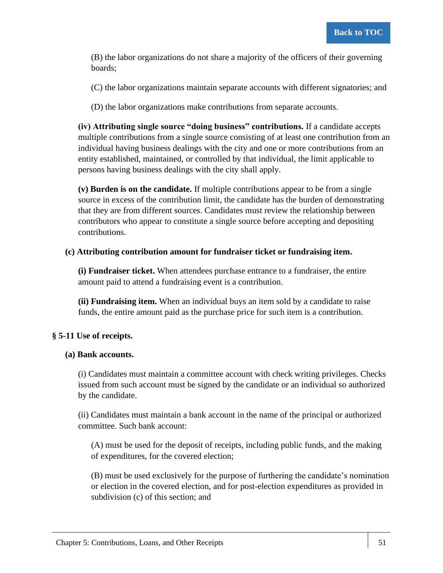(B) the labor organizations do not share a majority of the officers of their governing boards;

(C) the labor organizations maintain separate accounts with different signatories; and

(D) the labor organizations make contributions from separate accounts.

**(iv) Attributing single source "doing business" contributions.** If a candidate accepts multiple contributions from a single source consisting of at least one contribution from an individual having business dealings with the city and one or more contributions from an entity established, maintained, or controlled by that individual, the limit applicable to persons having business dealings with the city shall apply.

**(v) Burden is on the candidate.** If multiple contributions appear to be from a single source in excess of the contribution limit, the candidate has the burden of demonstrating that they are from different sources. Candidates must review the relationship between contributors who appear to constitute a single source before accepting and depositing contributions.

### **(c) Attributing contribution amount for fundraiser ticket or fundraising item.**

**(i) Fundraiser ticket.** When attendees purchase entrance to a fundraiser, the entire amount paid to attend a fundraising event is a contribution.

**(ii) Fundraising item.** When an individual buys an item sold by a candidate to raise funds, the entire amount paid as the purchase price for such item is a contribution.

# **§ 5-11 Use of receipts.**

### **(a) Bank accounts.**

(i) Candidates must maintain a committee account with check writing privileges. Checks issued from such account must be signed by the candidate or an individual so authorized by the candidate.

(ii) Candidates must maintain a bank account in the name of the principal or authorized committee. Such bank account:

(A) must be used for the deposit of receipts, including public funds, and the making of expenditures, for the covered election;

(B) must be used exclusively for the purpose of furthering the candidate's nomination or election in the covered election, and for post-election expenditures as provided in subdivision (c) of this section; and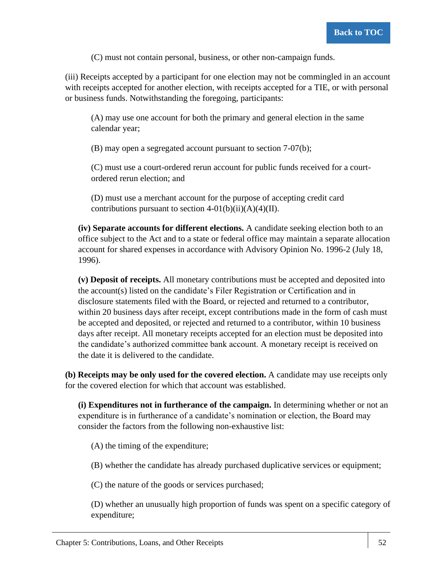(C) must not contain personal, business, or other non-campaign funds.

(iii) Receipts accepted by a participant for one election may not be commingled in an account with receipts accepted for another election, with receipts accepted for a TIE, or with personal or business funds. Notwithstanding the foregoing, participants:

(A) may use one account for both the primary and general election in the same calendar year;

(B) may open a segregated account pursuant to section 7-07(b);

(C) must use a court-ordered rerun account for public funds received for a courtordered rerun election; and

(D) must use a merchant account for the purpose of accepting credit card contributions pursuant to section  $4-01(b)(ii)(A)(4)(II)$ .

**(iv) Separate accounts for different elections.** A candidate seeking election both to an office subject to the Act and to a state or federal office may maintain a separate allocation account for shared expenses in accordance with Advisory Opinion No. 1996-2 (July 18, 1996).

**(v) Deposit of receipts.** All monetary contributions must be accepted and deposited into the account(s) listed on the candidate's Filer Registration or Certification and in disclosure statements filed with the Board, or rejected and returned to a contributor, within 20 business days after receipt, except contributions made in the form of cash must be accepted and deposited, or rejected and returned to a contributor, within 10 business days after receipt. All monetary receipts accepted for an election must be deposited into the candidate's authorized committee bank account. A monetary receipt is received on the date it is delivered to the candidate.

**(b) Receipts may be only used for the covered election.** A candidate may use receipts only for the covered election for which that account was established.

**(i) Expenditures not in furtherance of the campaign.** In determining whether or not an expenditure is in furtherance of a candidate's nomination or election, the Board may consider the factors from the following non-exhaustive list:

(A) the timing of the expenditure;

(B) whether the candidate has already purchased duplicative services or equipment;

(C) the nature of the goods or services purchased;

(D) whether an unusually high proportion of funds was spent on a specific category of expenditure;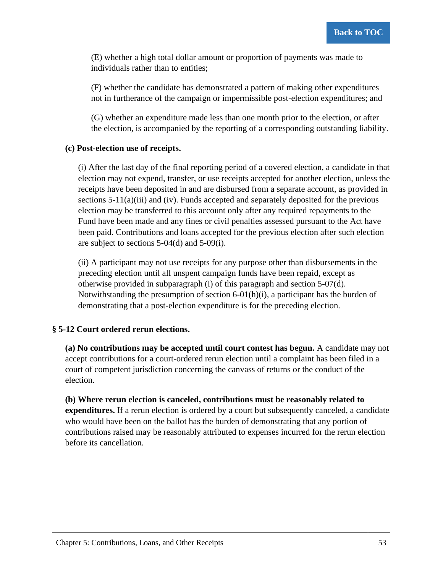(E) whether a high total dollar amount or proportion of payments was made to individuals rather than to entities;

(F) whether the candidate has demonstrated a pattern of making other expenditures not in furtherance of the campaign or impermissible post-election expenditures; and

(G) whether an expenditure made less than one month prior to the election, or after the election, is accompanied by the reporting of a corresponding outstanding liability.

### **(c) Post-election use of receipts.**

(i) After the last day of the final reporting period of a covered election, a candidate in that election may not expend, transfer, or use receipts accepted for another election, unless the receipts have been deposited in and are disbursed from a separate account, as provided in sections  $5-11(a)(iii)$  and (iv). Funds accepted and separately deposited for the previous election may be transferred to this account only after any required repayments to the Fund have been made and any fines or civil penalties assessed pursuant to the Act have been paid. Contributions and loans accepted for the previous election after such election are subject to sections 5-04(d) and 5-09(i).

(ii) A participant may not use receipts for any purpose other than disbursements in the preceding election until all unspent campaign funds have been repaid, except as otherwise provided in subparagraph (i) of this paragraph and section 5-07(d). Notwithstanding the presumption of section 6-01(h)(i), a participant has the burden of demonstrating that a post-election expenditure is for the preceding election.

### **§ 5-12 Court ordered rerun elections.**

**(a) No contributions may be accepted until court contest has begun.** A candidate may not accept contributions for a court-ordered rerun election until a complaint has been filed in a court of competent jurisdiction concerning the canvass of returns or the conduct of the election.

**(b) Where rerun election is canceled, contributions must be reasonably related to expenditures.** If a rerun election is ordered by a court but subsequently canceled, a candidate who would have been on the ballot has the burden of demonstrating that any portion of contributions raised may be reasonably attributed to expenses incurred for the rerun election before its cancellation.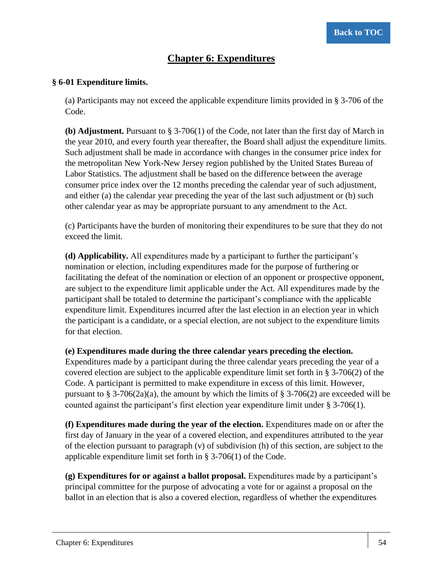# **Chapter 6: Expenditures**

### **§ 6-01 Expenditure limits.**

(a) Participants may not exceed the applicable expenditure limits provided in § 3-706 of the Code.

**(b) Adjustment.** Pursuant to § 3-706(1) of the Code, not later than the first day of March in the year 2010, and every fourth year thereafter, the Board shall adjust the expenditure limits. Such adjustment shall be made in accordance with changes in the consumer price index for the metropolitan New York-New Jersey region published by the United States Bureau of Labor Statistics. The adjustment shall be based on the difference between the average consumer price index over the 12 months preceding the calendar year of such adjustment, and either (a) the calendar year preceding the year of the last such adjustment or (b) such other calendar year as may be appropriate pursuant to any amendment to the Act.

(c) Participants have the burden of monitoring their expenditures to be sure that they do not exceed the limit.

**(d) Applicability.** All expenditures made by a participant to further the participant's nomination or election, including expenditures made for the purpose of furthering or facilitating the defeat of the nomination or election of an opponent or prospective opponent, are subject to the expenditure limit applicable under the Act. All expenditures made by the participant shall be totaled to determine the participant's compliance with the applicable expenditure limit. Expenditures incurred after the last election in an election year in which the participant is a candidate, or a special election, are not subject to the expenditure limits for that election.

### **(e) Expenditures made during the three calendar years preceding the election.**

Expenditures made by a participant during the three calendar years preceding the year of a covered election are subject to the applicable expenditure limit set forth in § 3-706(2) of the Code. A participant is permitted to make expenditure in excess of this limit. However, pursuant to § 3-706(2a)(a), the amount by which the limits of § 3-706(2) are exceeded will be counted against the participant's first election year expenditure limit under § 3-706(1).

**(f) Expenditures made during the year of the election.** Expenditures made on or after the first day of January in the year of a covered election, and expenditures attributed to the year of the election pursuant to paragraph (v) of subdivision (h) of this section, are subject to the applicable expenditure limit set forth in § 3-706(1) of the Code.

**(g) Expenditures for or against a ballot proposal.** Expenditures made by a participant's principal committee for the purpose of advocating a vote for or against a proposal on the ballot in an election that is also a covered election, regardless of whether the expenditures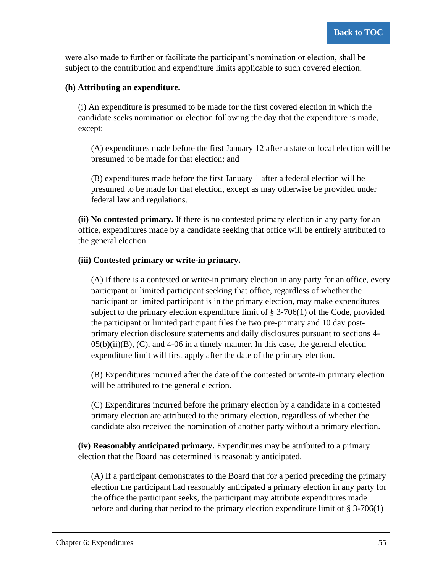were also made to further or facilitate the participant's nomination or election, shall be subject to the contribution and expenditure limits applicable to such covered election.

### **(h) Attributing an expenditure.**

(i) An expenditure is presumed to be made for the first covered election in which the candidate seeks nomination or election following the day that the expenditure is made, except:

(A) expenditures made before the first January 12 after a state or local election will be presumed to be made for that election; and

(B) expenditures made before the first January 1 after a federal election will be presumed to be made for that election, except as may otherwise be provided under federal law and regulations.

**(ii) No contested primary.** If there is no contested primary election in any party for an office, expenditures made by a candidate seeking that office will be entirely attributed to the general election.

### **(iii) Contested primary or write-in primary.**

(A) If there is a contested or write-in primary election in any party for an office, every participant or limited participant seeking that office, regardless of whether the participant or limited participant is in the primary election, may make expenditures subject to the primary election expenditure limit of  $\S$  3-706(1) of the Code, provided the participant or limited participant files the two pre-primary and 10 day postprimary election disclosure statements and daily disclosures pursuant to sections 4-  $05(b)(ii)(B)$ , (C), and 4-06 in a timely manner. In this case, the general election expenditure limit will first apply after the date of the primary election.

(B) Expenditures incurred after the date of the contested or write-in primary election will be attributed to the general election.

(C) Expenditures incurred before the primary election by a candidate in a contested primary election are attributed to the primary election, regardless of whether the candidate also received the nomination of another party without a primary election.

**(iv) Reasonably anticipated primary.** Expenditures may be attributed to a primary election that the Board has determined is reasonably anticipated.

(A) If a participant demonstrates to the Board that for a period preceding the primary election the participant had reasonably anticipated a primary election in any party for the office the participant seeks, the participant may attribute expenditures made before and during that period to the primary election expenditure limit of  $\S 3-706(1)$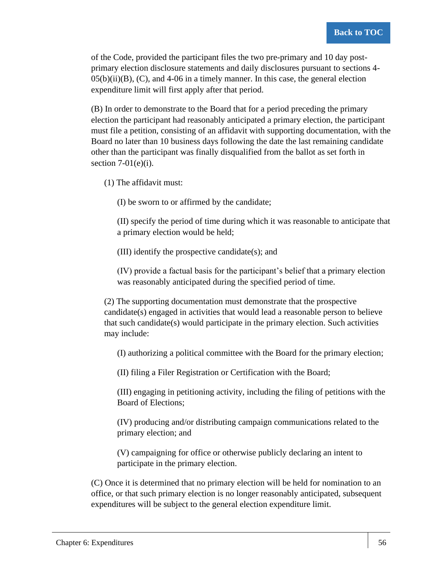of the Code, provided the participant files the two pre-primary and 10 day postprimary election disclosure statements and daily disclosures pursuant to sections 4-  $0.5(b)(ii)(B)$ , (C), and 4-06 in a timely manner. In this case, the general election expenditure limit will first apply after that period.

(B) In order to demonstrate to the Board that for a period preceding the primary election the participant had reasonably anticipated a primary election, the participant must file a petition, consisting of an affidavit with supporting documentation, with the Board no later than 10 business days following the date the last remaining candidate other than the participant was finally disqualified from the ballot as set forth in section  $7-01(e)(i)$ .

(1) The affidavit must:

(I) be sworn to or affirmed by the candidate;

(II) specify the period of time during which it was reasonable to anticipate that a primary election would be held;

(III) identify the prospective candidate(s); and

(IV) provide a factual basis for the participant's belief that a primary election was reasonably anticipated during the specified period of time.

(2) The supporting documentation must demonstrate that the prospective candidate(s) engaged in activities that would lead a reasonable person to believe that such candidate(s) would participate in the primary election. Such activities may include:

(I) authorizing a political committee with the Board for the primary election;

(II) filing a Filer Registration or Certification with the Board;

(III) engaging in petitioning activity, including the filing of petitions with the Board of Elections;

(IV) producing and/or distributing campaign communications related to the primary election; and

(V) campaigning for office or otherwise publicly declaring an intent to participate in the primary election.

(C) Once it is determined that no primary election will be held for nomination to an office, or that such primary election is no longer reasonably anticipated, subsequent expenditures will be subject to the general election expenditure limit.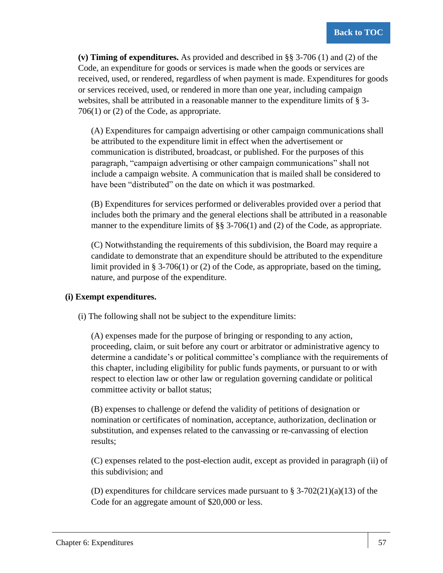**(v) Timing of expenditures.** As provided and described in §§ 3-706 (1) and (2) of the Code, an expenditure for goods or services is made when the goods or services are received, used, or rendered, regardless of when payment is made. Expenditures for goods or services received, used, or rendered in more than one year, including campaign websites, shall be attributed in a reasonable manner to the expenditure limits of § 3- 706(1) or (2) of the Code, as appropriate.

(A) Expenditures for campaign advertising or other campaign communications shall be attributed to the expenditure limit in effect when the advertisement or communication is distributed, broadcast, or published. For the purposes of this paragraph, "campaign advertising or other campaign communications" shall not include a campaign website. A communication that is mailed shall be considered to have been "distributed" on the date on which it was postmarked.

(B) Expenditures for services performed or deliverables provided over a period that includes both the primary and the general elections shall be attributed in a reasonable manner to the expenditure limits of §§ 3-706(1) and (2) of the Code, as appropriate.

(C) Notwithstanding the requirements of this subdivision, the Board may require a candidate to demonstrate that an expenditure should be attributed to the expenditure limit provided in § 3-706(1) or (2) of the Code, as appropriate, based on the timing, nature, and purpose of the expenditure.

### **(i) Exempt expenditures.**

(i) The following shall not be subject to the expenditure limits:

(A) expenses made for the purpose of bringing or responding to any action, proceeding, claim, or suit before any court or arbitrator or administrative agency to determine a candidate's or political committee's compliance with the requirements of this chapter, including eligibility for public funds payments, or pursuant to or with respect to election law or other law or regulation governing candidate or political committee activity or ballot status;

(B) expenses to challenge or defend the validity of petitions of designation or nomination or certificates of nomination, acceptance, authorization, declination or substitution, and expenses related to the canvassing or re-canvassing of election results;

(C) expenses related to the post-election audit, except as provided in paragraph (ii) of this subdivision; and

(D) expenditures for childcare services made pursuant to  $\S 3-702(21)(a)(13)$  of the Code for an aggregate amount of \$20,000 or less.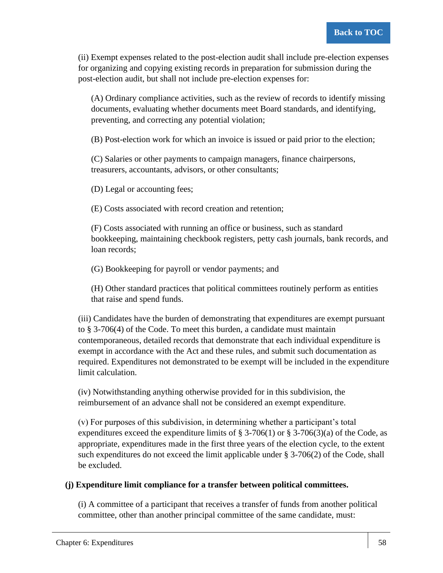(ii) Exempt expenses related to the post-election audit shall include pre-election expenses for organizing and copying existing records in preparation for submission during the post-election audit, but shall not include pre-election expenses for:

(A) Ordinary compliance activities, such as the review of records to identify missing documents, evaluating whether documents meet Board standards, and identifying, preventing, and correcting any potential violation;

(B) Post-election work for which an invoice is issued or paid prior to the election;

(C) Salaries or other payments to campaign managers, finance chairpersons, treasurers, accountants, advisors, or other consultants;

(D) Legal or accounting fees;

(E) Costs associated with record creation and retention;

(F) Costs associated with running an office or business, such as standard bookkeeping, maintaining checkbook registers, petty cash journals, bank records, and loan records;

(G) Bookkeeping for payroll or vendor payments; and

(H) Other standard practices that political committees routinely perform as entities that raise and spend funds.

(iii) Candidates have the burden of demonstrating that expenditures are exempt pursuant to § 3-706(4) of the Code. To meet this burden, a candidate must maintain contemporaneous, detailed records that demonstrate that each individual expenditure is exempt in accordance with the Act and these rules, and submit such documentation as required. Expenditures not demonstrated to be exempt will be included in the expenditure limit calculation.

(iv) Notwithstanding anything otherwise provided for in this subdivision, the reimbursement of an advance shall not be considered an exempt expenditure.

(v) For purposes of this subdivision, in determining whether a participant's total expenditures exceed the expenditure limits of § 3-706(1) or § 3-706(3)(a) of the Code, as appropriate, expenditures made in the first three years of the election cycle, to the extent such expenditures do not exceed the limit applicable under  $\S$  3-706(2) of the Code, shall be excluded.

# **(j) Expenditure limit compliance for a transfer between political committees.**

(i) A committee of a participant that receives a transfer of funds from another political committee, other than another principal committee of the same candidate, must: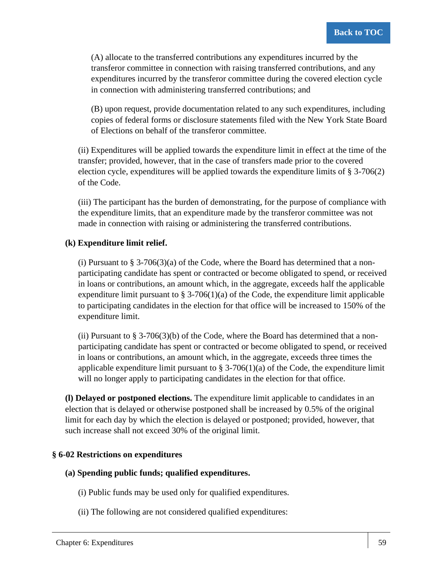(A) allocate to the transferred contributions any expenditures incurred by the transferor committee in connection with raising transferred contributions, and any expenditures incurred by the transferor committee during the covered election cycle in connection with administering transferred contributions; and

(B) upon request, provide documentation related to any such expenditures, including copies of federal forms or disclosure statements filed with the New York State Board of Elections on behalf of the transferor committee.

(ii) Expenditures will be applied towards the expenditure limit in effect at the time of the transfer; provided, however, that in the case of transfers made prior to the covered election cycle, expenditures will be applied towards the expenditure limits of § 3-706(2) of the Code.

(iii) The participant has the burden of demonstrating, for the purpose of compliance with the expenditure limits, that an expenditure made by the transferor committee was not made in connection with raising or administering the transferred contributions.

# **(k) Expenditure limit relief.**

(i) Pursuant to  $\S 3-706(3)(a)$  of the Code, where the Board has determined that a nonparticipating candidate has spent or contracted or become obligated to spend, or received in loans or contributions, an amount which, in the aggregate, exceeds half the applicable expenditure limit pursuant to  $\S 3-706(1)(a)$  of the Code, the expenditure limit applicable to participating candidates in the election for that office will be increased to 150% of the expenditure limit.

(ii) Pursuant to  $\S 3\n-706(3)$ (b) of the Code, where the Board has determined that a nonparticipating candidate has spent or contracted or become obligated to spend, or received in loans or contributions, an amount which, in the aggregate, exceeds three times the applicable expenditure limit pursuant to  $\S 3-706(1)(a)$  of the Code, the expenditure limit will no longer apply to participating candidates in the election for that office.

**(l) Delayed or postponed elections.** The expenditure limit applicable to candidates in an election that is delayed or otherwise postponed shall be increased by 0.5% of the original limit for each day by which the election is delayed or postponed; provided, however, that such increase shall not exceed 30% of the original limit.

### **§ 6-02 Restrictions on expenditures**

### **(a) Spending public funds; qualified expenditures.**

- (i) Public funds may be used only for qualified expenditures.
- (ii) The following are not considered qualified expenditures: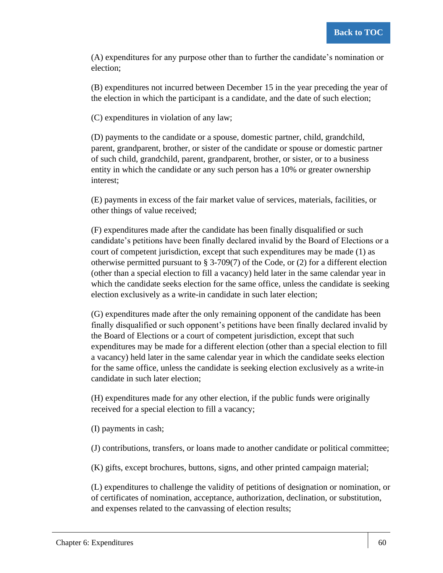(A) expenditures for any purpose other than to further the candidate's nomination or election;

(B) expenditures not incurred between December 15 in the year preceding the year of the election in which the participant is a candidate, and the date of such election;

(C) expenditures in violation of any law;

(D) payments to the candidate or a spouse, domestic partner, child, grandchild, parent, grandparent, brother, or sister of the candidate or spouse or domestic partner of such child, grandchild, parent, grandparent, brother, or sister, or to a business entity in which the candidate or any such person has a 10% or greater ownership interest;

(E) payments in excess of the fair market value of services, materials, facilities, or other things of value received;

(F) expenditures made after the candidate has been finally disqualified or such candidate's petitions have been finally declared invalid by the Board of Elections or a court of competent jurisdiction, except that such expenditures may be made (1) as otherwise permitted pursuant to § 3-709(7) of the Code, or (2) for a different election (other than a special election to fill a vacancy) held later in the same calendar year in which the candidate seeks election for the same office, unless the candidate is seeking election exclusively as a write-in candidate in such later election;

(G) expenditures made after the only remaining opponent of the candidate has been finally disqualified or such opponent's petitions have been finally declared invalid by the Board of Elections or a court of competent jurisdiction, except that such expenditures may be made for a different election (other than a special election to fill a vacancy) held later in the same calendar year in which the candidate seeks election for the same office, unless the candidate is seeking election exclusively as a write-in candidate in such later election;

(H) expenditures made for any other election, if the public funds were originally received for a special election to fill a vacancy;

(I) payments in cash;

(J) contributions, transfers, or loans made to another candidate or political committee;

(K) gifts, except brochures, buttons, signs, and other printed campaign material;

(L) expenditures to challenge the validity of petitions of designation or nomination, or of certificates of nomination, acceptance, authorization, declination, or substitution, and expenses related to the canvassing of election results;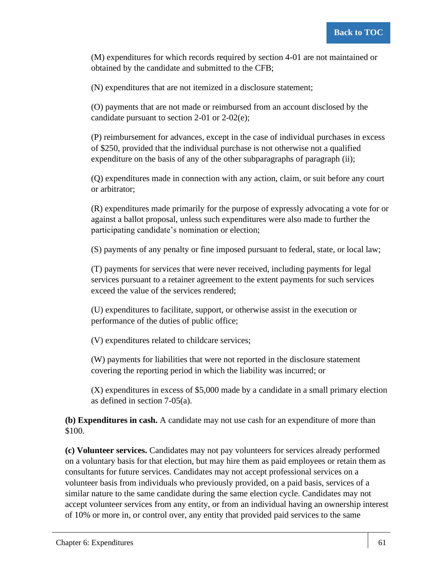(M) expenditures for which records required by section 4-01 are not maintained or obtained by the candidate and submitted to the CFB;

(N) expenditures that are not itemized in a disclosure statement;

(O) payments that are not made or reimbursed from an account disclosed by the candidate pursuant to section 2-01 or 2-02(e);

(P) reimbursement for advances, except in the case of individual purchases in excess of \$250, provided that the individual purchase is not otherwise not a qualified expenditure on the basis of any of the other subparagraphs of paragraph (ii);

(Q) expenditures made in connection with any action, claim, or suit before any court or arbitrator;

(R) expenditures made primarily for the purpose of expressly advocating a vote for or against a ballot proposal, unless such expenditures were also made to further the participating candidate's nomination or election;

(S) payments of any penalty or fine imposed pursuant to federal, state, or local law;

(T) payments for services that were never received, including payments for legal services pursuant to a retainer agreement to the extent payments for such services exceed the value of the services rendered;

(U) expenditures to facilitate, support, or otherwise assist in the execution or performance of the duties of public office;

(V) expenditures related to childcare services;

(W) payments for liabilities that were not reported in the disclosure statement covering the reporting period in which the liability was incurred; or

(X) expenditures in excess of \$5,000 made by a candidate in a small primary election as defined in section 7-05(a).

**(b) Expenditures in cash.** A candidate may not use cash for an expenditure of more than \$100.

**(c) Volunteer services.** Candidates may not pay volunteers for services already performed on a voluntary basis for that election, but may hire them as paid employees or retain them as consultants for future services. Candidates may not accept professional services on a volunteer basis from individuals who previously provided, on a paid basis, services of a similar nature to the same candidate during the same election cycle. Candidates may not accept volunteer services from any entity, or from an individual having an ownership interest of 10% or more in, or control over, any entity that provided paid services to the same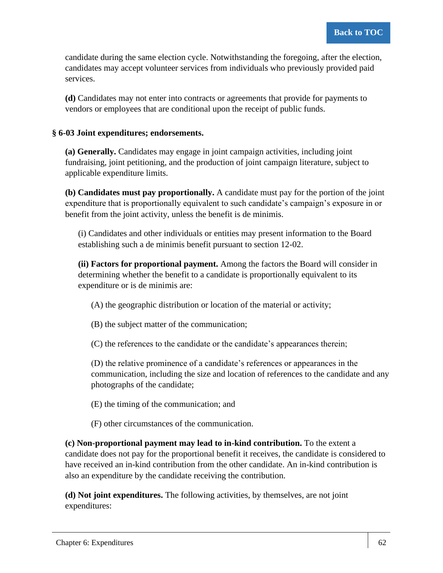candidate during the same election cycle. Notwithstanding the foregoing, after the election, candidates may accept volunteer services from individuals who previously provided paid services.

**(d)** Candidates may not enter into contracts or agreements that provide for payments to vendors or employees that are conditional upon the receipt of public funds.

## **§ 6-03 Joint expenditures; endorsements.**

**(a) Generally.** Candidates may engage in joint campaign activities, including joint fundraising, joint petitioning, and the production of joint campaign literature, subject to applicable expenditure limits.

**(b) Candidates must pay proportionally.** A candidate must pay for the portion of the joint expenditure that is proportionally equivalent to such candidate's campaign's exposure in or benefit from the joint activity, unless the benefit is de minimis.

(i) Candidates and other individuals or entities may present information to the Board establishing such a de minimis benefit pursuant to section 12-02.

**(ii) Factors for proportional payment.** Among the factors the Board will consider in determining whether the benefit to a candidate is proportionally equivalent to its expenditure or is de minimis are:

(A) the geographic distribution or location of the material or activity;

(B) the subject matter of the communication;

(C) the references to the candidate or the candidate's appearances therein;

(D) the relative prominence of a candidate's references or appearances in the communication, including the size and location of references to the candidate and any photographs of the candidate;

- (E) the timing of the communication; and
- (F) other circumstances of the communication.

**(c) Non-proportional payment may lead to in-kind contribution.** To the extent a candidate does not pay for the proportional benefit it receives, the candidate is considered to have received an in-kind contribution from the other candidate. An in-kind contribution is also an expenditure by the candidate receiving the contribution.

**(d) Not joint expenditures.** The following activities, by themselves, are not joint expenditures: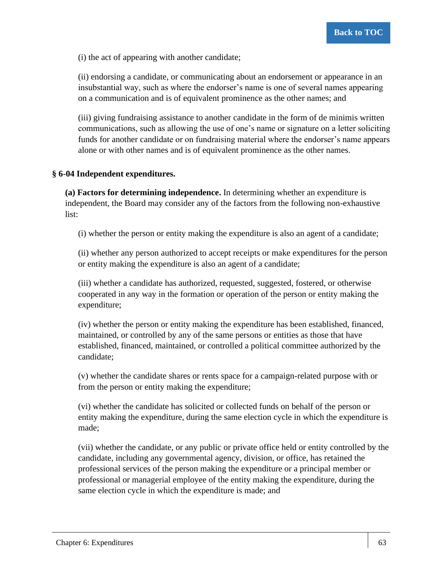(i) the act of appearing with another candidate;

(ii) endorsing a candidate, or communicating about an endorsement or appearance in an insubstantial way, such as where the endorser's name is one of several names appearing on a communication and is of equivalent prominence as the other names; and

(iii) giving fundraising assistance to another candidate in the form of de minimis written communications, such as allowing the use of one's name or signature on a letter soliciting funds for another candidate or on fundraising material where the endorser's name appears alone or with other names and is of equivalent prominence as the other names.

#### **§ 6-04 Independent expenditures.**

**(a) Factors for determining independence.** In determining whether an expenditure is independent, the Board may consider any of the factors from the following non-exhaustive list:

(i) whether the person or entity making the expenditure is also an agent of a candidate;

(ii) whether any person authorized to accept receipts or make expenditures for the person or entity making the expenditure is also an agent of a candidate;

(iii) whether a candidate has authorized, requested, suggested, fostered, or otherwise cooperated in any way in the formation or operation of the person or entity making the expenditure;

(iv) whether the person or entity making the expenditure has been established, financed, maintained, or controlled by any of the same persons or entities as those that have established, financed, maintained, or controlled a political committee authorized by the candidate;

(v) whether the candidate shares or rents space for a campaign-related purpose with or from the person or entity making the expenditure;

(vi) whether the candidate has solicited or collected funds on behalf of the person or entity making the expenditure, during the same election cycle in which the expenditure is made;

(vii) whether the candidate, or any public or private office held or entity controlled by the candidate, including any governmental agency, division, or office, has retained the professional services of the person making the expenditure or a principal member or professional or managerial employee of the entity making the expenditure, during the same election cycle in which the expenditure is made; and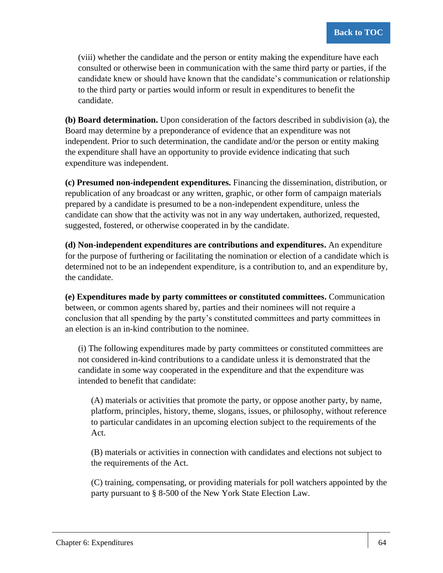(viii) whether the candidate and the person or entity making the expenditure have each consulted or otherwise been in communication with the same third party or parties, if the candidate knew or should have known that the candidate's communication or relationship to the third party or parties would inform or result in expenditures to benefit the candidate.

**(b) Board determination.** Upon consideration of the factors described in subdivision (a), the Board may determine by a preponderance of evidence that an expenditure was not independent. Prior to such determination, the candidate and/or the person or entity making the expenditure shall have an opportunity to provide evidence indicating that such expenditure was independent.

**(c) Presumed non-independent expenditures.** Financing the dissemination, distribution, or republication of any broadcast or any written, graphic, or other form of campaign materials prepared by a candidate is presumed to be a non-independent expenditure, unless the candidate can show that the activity was not in any way undertaken, authorized, requested, suggested, fostered, or otherwise cooperated in by the candidate.

**(d) Non-independent expenditures are contributions and expenditures.** An expenditure for the purpose of furthering or facilitating the nomination or election of a candidate which is determined not to be an independent expenditure, is a contribution to, and an expenditure by, the candidate.

**(e) Expenditures made by party committees or constituted committees.** Communication between, or common agents shared by, parties and their nominees will not require a conclusion that all spending by the party's constituted committees and party committees in an election is an in-kind contribution to the nominee.

(i) The following expenditures made by party committees or constituted committees are not considered in-kind contributions to a candidate unless it is demonstrated that the candidate in some way cooperated in the expenditure and that the expenditure was intended to benefit that candidate:

(A) materials or activities that promote the party, or oppose another party, by name, platform, principles, history, theme, slogans, issues, or philosophy, without reference to particular candidates in an upcoming election subject to the requirements of the Act.

(B) materials or activities in connection with candidates and elections not subject to the requirements of the Act.

(C) training, compensating, or providing materials for poll watchers appointed by the party pursuant to § 8-500 of the New York State Election Law.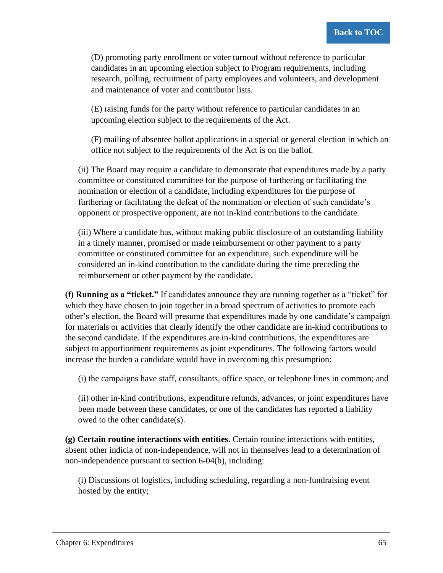(D) promoting party enrollment or voter turnout without reference to particular candidates in an upcoming election subject to Program requirements, including research, polling, recruitment of party employees and volunteers, and development and maintenance of voter and contributor lists.

(E) raising funds for the party without reference to particular candidates in an upcoming election subject to the requirements of the Act.

(F) mailing of absentee ballot applications in a special or general election in which an office not subject to the requirements of the Act is on the ballot.

(ii) The Board may require a candidate to demonstrate that expenditures made by a party committee or constituted committee for the purpose of furthering or facilitating the nomination or election of a candidate, including expenditures for the purpose of furthering or facilitating the defeat of the nomination or election of such candidate's opponent or prospective opponent, are not in-kind contributions to the candidate.

(iii) Where a candidate has, without making public disclosure of an outstanding liability in a timely manner, promised or made reimbursement or other payment to a party committee or constituted committee for an expenditure, such expenditure will be considered an in-kind contribution to the candidate during the time preceding the reimbursement or other payment by the candidate.

**(f) Running as a "ticket."** If candidates announce they are running together as a "ticket" for which they have chosen to join together in a broad spectrum of activities to promote each other's election, the Board will presume that expenditures made by one candidate's campaign for materials or activities that clearly identify the other candidate are in-kind contributions to the second candidate. If the expenditures are in-kind contributions, the expenditures are subject to apportionment requirements as joint expenditures. The following factors would increase the burden a candidate would have in overcoming this presumption:

(i) the campaigns have staff, consultants, office space, or telephone lines in common; and

(ii) other in-kind contributions, expenditure refunds, advances, or joint expenditures have been made between these candidates, or one of the candidates has reported a liability owed to the other candidate(s).

**(g) Certain routine interactions with entities.** Certain routine interactions with entities, absent other indicia of non-independence, will not in themselves lead to a determination of non-independence pursuant to section 6-04(b), including:

(i) Discussions of logistics, including scheduling, regarding a non-fundraising event hosted by the entity;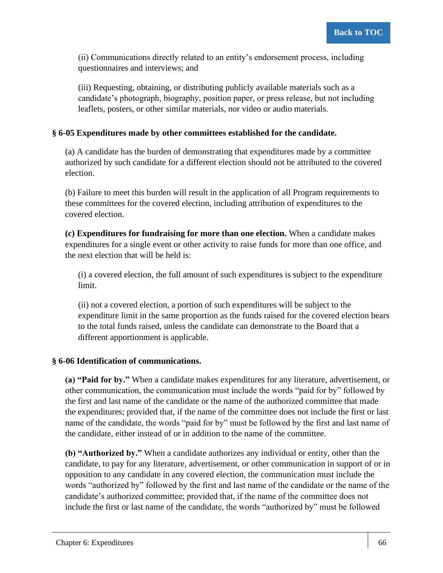(ii) Communications directly related to an entity's endorsement process, including questionnaires and interviews; and

(iii) Requesting, obtaining, or distributing publicly available materials such as a candidate's photograph, biography, position paper, or press release, but not including leaflets, posters, or other similar materials, nor video or audio materials.

## **§ 6-05 Expenditures made by other committees established for the candidate.**

(a) A candidate has the burden of demonstrating that expenditures made by a committee authorized by such candidate for a different election should not be attributed to the covered election.

(b) Failure to meet this burden will result in the application of all Program requirements to these committees for the covered election, including attribution of expenditures to the covered election.

**(c) Expenditures for fundraising for more than one election.** When a candidate makes expenditures for a single event or other activity to raise funds for more than one office, and the next election that will be held is:

(i) a covered election, the full amount of such expenditures is subject to the expenditure limit.

(ii) not a covered election, a portion of such expenditures will be subject to the expenditure limit in the same proportion as the funds raised for the covered election bears to the total funds raised, unless the candidate can demonstrate to the Board that a different apportionment is applicable.

## **§ 6-06 Identification of communications.**

**(a) "Paid for by."** When a candidate makes expenditures for any literature, advertisement, or other communication, the communication must include the words "paid for by" followed by the first and last name of the candidate or the name of the authorized committee that made the expenditures; provided that, if the name of the committee does not include the first or last name of the candidate, the words "paid for by" must be followed by the first and last name of the candidate, either instead of or in addition to the name of the committee.

**(b) "Authorized by."** When a candidate authorizes any individual or entity, other than the candidate, to pay for any literature, advertisement, or other communication in support of or in opposition to any candidate in any covered election, the communication must include the words "authorized by" followed by the first and last name of the candidate or the name of the candidate's authorized committee; provided that, if the name of the committee does not include the first or last name of the candidate, the words "authorized by" must be followed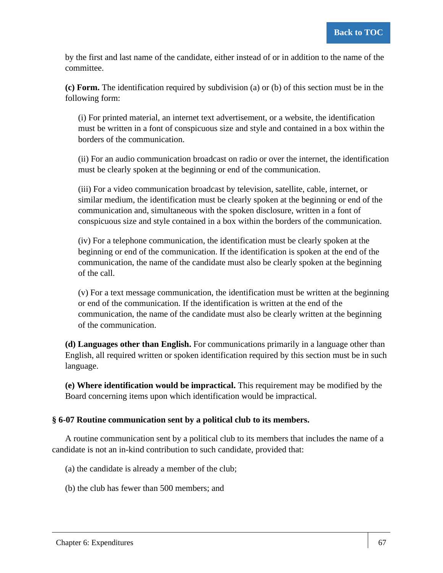by the first and last name of the candidate, either instead of or in addition to the name of the committee.

**(c) Form.** The identification required by subdivision (a) or (b) of this section must be in the following form:

(i) For printed material, an internet text advertisement, or a website, the identification must be written in a font of conspicuous size and style and contained in a box within the borders of the communication.

(ii) For an audio communication broadcast on radio or over the internet, the identification must be clearly spoken at the beginning or end of the communication.

(iii) For a video communication broadcast by television, satellite, cable, internet, or similar medium, the identification must be clearly spoken at the beginning or end of the communication and, simultaneous with the spoken disclosure, written in a font of conspicuous size and style contained in a box within the borders of the communication.

(iv) For a telephone communication, the identification must be clearly spoken at the beginning or end of the communication. If the identification is spoken at the end of the communication, the name of the candidate must also be clearly spoken at the beginning of the call.

(v) For a text message communication, the identification must be written at the beginning or end of the communication. If the identification is written at the end of the communication, the name of the candidate must also be clearly written at the beginning of the communication.

**(d) Languages other than English.** For communications primarily in a language other than English, all required written or spoken identification required by this section must be in such language.

**(e) Where identification would be impractical.** This requirement may be modified by the Board concerning items upon which identification would be impractical.

## **§ 6-07 Routine communication sent by a political club to its members.**

A routine communication sent by a political club to its members that includes the name of a candidate is not an in-kind contribution to such candidate, provided that:

(a) the candidate is already a member of the club;

(b) the club has fewer than 500 members; and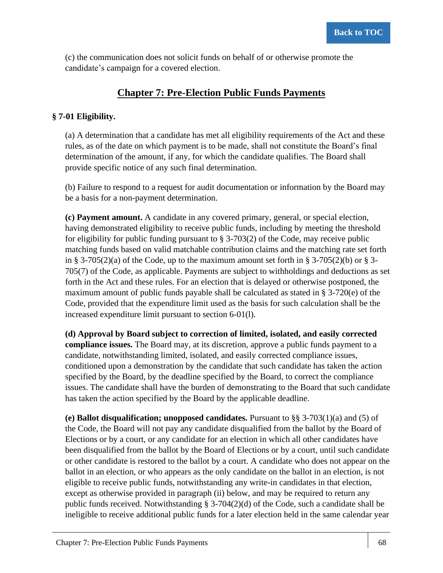(c) the communication does not solicit funds on behalf of or otherwise promote the candidate's campaign for a covered election.

# **Chapter 7: Pre-Election Public Funds Payments**

## **§ 7-01 Eligibility.**

(a) A determination that a candidate has met all eligibility requirements of the Act and these rules, as of the date on which payment is to be made, shall not constitute the Board's final determination of the amount, if any, for which the candidate qualifies. The Board shall provide specific notice of any such final determination.

(b) Failure to respond to a request for audit documentation or information by the Board may be a basis for a non-payment determination.

**(c) Payment amount.** A candidate in any covered primary, general, or special election, having demonstrated eligibility to receive public funds, including by meeting the threshold for eligibility for public funding pursuant to  $\S$  3-703(2) of the Code, may receive public matching funds based on valid matchable contribution claims and the matching rate set forth in § 3-705(2)(a) of the Code, up to the maximum amount set forth in § 3-705(2)(b) or § 3-705(7) of the Code, as applicable. Payments are subject to withholdings and deductions as set forth in the Act and these rules. For an election that is delayed or otherwise postponed, the maximum amount of public funds payable shall be calculated as stated in § 3-720(e) of the Code, provided that the expenditure limit used as the basis for such calculation shall be the increased expenditure limit pursuant to section 6-01(l).

**(d) Approval by Board subject to correction of limited, isolated, and easily corrected compliance issues.** The Board may, at its discretion, approve a public funds payment to a candidate, notwithstanding limited, isolated, and easily corrected compliance issues, conditioned upon a demonstration by the candidate that such candidate has taken the action specified by the Board, by the deadline specified by the Board, to correct the compliance issues. The candidate shall have the burden of demonstrating to the Board that such candidate has taken the action specified by the Board by the applicable deadline.

**(e) Ballot disqualification; unopposed candidates.** Pursuant to §§ 3-703(1)(a) and (5) of the Code, the Board will not pay any candidate disqualified from the ballot by the Board of Elections or by a court, or any candidate for an election in which all other candidates have been disqualified from the ballot by the Board of Elections or by a court, until such candidate or other candidate is restored to the ballot by a court. A candidate who does not appear on the ballot in an election, or who appears as the only candidate on the ballot in an election, is not eligible to receive public funds, notwithstanding any write-in candidates in that election, except as otherwise provided in paragraph (ii) below, and may be required to return any public funds received. Notwithstanding § 3-704(2)(d) of the Code, such a candidate shall be ineligible to receive additional public funds for a later election held in the same calendar year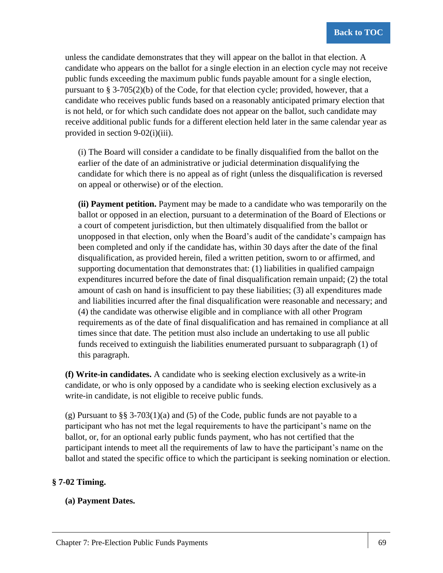unless the candidate demonstrates that they will appear on the ballot in that election. A candidate who appears on the ballot for a single election in an election cycle may not receive public funds exceeding the maximum public funds payable amount for a single election, pursuant to § 3-705(2)(b) of the Code, for that election cycle; provided, however, that a candidate who receives public funds based on a reasonably anticipated primary election that is not held, or for which such candidate does not appear on the ballot, such candidate may receive additional public funds for a different election held later in the same calendar year as provided in section 9-02(i)(iii).

(i) The Board will consider a candidate to be finally disqualified from the ballot on the earlier of the date of an administrative or judicial determination disqualifying the candidate for which there is no appeal as of right (unless the disqualification is reversed on appeal or otherwise) or of the election.

**(ii) Payment petition.** Payment may be made to a candidate who was temporarily on the ballot or opposed in an election, pursuant to a determination of the Board of Elections or a court of competent jurisdiction, but then ultimately disqualified from the ballot or unopposed in that election, only when the Board's audit of the candidate's campaign has been completed and only if the candidate has, within 30 days after the date of the final disqualification, as provided herein, filed a written petition, sworn to or affirmed, and supporting documentation that demonstrates that: (1) liabilities in qualified campaign expenditures incurred before the date of final disqualification remain unpaid; (2) the total amount of cash on hand is insufficient to pay these liabilities; (3) all expenditures made and liabilities incurred after the final disqualification were reasonable and necessary; and (4) the candidate was otherwise eligible and in compliance with all other Program requirements as of the date of final disqualification and has remained in compliance at all times since that date. The petition must also include an undertaking to use all public funds received to extinguish the liabilities enumerated pursuant to subparagraph (1) of this paragraph.

**(f) Write-in candidates.** A candidate who is seeking election exclusively as a write-in candidate, or who is only opposed by a candidate who is seeking election exclusively as a write-in candidate, is not eligible to receive public funds.

(g) Pursuant to §§ 3-703(1)(a) and (5) of the Code, public funds are not payable to a participant who has not met the legal requirements to have the participant's name on the ballot, or, for an optional early public funds payment, who has not certified that the participant intends to meet all the requirements of law to have the participant's name on the ballot and stated the specific office to which the participant is seeking nomination or election.

## **§ 7-02 Timing.**

## **(a) Payment Dates.**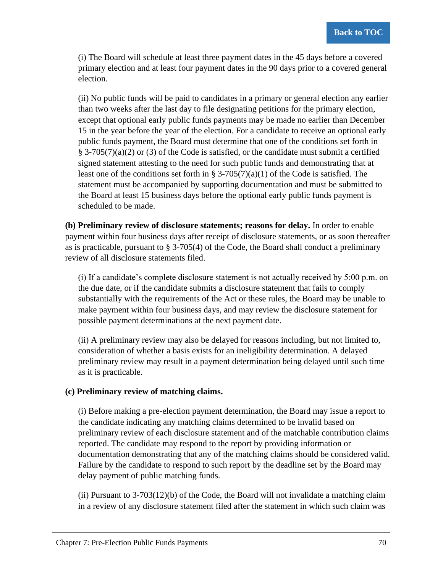(i) The Board will schedule at least three payment dates in the 45 days before a covered primary election and at least four payment dates in the 90 days prior to a covered general election.

(ii) No public funds will be paid to candidates in a primary or general election any earlier than two weeks after the last day to file designating petitions for the primary election, except that optional early public funds payments may be made no earlier than December 15 in the year before the year of the election. For a candidate to receive an optional early public funds payment, the Board must determine that one of the conditions set forth in § 3-705(7)(a)(2) or (3) of the Code is satisfied, or the candidate must submit a certified signed statement attesting to the need for such public funds and demonstrating that at least one of the conditions set forth in § 3-705(7)(a)(1) of the Code is satisfied. The statement must be accompanied by supporting documentation and must be submitted to the Board at least 15 business days before the optional early public funds payment is scheduled to be made.

**(b) Preliminary review of disclosure statements; reasons for delay.** In order to enable payment within four business days after receipt of disclosure statements, or as soon thereafter as is practicable, pursuant to  $\S 3-705(4)$  of the Code, the Board shall conduct a preliminary review of all disclosure statements filed.

(i) If a candidate's complete disclosure statement is not actually received by 5:00 p.m. on the due date, or if the candidate submits a disclosure statement that fails to comply substantially with the requirements of the Act or these rules, the Board may be unable to make payment within four business days, and may review the disclosure statement for possible payment determinations at the next payment date.

(ii) A preliminary review may also be delayed for reasons including, but not limited to, consideration of whether a basis exists for an ineligibility determination. A delayed preliminary review may result in a payment determination being delayed until such time as it is practicable.

## **(c) Preliminary review of matching claims.**

(i) Before making a pre-election payment determination, the Board may issue a report to the candidate indicating any matching claims determined to be invalid based on preliminary review of each disclosure statement and of the matchable contribution claims reported. The candidate may respond to the report by providing information or documentation demonstrating that any of the matching claims should be considered valid. Failure by the candidate to respond to such report by the deadline set by the Board may delay payment of public matching funds.

(ii) Pursuant to  $3-703(12)$ (b) of the Code, the Board will not invalidate a matching claim in a review of any disclosure statement filed after the statement in which such claim was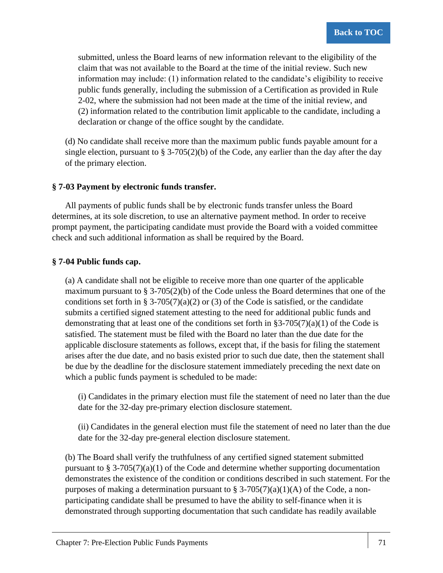submitted, unless the Board learns of new information relevant to the eligibility of the claim that was not available to the Board at the time of the initial review. Such new information may include: (1) information related to the candidate's eligibility to receive public funds generally, including the submission of a Certification as provided in Rule 2-02, where the submission had not been made at the time of the initial review, and (2) information related to the contribution limit applicable to the candidate, including a declaration or change of the office sought by the candidate.

(d) No candidate shall receive more than the maximum public funds payable amount for a single election, pursuant to  $\S 3-705(2)(b)$  of the Code, any earlier than the day after the day of the primary election.

## **§ 7-03 Payment by electronic funds transfer.**

All payments of public funds shall be by electronic funds transfer unless the Board determines, at its sole discretion, to use an alternative payment method. In order to receive prompt payment, the participating candidate must provide the Board with a voided committee check and such additional information as shall be required by the Board.

## **§ 7-04 Public funds cap.**

(a) A candidate shall not be eligible to receive more than one quarter of the applicable maximum pursuant to  $\S 3-705(2)(b)$  of the Code unless the Board determines that one of the conditions set forth in § 3-705(7)(a)(2) or (3) of the Code is satisfied, or the candidate submits a certified signed statement attesting to the need for additional public funds and demonstrating that at least one of the conditions set forth in  $\S3-705(7)(a)(1)$  of the Code is satisfied. The statement must be filed with the Board no later than the due date for the applicable disclosure statements as follows, except that, if the basis for filing the statement arises after the due date, and no basis existed prior to such due date, then the statement shall be due by the deadline for the disclosure statement immediately preceding the next date on which a public funds payment is scheduled to be made:

(i) Candidates in the primary election must file the statement of need no later than the due date for the 32-day pre-primary election disclosure statement.

(ii) Candidates in the general election must file the statement of need no later than the due date for the 32-day pre-general election disclosure statement.

(b) The Board shall verify the truthfulness of any certified signed statement submitted pursuant to  $\S 3-705(7)(a)(1)$  of the Code and determine whether supporting documentation demonstrates the existence of the condition or conditions described in such statement. For the purposes of making a determination pursuant to  $\S$  3-705(7)(a)(1)(A) of the Code, a nonparticipating candidate shall be presumed to have the ability to self-finance when it is demonstrated through supporting documentation that such candidate has readily available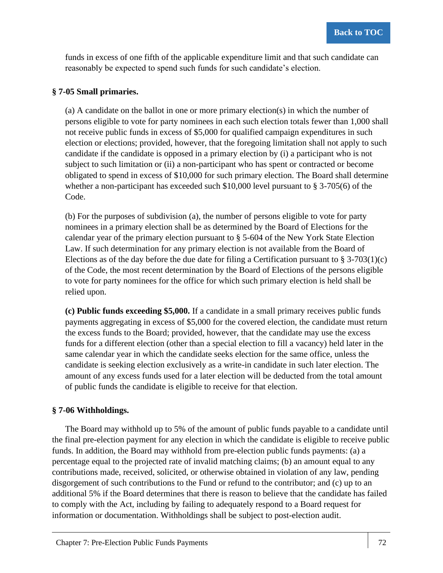funds in excess of one fifth of the applicable expenditure limit and that such candidate can reasonably be expected to spend such funds for such candidate's election.

## **§ 7-05 Small primaries.**

(a) A candidate on the ballot in one or more primary election(s) in which the number of persons eligible to vote for party nominees in each such election totals fewer than 1,000 shall not receive public funds in excess of \$5,000 for qualified campaign expenditures in such election or elections; provided, however, that the foregoing limitation shall not apply to such candidate if the candidate is opposed in a primary election by (i) a participant who is not subject to such limitation or (ii) a non-participant who has spent or contracted or become obligated to spend in excess of \$10,000 for such primary election. The Board shall determine whether a non-participant has exceeded such \$10,000 level pursuant to § 3-705(6) of the Code.

(b) For the purposes of subdivision (a), the number of persons eligible to vote for party nominees in a primary election shall be as determined by the Board of Elections for the calendar year of the primary election pursuant to § 5-604 of the New York State Election Law. If such determination for any primary election is not available from the Board of Elections as of the day before the due date for filing a Certification pursuant to  $\S 3-703(1)(c)$ of the Code, the most recent determination by the Board of Elections of the persons eligible to vote for party nominees for the office for which such primary election is held shall be relied upon.

**(c) Public funds exceeding \$5,000.** If a candidate in a small primary receives public funds payments aggregating in excess of \$5,000 for the covered election, the candidate must return the excess funds to the Board; provided, however, that the candidate may use the excess funds for a different election (other than a special election to fill a vacancy) held later in the same calendar year in which the candidate seeks election for the same office, unless the candidate is seeking election exclusively as a write-in candidate in such later election. The amount of any excess funds used for a later election will be deducted from the total amount of public funds the candidate is eligible to receive for that election.

## **§ 7-06 Withholdings.**

The Board may withhold up to 5% of the amount of public funds payable to a candidate until the final pre-election payment for any election in which the candidate is eligible to receive public funds. In addition, the Board may withhold from pre-election public funds payments: (a) a percentage equal to the projected rate of invalid matching claims; (b) an amount equal to any contributions made, received, solicited, or otherwise obtained in violation of any law, pending disgorgement of such contributions to the Fund or refund to the contributor; and (c) up to an additional 5% if the Board determines that there is reason to believe that the candidate has failed to comply with the Act, including by failing to adequately respond to a Board request for information or documentation. Withholdings shall be subject to post-election audit.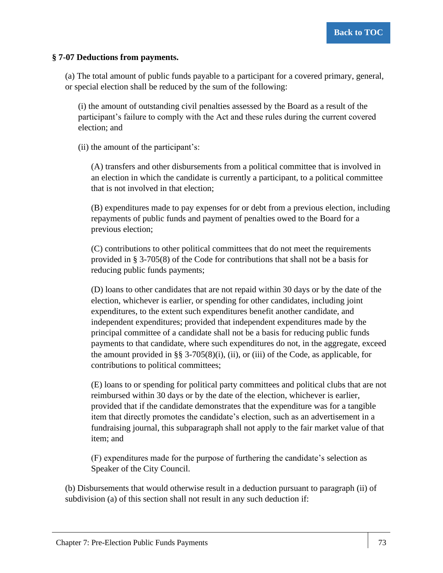## **§ 7-07 Deductions from payments.**

(a) The total amount of public funds payable to a participant for a covered primary, general, or special election shall be reduced by the sum of the following:

(i) the amount of outstanding civil penalties assessed by the Board as a result of the participant's failure to comply with the Act and these rules during the current covered election; and

(ii) the amount of the participant's:

(A) transfers and other disbursements from a political committee that is involved in an election in which the candidate is currently a participant, to a political committee that is not involved in that election;

(B) expenditures made to pay expenses for or debt from a previous election, including repayments of public funds and payment of penalties owed to the Board for a previous election;

(C) contributions to other political committees that do not meet the requirements provided in § 3-705(8) of the Code for contributions that shall not be a basis for reducing public funds payments;

(D) loans to other candidates that are not repaid within 30 days or by the date of the election, whichever is earlier, or spending for other candidates, including joint expenditures, to the extent such expenditures benefit another candidate, and independent expenditures; provided that independent expenditures made by the principal committee of a candidate shall not be a basis for reducing public funds payments to that candidate, where such expenditures do not, in the aggregate, exceed the amount provided in §§ 3-705(8)(i), (ii), or (iii) of the Code, as applicable, for contributions to political committees;

(E) loans to or spending for political party committees and political clubs that are not reimbursed within 30 days or by the date of the election, whichever is earlier, provided that if the candidate demonstrates that the expenditure was for a tangible item that directly promotes the candidate's election, such as an advertisement in a fundraising journal, this subparagraph shall not apply to the fair market value of that item; and

(F) expenditures made for the purpose of furthering the candidate's selection as Speaker of the City Council.

(b) Disbursements that would otherwise result in a deduction pursuant to paragraph (ii) of subdivision (a) of this section shall not result in any such deduction if: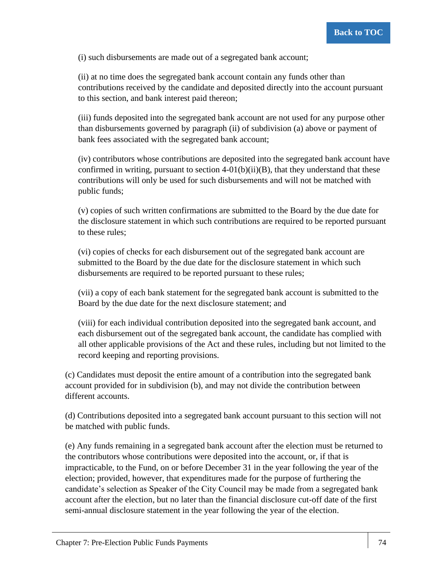(i) such disbursements are made out of a segregated bank account;

(ii) at no time does the segregated bank account contain any funds other than contributions received by the candidate and deposited directly into the account pursuant to this section, and bank interest paid thereon;

(iii) funds deposited into the segregated bank account are not used for any purpose other than disbursements governed by paragraph (ii) of subdivision (a) above or payment of bank fees associated with the segregated bank account;

(iv) contributors whose contributions are deposited into the segregated bank account have confirmed in writing, pursuant to section  $4-01(b)(ii)(B)$ , that they understand that these contributions will only be used for such disbursements and will not be matched with public funds;

(v) copies of such written confirmations are submitted to the Board by the due date for the disclosure statement in which such contributions are required to be reported pursuant to these rules;

(vi) copies of checks for each disbursement out of the segregated bank account are submitted to the Board by the due date for the disclosure statement in which such disbursements are required to be reported pursuant to these rules;

(vii) a copy of each bank statement for the segregated bank account is submitted to the Board by the due date for the next disclosure statement; and

(viii) for each individual contribution deposited into the segregated bank account, and each disbursement out of the segregated bank account, the candidate has complied with all other applicable provisions of the Act and these rules, including but not limited to the record keeping and reporting provisions.

(c) Candidates must deposit the entire amount of a contribution into the segregated bank account provided for in subdivision (b), and may not divide the contribution between different accounts.

(d) Contributions deposited into a segregated bank account pursuant to this section will not be matched with public funds.

(e) Any funds remaining in a segregated bank account after the election must be returned to the contributors whose contributions were deposited into the account, or, if that is impracticable, to the Fund, on or before December 31 in the year following the year of the election; provided, however, that expenditures made for the purpose of furthering the candidate's selection as Speaker of the City Council may be made from a segregated bank account after the election, but no later than the financial disclosure cut-off date of the first semi-annual disclosure statement in the year following the year of the election.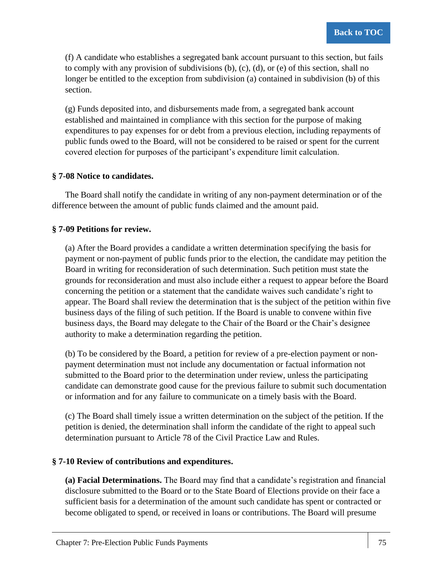(f) A candidate who establishes a segregated bank account pursuant to this section, but fails to comply with any provision of subdivisions  $(b)$ ,  $(c)$ ,  $(d)$ , or  $(e)$  of this section, shall no longer be entitled to the exception from subdivision (a) contained in subdivision (b) of this section.

(g) Funds deposited into, and disbursements made from, a segregated bank account established and maintained in compliance with this section for the purpose of making expenditures to pay expenses for or debt from a previous election, including repayments of public funds owed to the Board, will not be considered to be raised or spent for the current covered election for purposes of the participant's expenditure limit calculation.

## **§ 7-08 Notice to candidates.**

The Board shall notify the candidate in writing of any non-payment determination or of the difference between the amount of public funds claimed and the amount paid.

## **§ 7-09 Petitions for review.**

(a) After the Board provides a candidate a written determination specifying the basis for payment or non-payment of public funds prior to the election, the candidate may petition the Board in writing for reconsideration of such determination. Such petition must state the grounds for reconsideration and must also include either a request to appear before the Board concerning the petition or a statement that the candidate waives such candidate's right to appear. The Board shall review the determination that is the subject of the petition within five business days of the filing of such petition. If the Board is unable to convene within five business days, the Board may delegate to the Chair of the Board or the Chair's designee authority to make a determination regarding the petition.

(b) To be considered by the Board, a petition for review of a pre-election payment or nonpayment determination must not include any documentation or factual information not submitted to the Board prior to the determination under review, unless the participating candidate can demonstrate good cause for the previous failure to submit such documentation or information and for any failure to communicate on a timely basis with the Board.

(c) The Board shall timely issue a written determination on the subject of the petition. If the petition is denied, the determination shall inform the candidate of the right to appeal such determination pursuant to Article 78 of the Civil Practice Law and Rules.

## **§ 7-10 Review of contributions and expenditures.**

**(a) Facial Determinations.** The Board may find that a candidate's registration and financial disclosure submitted to the Board or to the State Board of Elections provide on their face a sufficient basis for a determination of the amount such candidate has spent or contracted or become obligated to spend, or received in loans or contributions. The Board will presume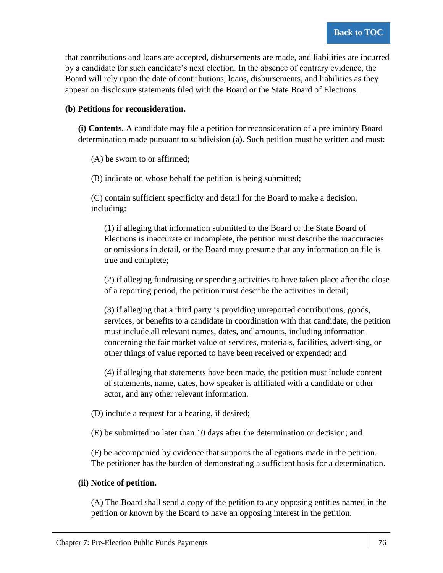that contributions and loans are accepted, disbursements are made, and liabilities are incurred by a candidate for such candidate's next election. In the absence of contrary evidence, the Board will rely upon the date of contributions, loans, disbursements, and liabilities as they appear on disclosure statements filed with the Board or the State Board of Elections.

## **(b) Petitions for reconsideration.**

**(i) Contents.** A candidate may file a petition for reconsideration of a preliminary Board determination made pursuant to subdivision (a). Such petition must be written and must:

(A) be sworn to or affirmed;

(B) indicate on whose behalf the petition is being submitted;

(C) contain sufficient specificity and detail for the Board to make a decision, including:

(1) if alleging that information submitted to the Board or the State Board of Elections is inaccurate or incomplete, the petition must describe the inaccuracies or omissions in detail, or the Board may presume that any information on file is true and complete;

(2) if alleging fundraising or spending activities to have taken place after the close of a reporting period, the petition must describe the activities in detail;

(3) if alleging that a third party is providing unreported contributions, goods, services, or benefits to a candidate in coordination with that candidate, the petition must include all relevant names, dates, and amounts, including information concerning the fair market value of services, materials, facilities, advertising, or other things of value reported to have been received or expended; and

(4) if alleging that statements have been made, the petition must include content of statements, name, dates, how speaker is affiliated with a candidate or other actor, and any other relevant information.

(D) include a request for a hearing, if desired;

(E) be submitted no later than 10 days after the determination or decision; and

(F) be accompanied by evidence that supports the allegations made in the petition. The petitioner has the burden of demonstrating a sufficient basis for a determination.

## **(ii) Notice of petition.**

(A) The Board shall send a copy of the petition to any opposing entities named in the petition or known by the Board to have an opposing interest in the petition.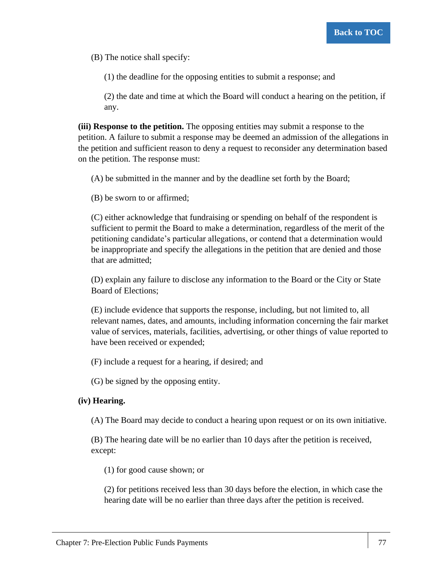(B) The notice shall specify:

(1) the deadline for the opposing entities to submit a response; and

(2) the date and time at which the Board will conduct a hearing on the petition, if any.

**(iii) Response to the petition.** The opposing entities may submit a response to the petition. A failure to submit a response may be deemed an admission of the allegations in the petition and sufficient reason to deny a request to reconsider any determination based on the petition. The response must:

(A) be submitted in the manner and by the deadline set forth by the Board;

(B) be sworn to or affirmed;

(C) either acknowledge that fundraising or spending on behalf of the respondent is sufficient to permit the Board to make a determination, regardless of the merit of the petitioning candidate's particular allegations, or contend that a determination would be inappropriate and specify the allegations in the petition that are denied and those that are admitted;

(D) explain any failure to disclose any information to the Board or the City or State Board of Elections;

(E) include evidence that supports the response, including, but not limited to, all relevant names, dates, and amounts, including information concerning the fair market value of services, materials, facilities, advertising, or other things of value reported to have been received or expended;

(F) include a request for a hearing, if desired; and

(G) be signed by the opposing entity.

## **(iv) Hearing.**

(A) The Board may decide to conduct a hearing upon request or on its own initiative.

(B) The hearing date will be no earlier than 10 days after the petition is received, except:

(1) for good cause shown; or

(2) for petitions received less than 30 days before the election, in which case the hearing date will be no earlier than three days after the petition is received.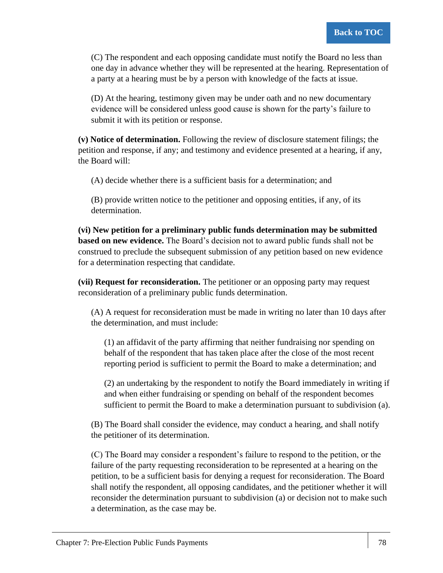(C) The respondent and each opposing candidate must notify the Board no less than one day in advance whether they will be represented at the hearing. Representation of a party at a hearing must be by a person with knowledge of the facts at issue.

(D) At the hearing, testimony given may be under oath and no new documentary evidence will be considered unless good cause is shown for the party's failure to submit it with its petition or response.

**(v) Notice of determination.** Following the review of disclosure statement filings; the petition and response, if any; and testimony and evidence presented at a hearing, if any, the Board will:

(A) decide whether there is a sufficient basis for a determination; and

(B) provide written notice to the petitioner and opposing entities, if any, of its determination.

**(vi) New petition for a preliminary public funds determination may be submitted based on new evidence.** The Board's decision not to award public funds shall not be construed to preclude the subsequent submission of any petition based on new evidence for a determination respecting that candidate.

**(vii) Request for reconsideration.** The petitioner or an opposing party may request reconsideration of a preliminary public funds determination.

(A) A request for reconsideration must be made in writing no later than 10 days after the determination, and must include:

(1) an affidavit of the party affirming that neither fundraising nor spending on behalf of the respondent that has taken place after the close of the most recent reporting period is sufficient to permit the Board to make a determination; and

(2) an undertaking by the respondent to notify the Board immediately in writing if and when either fundraising or spending on behalf of the respondent becomes sufficient to permit the Board to make a determination pursuant to subdivision (a).

(B) The Board shall consider the evidence, may conduct a hearing, and shall notify the petitioner of its determination.

(C) The Board may consider a respondent's failure to respond to the petition, or the failure of the party requesting reconsideration to be represented at a hearing on the petition, to be a sufficient basis for denying a request for reconsideration. The Board shall notify the respondent, all opposing candidates, and the petitioner whether it will reconsider the determination pursuant to subdivision (a) or decision not to make such a determination, as the case may be.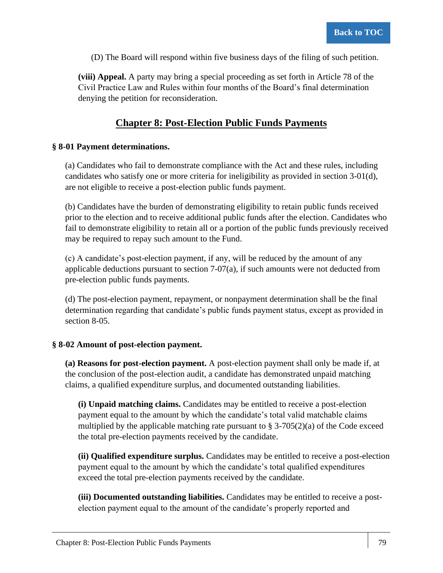(D) The Board will respond within five business days of the filing of such petition.

**(viii) Appeal.** A party may bring a special proceeding as set forth in Article 78 of the Civil Practice Law and Rules within four months of the Board's final determination denying the petition for reconsideration.

# **Chapter 8: Post-Election Public Funds Payments**

## **§ 8-01 Payment determinations.**

(a) Candidates who fail to demonstrate compliance with the Act and these rules, including candidates who satisfy one or more criteria for ineligibility as provided in section 3-01(d), are not eligible to receive a post-election public funds payment.

(b) Candidates have the burden of demonstrating eligibility to retain public funds received prior to the election and to receive additional public funds after the election. Candidates who fail to demonstrate eligibility to retain all or a portion of the public funds previously received may be required to repay such amount to the Fund.

(c) A candidate's post-election payment, if any, will be reduced by the amount of any applicable deductions pursuant to section 7-07(a), if such amounts were not deducted from pre-election public funds payments.

(d) The post-election payment, repayment, or nonpayment determination shall be the final determination regarding that candidate's public funds payment status, except as provided in section 8-05.

## **§ 8-02 Amount of post-election payment.**

**(a) Reasons for post-election payment.** A post-election payment shall only be made if, at the conclusion of the post-election audit, a candidate has demonstrated unpaid matching claims, a qualified expenditure surplus, and documented outstanding liabilities.

**(i) Unpaid matching claims.** Candidates may be entitled to receive a post-election payment equal to the amount by which the candidate's total valid matchable claims multiplied by the applicable matching rate pursuant to  $\S 3-705(2)(a)$  of the Code exceed the total pre-election payments received by the candidate.

**(ii) Qualified expenditure surplus.** Candidates may be entitled to receive a post-election payment equal to the amount by which the candidate's total qualified expenditures exceed the total pre-election payments received by the candidate.

**(iii) Documented outstanding liabilities.** Candidates may be entitled to receive a postelection payment equal to the amount of the candidate's properly reported and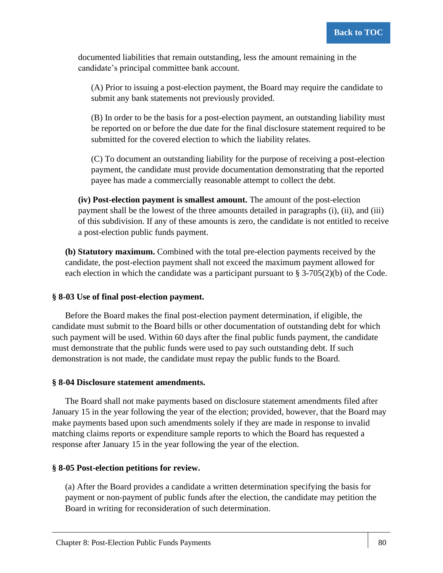documented liabilities that remain outstanding, less the amount remaining in the candidate's principal committee bank account.

(A) Prior to issuing a post-election payment, the Board may require the candidate to submit any bank statements not previously provided.

(B) In order to be the basis for a post-election payment, an outstanding liability must be reported on or before the due date for the final disclosure statement required to be submitted for the covered election to which the liability relates.

(C) To document an outstanding liability for the purpose of receiving a post-election payment, the candidate must provide documentation demonstrating that the reported payee has made a commercially reasonable attempt to collect the debt.

**(iv) Post-election payment is smallest amount.** The amount of the post-election payment shall be the lowest of the three amounts detailed in paragraphs (i), (ii), and (iii) of this subdivision. If any of these amounts is zero, the candidate is not entitled to receive a post-election public funds payment.

**(b) Statutory maximum.** Combined with the total pre-election payments received by the candidate, the post-election payment shall not exceed the maximum payment allowed for each election in which the candidate was a participant pursuant to § 3-705(2)(b) of the Code.

## **§ 8-03 Use of final post-election payment.**

Before the Board makes the final post-election payment determination, if eligible, the candidate must submit to the Board bills or other documentation of outstanding debt for which such payment will be used. Within 60 days after the final public funds payment, the candidate must demonstrate that the public funds were used to pay such outstanding debt. If such demonstration is not made, the candidate must repay the public funds to the Board.

## **§ 8-04 Disclosure statement amendments.**

The Board shall not make payments based on disclosure statement amendments filed after January 15 in the year following the year of the election; provided, however, that the Board may make payments based upon such amendments solely if they are made in response to invalid matching claims reports or expenditure sample reports to which the Board has requested a response after January 15 in the year following the year of the election.

## **§ 8-05 Post-election petitions for review.**

(a) After the Board provides a candidate a written determination specifying the basis for payment or non-payment of public funds after the election, the candidate may petition the Board in writing for reconsideration of such determination.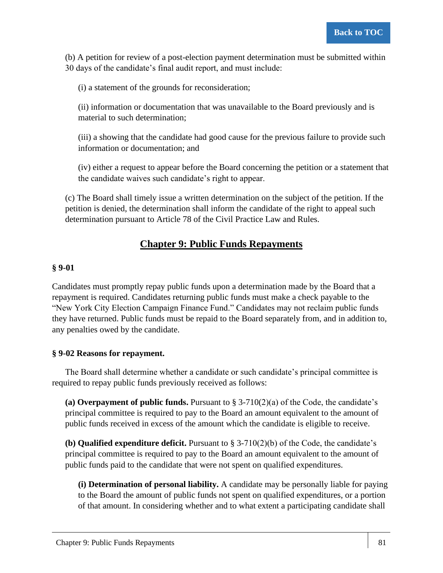(b) A petition for review of a post-election payment determination must be submitted within 30 days of the candidate's final audit report, and must include:

(i) a statement of the grounds for reconsideration;

(ii) information or documentation that was unavailable to the Board previously and is material to such determination;

(iii) a showing that the candidate had good cause for the previous failure to provide such information or documentation; and

(iv) either a request to appear before the Board concerning the petition or a statement that the candidate waives such candidate's right to appear.

(c) The Board shall timely issue a written determination on the subject of the petition. If the petition is denied, the determination shall inform the candidate of the right to appeal such determination pursuant to Article 78 of the Civil Practice Law and Rules.

# **Chapter 9: Public Funds Repayments**

## **§ 9-01**

Candidates must promptly repay public funds upon a determination made by the Board that a repayment is required. Candidates returning public funds must make a check payable to the "New York City Election Campaign Finance Fund." Candidates may not reclaim public funds they have returned. Public funds must be repaid to the Board separately from, and in addition to, any penalties owed by the candidate.

## **§ 9-02 Reasons for repayment.**

The Board shall determine whether a candidate or such candidate's principal committee is required to repay public funds previously received as follows:

(a) Overpayment of public funds. Pursuant to  $\S 3-710(2)(a)$  of the Code, the candidate's principal committee is required to pay to the Board an amount equivalent to the amount of public funds received in excess of the amount which the candidate is eligible to receive.

**(b) Qualified expenditure deficit.** Pursuant to § 3-710(2)(b) of the Code, the candidate's principal committee is required to pay to the Board an amount equivalent to the amount of public funds paid to the candidate that were not spent on qualified expenditures.

**(i) Determination of personal liability.** A candidate may be personally liable for paying to the Board the amount of public funds not spent on qualified expenditures, or a portion of that amount. In considering whether and to what extent a participating candidate shall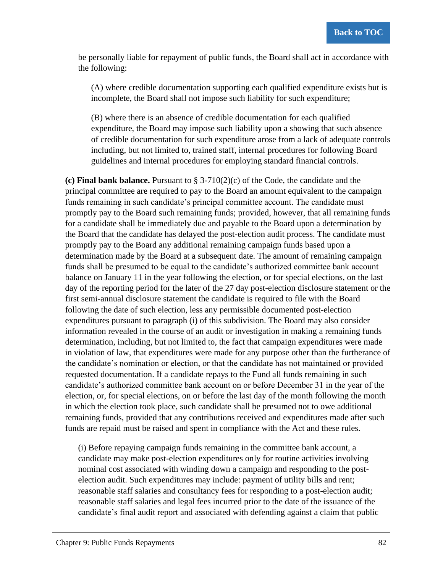be personally liable for repayment of public funds, the Board shall act in accordance with the following:

(A) where credible documentation supporting each qualified expenditure exists but is incomplete, the Board shall not impose such liability for such expenditure;

(B) where there is an absence of credible documentation for each qualified expenditure, the Board may impose such liability upon a showing that such absence of credible documentation for such expenditure arose from a lack of adequate controls including, but not limited to, trained staff, internal procedures for following Board guidelines and internal procedures for employing standard financial controls.

**(c) Final bank balance.** Pursuant to § 3-710(2)(c) of the Code, the candidate and the principal committee are required to pay to the Board an amount equivalent to the campaign funds remaining in such candidate's principal committee account. The candidate must promptly pay to the Board such remaining funds; provided, however, that all remaining funds for a candidate shall be immediately due and payable to the Board upon a determination by the Board that the candidate has delayed the post-election audit process. The candidate must promptly pay to the Board any additional remaining campaign funds based upon a determination made by the Board at a subsequent date. The amount of remaining campaign funds shall be presumed to be equal to the candidate's authorized committee bank account balance on January 11 in the year following the election, or for special elections, on the last day of the reporting period for the later of the 27 day post-election disclosure statement or the first semi-annual disclosure statement the candidate is required to file with the Board following the date of such election, less any permissible documented post-election expenditures pursuant to paragraph (i) of this subdivision. The Board may also consider information revealed in the course of an audit or investigation in making a remaining funds determination, including, but not limited to, the fact that campaign expenditures were made in violation of law, that expenditures were made for any purpose other than the furtherance of the candidate's nomination or election, or that the candidate has not maintained or provided requested documentation. If a candidate repays to the Fund all funds remaining in such candidate's authorized committee bank account on or before December 31 in the year of the election, or, for special elections, on or before the last day of the month following the month in which the election took place, such candidate shall be presumed not to owe additional remaining funds, provided that any contributions received and expenditures made after such funds are repaid must be raised and spent in compliance with the Act and these rules.

(i) Before repaying campaign funds remaining in the committee bank account, a candidate may make post-election expenditures only for routine activities involving nominal cost associated with winding down a campaign and responding to the postelection audit. Such expenditures may include: payment of utility bills and rent; reasonable staff salaries and consultancy fees for responding to a post-election audit; reasonable staff salaries and legal fees incurred prior to the date of the issuance of the candidate's final audit report and associated with defending against a claim that public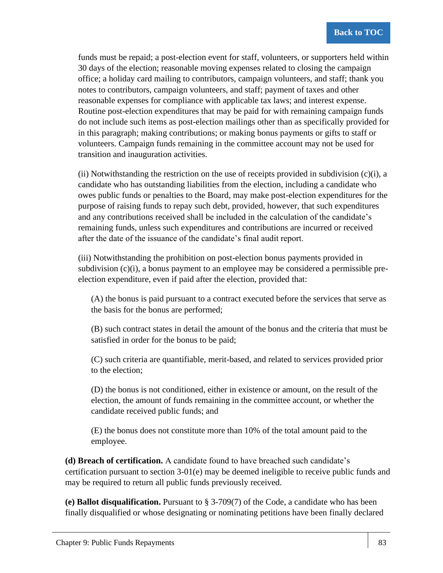funds must be repaid; a post-election event for staff, volunteers, or supporters held within 30 days of the election; reasonable moving expenses related to closing the campaign office; a holiday card mailing to contributors, campaign volunteers, and staff; thank you notes to contributors, campaign volunteers, and staff; payment of taxes and other reasonable expenses for compliance with applicable tax laws; and interest expense. Routine post-election expenditures that may be paid for with remaining campaign funds do not include such items as post-election mailings other than as specifically provided for in this paragraph; making contributions; or making bonus payments or gifts to staff or volunteers. Campaign funds remaining in the committee account may not be used for transition and inauguration activities.

(ii) Notwithstanding the restriction on the use of receipts provided in subdivision  $(c)(i)$ , a candidate who has outstanding liabilities from the election, including a candidate who owes public funds or penalties to the Board, may make post-election expenditures for the purpose of raising funds to repay such debt, provided, however, that such expenditures and any contributions received shall be included in the calculation of the candidate's remaining funds, unless such expenditures and contributions are incurred or received after the date of the issuance of the candidate's final audit report.

(iii) Notwithstanding the prohibition on post-election bonus payments provided in subdivision (c)(i), a bonus payment to an employee may be considered a permissible preelection expenditure, even if paid after the election, provided that:

(A) the bonus is paid pursuant to a contract executed before the services that serve as the basis for the bonus are performed;

(B) such contract states in detail the amount of the bonus and the criteria that must be satisfied in order for the bonus to be paid;

(C) such criteria are quantifiable, merit-based, and related to services provided prior to the election;

(D) the bonus is not conditioned, either in existence or amount, on the result of the election, the amount of funds remaining in the committee account, or whether the candidate received public funds; and

(E) the bonus does not constitute more than 10% of the total amount paid to the employee.

**(d) Breach of certification.** A candidate found to have breached such candidate's certification pursuant to section 3-01(e) may be deemed ineligible to receive public funds and may be required to return all public funds previously received.

**(e) Ballot disqualification.** Pursuant to § 3-709(7) of the Code, a candidate who has been finally disqualified or whose designating or nominating petitions have been finally declared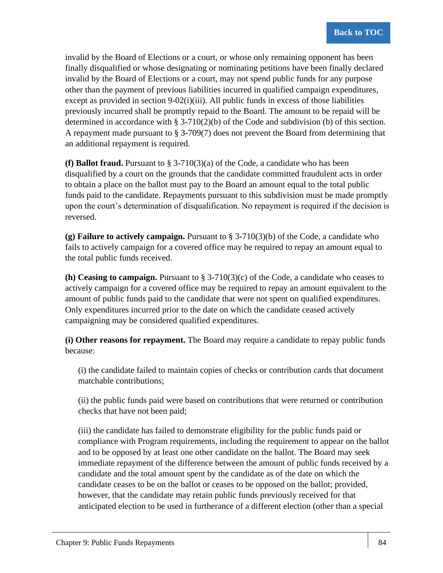invalid by the Board of Elections or a court, or whose only remaining opponent has been finally disqualified or whose designating or nominating petitions have been finally declared invalid by the Board of Elections or a court, may not spend public funds for any purpose other than the payment of previous liabilities incurred in qualified campaign expenditures, except as provided in section  $9-02(i)(iii)$ . All public funds in excess of those liabilities previously incurred shall be promptly repaid to the Board. The amount to be repaid will be determined in accordance with § 3-710(2)(b) of the Code and subdivision (b) of this section. A repayment made pursuant to  $\S 3-709(7)$  does not prevent the Board from determining that an additional repayment is required.

**(f) Ballot fraud.** Pursuant to  $\S 3-710(3)(a)$  of the Code, a candidate who has been disqualified by a court on the grounds that the candidate committed fraudulent acts in order to obtain a place on the ballot must pay to the Board an amount equal to the total public funds paid to the candidate. Repayments pursuant to this subdivision must be made promptly upon the court's determination of disqualification. No repayment is required if the decision is reversed.

**(g) Failure to actively campaign.** Pursuant to § 3-710(3)(b) of the Code, a candidate who fails to actively campaign for a covered office may be required to repay an amount equal to the total public funds received.

**(h) Ceasing to campaign.** Pursuant to  $\S 3-710(3)(c)$  of the Code, a candidate who ceases to actively campaign for a covered office may be required to repay an amount equivalent to the amount of public funds paid to the candidate that were not spent on qualified expenditures. Only expenditures incurred prior to the date on which the candidate ceased actively campaigning may be considered qualified expenditures.

**(i) Other reasons for repayment.** The Board may require a candidate to repay public funds because:

(i) the candidate failed to maintain copies of checks or contribution cards that document matchable contributions;

(ii) the public funds paid were based on contributions that were returned or contribution checks that have not been paid;

(iii) the candidate has failed to demonstrate eligibility for the public funds paid or compliance with Program requirements, including the requirement to appear on the ballot and to be opposed by at least one other candidate on the ballot. The Board may seek immediate repayment of the difference between the amount of public funds received by a candidate and the total amount spent by the candidate as of the date on which the candidate ceases to be on the ballot or ceases to be opposed on the ballot; provided, however, that the candidate may retain public funds previously received for that anticipated election to be used in furtherance of a different election (other than a special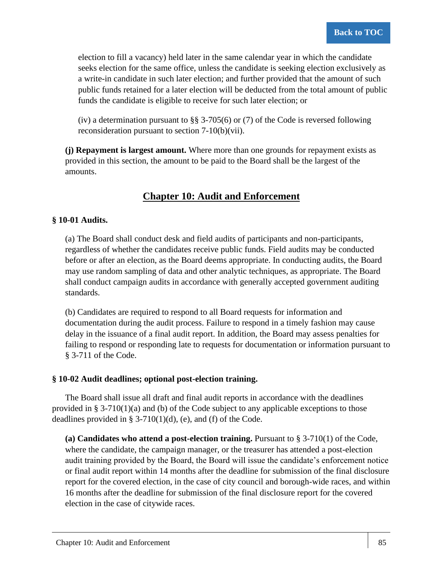election to fill a vacancy) held later in the same calendar year in which the candidate seeks election for the same office, unless the candidate is seeking election exclusively as a write-in candidate in such later election; and further provided that the amount of such public funds retained for a later election will be deducted from the total amount of public funds the candidate is eligible to receive for such later election; or

(iv) a determination pursuant to §§ 3-705(6) or (7) of the Code is reversed following reconsideration pursuant to section 7-10(b)(vii).

**(j) Repayment is largest amount.** Where more than one grounds for repayment exists as provided in this section, the amount to be paid to the Board shall be the largest of the amounts.

# **Chapter 10: Audit and Enforcement**

## **§ 10-01 Audits.**

(a) The Board shall conduct desk and field audits of participants and non-participants, regardless of whether the candidates receive public funds. Field audits may be conducted before or after an election, as the Board deems appropriate. In conducting audits, the Board may use random sampling of data and other analytic techniques, as appropriate. The Board shall conduct campaign audits in accordance with generally accepted government auditing standards.

(b) Candidates are required to respond to all Board requests for information and documentation during the audit process. Failure to respond in a timely fashion may cause delay in the issuance of a final audit report. In addition, the Board may assess penalties for failing to respond or responding late to requests for documentation or information pursuant to § 3-711 of the Code.

## **§ 10-02 Audit deadlines; optional post-election training.**

The Board shall issue all draft and final audit reports in accordance with the deadlines provided in § 3-710(1)(a) and (b) of the Code subject to any applicable exceptions to those deadlines provided in §  $3-710(1)(d)$ , (e), and (f) of the Code.

**(a) Candidates who attend a post-election training.** Pursuant to § 3-710(1) of the Code, where the candidate, the campaign manager, or the treasurer has attended a post-election audit training provided by the Board, the Board will issue the candidate's enforcement notice or final audit report within 14 months after the deadline for submission of the final disclosure report for the covered election, in the case of city council and borough-wide races, and within 16 months after the deadline for submission of the final disclosure report for the covered election in the case of citywide races.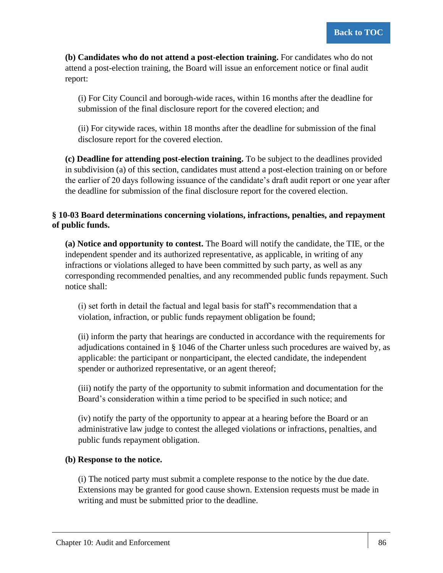**(b) Candidates who do not attend a post-election training.** For candidates who do not attend a post-election training, the Board will issue an enforcement notice or final audit report:

(i) For City Council and borough-wide races, within 16 months after the deadline for submission of the final disclosure report for the covered election; and

(ii) For citywide races, within 18 months after the deadline for submission of the final disclosure report for the covered election.

**(c) Deadline for attending post-election training.** To be subject to the deadlines provided in subdivision (a) of this section, candidates must attend a post-election training on or before the earlier of 20 days following issuance of the candidate's draft audit report or one year after the deadline for submission of the final disclosure report for the covered election.

## **§ 10-03 Board determinations concerning violations, infractions, penalties, and repayment of public funds.**

**(a) Notice and opportunity to contest.** The Board will notify the candidate, the TIE, or the independent spender and its authorized representative, as applicable, in writing of any infractions or violations alleged to have been committed by such party, as well as any corresponding recommended penalties, and any recommended public funds repayment. Such notice shall:

(i) set forth in detail the factual and legal basis for staff's recommendation that a violation, infraction, or public funds repayment obligation be found;

(ii) inform the party that hearings are conducted in accordance with the requirements for adjudications contained in § 1046 of the Charter unless such procedures are waived by, as applicable: the participant or nonparticipant, the elected candidate, the independent spender or authorized representative, or an agent thereof;

(iii) notify the party of the opportunity to submit information and documentation for the Board's consideration within a time period to be specified in such notice; and

(iv) notify the party of the opportunity to appear at a hearing before the Board or an administrative law judge to contest the alleged violations or infractions, penalties, and public funds repayment obligation.

## **(b) Response to the notice.**

(i) The noticed party must submit a complete response to the notice by the due date. Extensions may be granted for good cause shown. Extension requests must be made in writing and must be submitted prior to the deadline.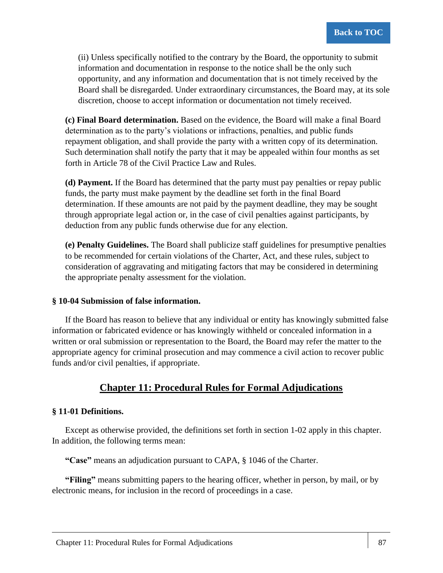(ii) Unless specifically notified to the contrary by the Board, the opportunity to submit information and documentation in response to the notice shall be the only such opportunity, and any information and documentation that is not timely received by the Board shall be disregarded. Under extraordinary circumstances, the Board may, at its sole discretion, choose to accept information or documentation not timely received.

**(c) Final Board determination.** Based on the evidence, the Board will make a final Board determination as to the party's violations or infractions, penalties, and public funds repayment obligation, and shall provide the party with a written copy of its determination. Such determination shall notify the party that it may be appealed within four months as set forth in Article 78 of the Civil Practice Law and Rules.

**(d) Payment.** If the Board has determined that the party must pay penalties or repay public funds, the party must make payment by the deadline set forth in the final Board determination. If these amounts are not paid by the payment deadline, they may be sought through appropriate legal action or, in the case of civil penalties against participants, by deduction from any public funds otherwise due for any election.

**(e) Penalty Guidelines.** The Board shall publicize staff guidelines for presumptive penalties to be recommended for certain violations of the Charter, Act, and these rules, subject to consideration of aggravating and mitigating factors that may be considered in determining the appropriate penalty assessment for the violation.

## **§ 10-04 Submission of false information.**

If the Board has reason to believe that any individual or entity has knowingly submitted false information or fabricated evidence or has knowingly withheld or concealed information in a written or oral submission or representation to the Board, the Board may refer the matter to the appropriate agency for criminal prosecution and may commence a civil action to recover public funds and/or civil penalties, if appropriate.

## **Chapter 11: Procedural Rules for Formal Adjudications**

## **§ 11-01 Definitions.**

Except as otherwise provided, the definitions set forth in section 1-02 apply in this chapter. In addition, the following terms mean:

**"Case"** means an adjudication pursuant to CAPA, § 1046 of the Charter.

**"Filing"** means submitting papers to the hearing officer, whether in person, by mail, or by electronic means, for inclusion in the record of proceedings in a case.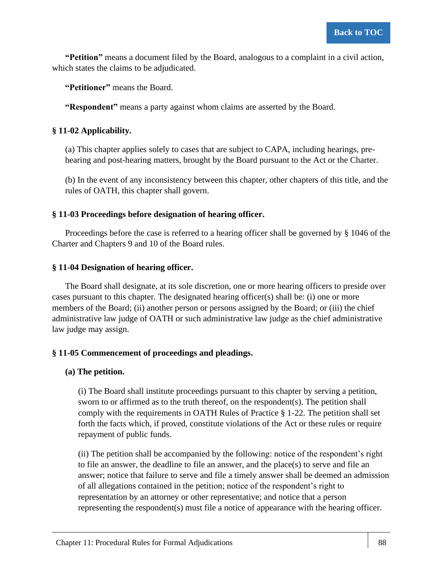**"Petition"** means a document filed by the Board, analogous to a complaint in a civil action, which states the claims to be adjudicated.

**"Petitioner"** means the Board.

**"Respondent"** means a party against whom claims are asserted by the Board.

## **§ 11-02 Applicability.**

(a) This chapter applies solely to cases that are subject to CAPA, including hearings, prehearing and post-hearing matters, brought by the Board pursuant to the Act or the Charter.

(b) In the event of any inconsistency between this chapter, other chapters of this title, and the rules of OATH, this chapter shall govern.

## **§ 11-03 Proceedings before designation of hearing officer.**

Proceedings before the case is referred to a hearing officer shall be governed by § 1046 of the Charter and Chapters 9 and 10 of the Board rules.

## **§ 11-04 Designation of hearing officer.**

The Board shall designate, at its sole discretion, one or more hearing officers to preside over cases pursuant to this chapter. The designated hearing officer(s) shall be: (i) one or more members of the Board; (ii) another person or persons assigned by the Board; or (iii) the chief administrative law judge of OATH or such administrative law judge as the chief administrative law judge may assign.

## **§ 11-05 Commencement of proceedings and pleadings.**

## **(a) The petition.**

(i) The Board shall institute proceedings pursuant to this chapter by serving a petition, sworn to or affirmed as to the truth thereof, on the respondent(s). The petition shall comply with the requirements in OATH Rules of Practice § 1-22. The petition shall set forth the facts which, if proved, constitute violations of the Act or these rules or require repayment of public funds.

(ii) The petition shall be accompanied by the following: notice of the respondent's right to file an answer, the deadline to file an answer, and the place(s) to serve and file an answer; notice that failure to serve and file a timely answer shall be deemed an admission of all allegations contained in the petition; notice of the respondent's right to representation by an attorney or other representative; and notice that a person representing the respondent(s) must file a notice of appearance with the hearing officer.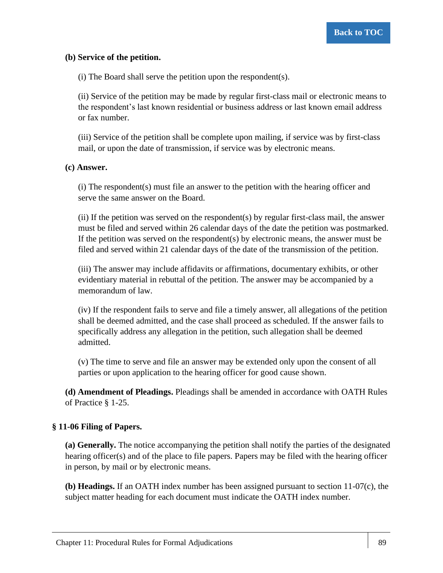#### **(b) Service of the petition.**

(i) The Board shall serve the petition upon the respondent(s).

(ii) Service of the petition may be made by regular first-class mail or electronic means to the respondent's last known residential or business address or last known email address or fax number.

(iii) Service of the petition shall be complete upon mailing, if service was by first-class mail, or upon the date of transmission, if service was by electronic means.

#### **(c) Answer.**

(i) The respondent(s) must file an answer to the petition with the hearing officer and serve the same answer on the Board.

(ii) If the petition was served on the respondent(s) by regular first-class mail, the answer must be filed and served within 26 calendar days of the date the petition was postmarked. If the petition was served on the respondent(s) by electronic means, the answer must be filed and served within 21 calendar days of the date of the transmission of the petition.

(iii) The answer may include affidavits or affirmations, documentary exhibits, or other evidentiary material in rebuttal of the petition. The answer may be accompanied by a memorandum of law.

(iv) If the respondent fails to serve and file a timely answer, all allegations of the petition shall be deemed admitted, and the case shall proceed as scheduled. If the answer fails to specifically address any allegation in the petition, such allegation shall be deemed admitted.

(v) The time to serve and file an answer may be extended only upon the consent of all parties or upon application to the hearing officer for good cause shown.

**(d) Amendment of Pleadings.** Pleadings shall be amended in accordance with OATH Rules of Practice § 1-25.

## **§ 11-06 Filing of Papers.**

**(a) Generally.** The notice accompanying the petition shall notify the parties of the designated hearing officer(s) and of the place to file papers. Papers may be filed with the hearing officer in person, by mail or by electronic means.

**(b) Headings.** If an OATH index number has been assigned pursuant to section 11-07(c), the subject matter heading for each document must indicate the OATH index number.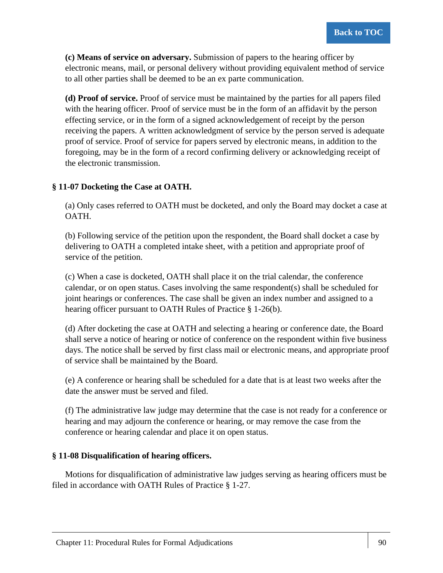**(c) Means of service on adversary.** Submission of papers to the hearing officer by electronic means, mail, or personal delivery without providing equivalent method of service to all other parties shall be deemed to be an ex parte communication.

**(d) Proof of service.** Proof of service must be maintained by the parties for all papers filed with the hearing officer. Proof of service must be in the form of an affidavit by the person effecting service, or in the form of a signed acknowledgement of receipt by the person receiving the papers. A written acknowledgment of service by the person served is adequate proof of service. Proof of service for papers served by electronic means, in addition to the foregoing, may be in the form of a record confirming delivery or acknowledging receipt of the electronic transmission.

## **§ 11-07 Docketing the Case at OATH.**

(a) Only cases referred to OATH must be docketed, and only the Board may docket a case at OATH.

(b) Following service of the petition upon the respondent, the Board shall docket a case by delivering to OATH a completed intake sheet, with a petition and appropriate proof of service of the petition.

(c) When a case is docketed, OATH shall place it on the trial calendar, the conference calendar, or on open status. Cases involving the same respondent(s) shall be scheduled for joint hearings or conferences. The case shall be given an index number and assigned to a hearing officer pursuant to OATH Rules of Practice § 1-26(b).

(d) After docketing the case at OATH and selecting a hearing or conference date, the Board shall serve a notice of hearing or notice of conference on the respondent within five business days. The notice shall be served by first class mail or electronic means, and appropriate proof of service shall be maintained by the Board.

(e) A conference or hearing shall be scheduled for a date that is at least two weeks after the date the answer must be served and filed.

(f) The administrative law judge may determine that the case is not ready for a conference or hearing and may adjourn the conference or hearing, or may remove the case from the conference or hearing calendar and place it on open status.

## **§ 11-08 Disqualification of hearing officers.**

Motions for disqualification of administrative law judges serving as hearing officers must be filed in accordance with OATH Rules of Practice § 1-27.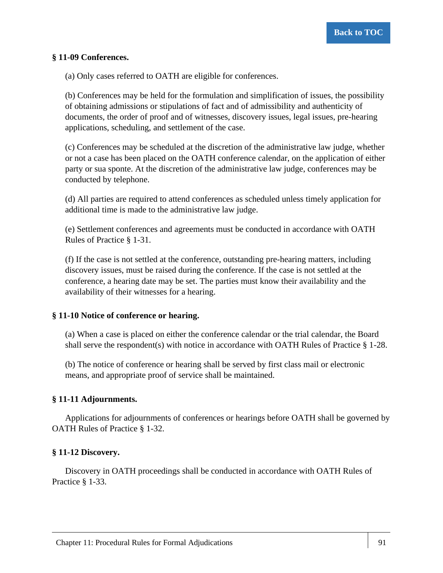## **§ 11-09 Conferences.**

(a) Only cases referred to OATH are eligible for conferences.

(b) Conferences may be held for the formulation and simplification of issues, the possibility of obtaining admissions or stipulations of fact and of admissibility and authenticity of documents, the order of proof and of witnesses, discovery issues, legal issues, pre-hearing applications, scheduling, and settlement of the case.

(c) Conferences may be scheduled at the discretion of the administrative law judge, whether or not a case has been placed on the OATH conference calendar, on the application of either party or sua sponte. At the discretion of the administrative law judge, conferences may be conducted by telephone.

(d) All parties are required to attend conferences as scheduled unless timely application for additional time is made to the administrative law judge.

(e) Settlement conferences and agreements must be conducted in accordance with OATH Rules of Practice § 1-31.

(f) If the case is not settled at the conference, outstanding pre-hearing matters, including discovery issues, must be raised during the conference. If the case is not settled at the conference, a hearing date may be set. The parties must know their availability and the availability of their witnesses for a hearing.

#### **§ 11-10 Notice of conference or hearing.**

(a) When a case is placed on either the conference calendar or the trial calendar, the Board shall serve the respondent(s) with notice in accordance with OATH Rules of Practice  $\S$  1-28.

(b) The notice of conference or hearing shall be served by first class mail or electronic means, and appropriate proof of service shall be maintained.

## **§ 11-11 Adjournments.**

Applications for adjournments of conferences or hearings before OATH shall be governed by OATH Rules of Practice § 1-32.

#### **§ 11-12 Discovery.**

Discovery in OATH proceedings shall be conducted in accordance with OATH Rules of Practice § 1-33.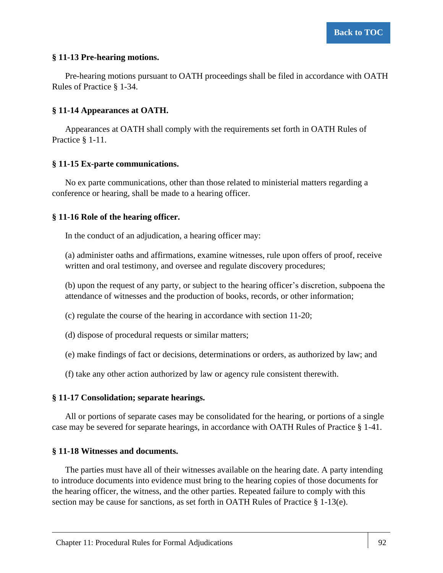## **§ 11-13 Pre-hearing motions.**

Pre-hearing motions pursuant to OATH proceedings shall be filed in accordance with OATH Rules of Practice § 1-34.

## **§ 11-14 Appearances at OATH.**

Appearances at OATH shall comply with the requirements set forth in OATH Rules of Practice § 1-11.

## **§ 11-15 Ex-parte communications.**

No ex parte communications, other than those related to ministerial matters regarding a conference or hearing, shall be made to a hearing officer.

## **§ 11-16 Role of the hearing officer.**

In the conduct of an adjudication, a hearing officer may:

(a) administer oaths and affirmations, examine witnesses, rule upon offers of proof, receive written and oral testimony, and oversee and regulate discovery procedures;

(b) upon the request of any party, or subject to the hearing officer's discretion, subpoena the attendance of witnesses and the production of books, records, or other information;

(c) regulate the course of the hearing in accordance with section 11-20;

- (d) dispose of procedural requests or similar matters;
- (e) make findings of fact or decisions, determinations or orders, as authorized by law; and
- (f) take any other action authorized by law or agency rule consistent therewith.

## **§ 11-17 Consolidation; separate hearings.**

All or portions of separate cases may be consolidated for the hearing, or portions of a single case may be severed for separate hearings, in accordance with OATH Rules of Practice § 1-41.

## **§ 11-18 Witnesses and documents.**

The parties must have all of their witnesses available on the hearing date. A party intending to introduce documents into evidence must bring to the hearing copies of those documents for the hearing officer, the witness, and the other parties. Repeated failure to comply with this section may be cause for sanctions, as set forth in OATH Rules of Practice  $\S 1-13(e)$ .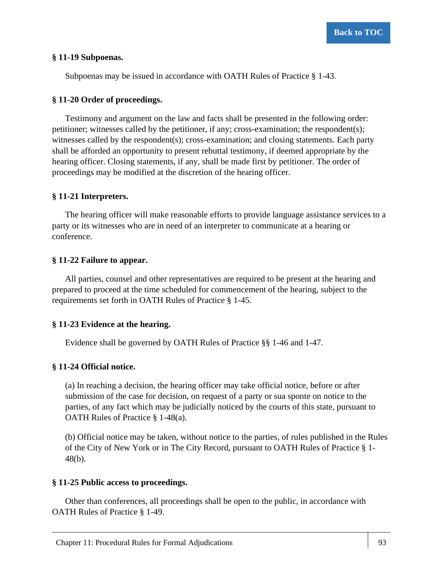#### **§ 11-19 Subpoenas.**

Subpoenas may be issued in accordance with OATH Rules of Practice § 1-43.

#### **§ 11-20 Order of proceedings.**

Testimony and argument on the law and facts shall be presented in the following order: petitioner; witnesses called by the petitioner, if any; cross-examination; the respondent(s); witnesses called by the respondent(s); cross-examination; and closing statements. Each party shall be afforded an opportunity to present rebuttal testimony, if deemed appropriate by the hearing officer. Closing statements, if any, shall be made first by petitioner. The order of proceedings may be modified at the discretion of the hearing officer.

#### **§ 11-21 Interpreters.**

The hearing officer will make reasonable efforts to provide language assistance services to a party or its witnesses who are in need of an interpreter to communicate at a hearing or conference.

#### **§ 11-22 Failure to appear.**

All parties, counsel and other representatives are required to be present at the hearing and prepared to proceed at the time scheduled for commencement of the hearing, subject to the requirements set forth in OATH Rules of Practice § 1-45.

## **§ 11-23 Evidence at the hearing.**

Evidence shall be governed by OATH Rules of Practice §§ 1-46 and 1-47.

## **§ 11-24 Official notice.**

(a) In reaching a decision, the hearing officer may take official notice, before or after submission of the case for decision, on request of a party or sua sponte on notice to the parties, of any fact which may be judicially noticed by the courts of this state, pursuant to OATH Rules of Practice § 1-48(a).

(b) Official notice may be taken, without notice to the parties, of rules published in the Rules of the City of New York or in The City Record, pursuant to OATH Rules of Practice § 1- 48(b).

#### **§ 11-25 Public access to proceedings.**

Other than conferences, all proceedings shall be open to the public, in accordance with OATH Rules of Practice § 1-49.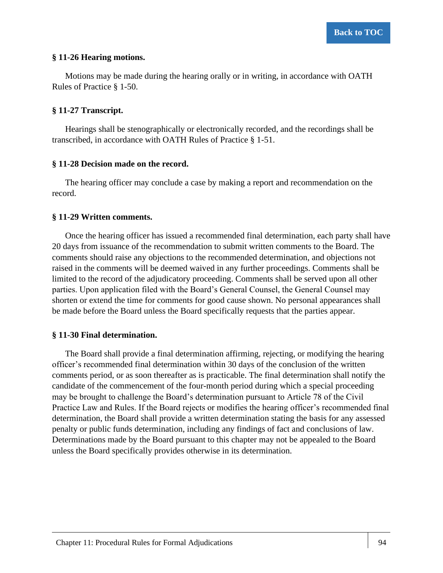#### **§ 11-26 Hearing motions.**

Motions may be made during the hearing orally or in writing, in accordance with OATH Rules of Practice § 1-50.

#### **§ 11-27 Transcript.**

Hearings shall be stenographically or electronically recorded, and the recordings shall be transcribed, in accordance with OATH Rules of Practice § 1-51.

#### **§ 11-28 Decision made on the record.**

The hearing officer may conclude a case by making a report and recommendation on the record.

#### **§ 11-29 Written comments.**

Once the hearing officer has issued a recommended final determination, each party shall have 20 days from issuance of the recommendation to submit written comments to the Board. The comments should raise any objections to the recommended determination, and objections not raised in the comments will be deemed waived in any further proceedings. Comments shall be limited to the record of the adjudicatory proceeding. Comments shall be served upon all other parties. Upon application filed with the Board's General Counsel, the General Counsel may shorten or extend the time for comments for good cause shown. No personal appearances shall be made before the Board unless the Board specifically requests that the parties appear.

## **§ 11-30 Final determination.**

The Board shall provide a final determination affirming, rejecting, or modifying the hearing officer's recommended final determination within 30 days of the conclusion of the written comments period, or as soon thereafter as is practicable. The final determination shall notify the candidate of the commencement of the four-month period during which a special proceeding may be brought to challenge the Board's determination pursuant to Article 78 of the Civil Practice Law and Rules. If the Board rejects or modifies the hearing officer's recommended final determination, the Board shall provide a written determination stating the basis for any assessed penalty or public funds determination, including any findings of fact and conclusions of law. Determinations made by the Board pursuant to this chapter may not be appealed to the Board unless the Board specifically provides otherwise in its determination.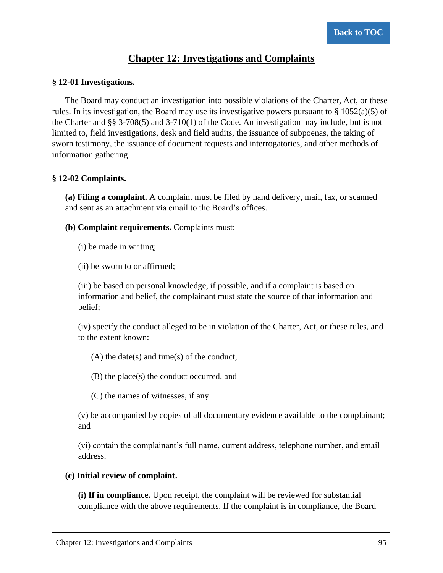## **Chapter 12: Investigations and Complaints**

## **§ 12-01 Investigations.**

The Board may conduct an investigation into possible violations of the Charter, Act, or these rules. In its investigation, the Board may use its investigative powers pursuant to  $\S 1052(a)(5)$  of the Charter and §§ 3-708(5) and 3-710(1) of the Code. An investigation may include, but is not limited to, field investigations, desk and field audits, the issuance of subpoenas, the taking of sworn testimony, the issuance of document requests and interrogatories, and other methods of information gathering.

## **§ 12-02 Complaints.**

**(a) Filing a complaint.** A complaint must be filed by hand delivery, mail, fax, or scanned and sent as an attachment via email to the Board's offices.

- **(b) Complaint requirements.** Complaints must:
	- (i) be made in writing;
	- (ii) be sworn to or affirmed;

(iii) be based on personal knowledge, if possible, and if a complaint is based on information and belief, the complainant must state the source of that information and belief;

(iv) specify the conduct alleged to be in violation of the Charter, Act, or these rules, and to the extent known:

(A) the date(s) and time(s) of the conduct,

(B) the place(s) the conduct occurred, and

(C) the names of witnesses, if any.

(v) be accompanied by copies of all documentary evidence available to the complainant; and

(vi) contain the complainant's full name, current address, telephone number, and email address.

## **(c) Initial review of complaint.**

**(i) If in compliance.** Upon receipt, the complaint will be reviewed for substantial compliance with the above requirements. If the complaint is in compliance, the Board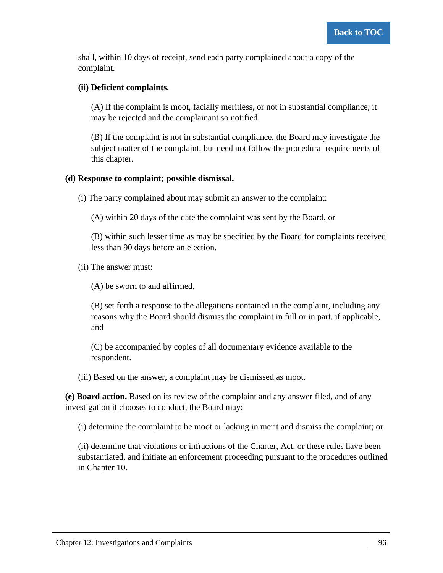shall, within 10 days of receipt, send each party complained about a copy of the complaint.

### **(ii) Deficient complaints.**

(A) If the complaint is moot, facially meritless, or not in substantial compliance, it may be rejected and the complainant so notified.

(B) If the complaint is not in substantial compliance, the Board may investigate the subject matter of the complaint, but need not follow the procedural requirements of this chapter.

### **(d) Response to complaint; possible dismissal.**

(i) The party complained about may submit an answer to the complaint:

(A) within 20 days of the date the complaint was sent by the Board, or

(B) within such lesser time as may be specified by the Board for complaints received less than 90 days before an election.

(ii) The answer must:

(A) be sworn to and affirmed,

(B) set forth a response to the allegations contained in the complaint, including any reasons why the Board should dismiss the complaint in full or in part, if applicable, and

(C) be accompanied by copies of all documentary evidence available to the respondent.

(iii) Based on the answer, a complaint may be dismissed as moot.

**(e) Board action.** Based on its review of the complaint and any answer filed, and of any investigation it chooses to conduct, the Board may:

(i) determine the complaint to be moot or lacking in merit and dismiss the complaint; or

(ii) determine that violations or infractions of the Charter, Act, or these rules have been substantiated, and initiate an enforcement proceeding pursuant to the procedures outlined in Chapter 10.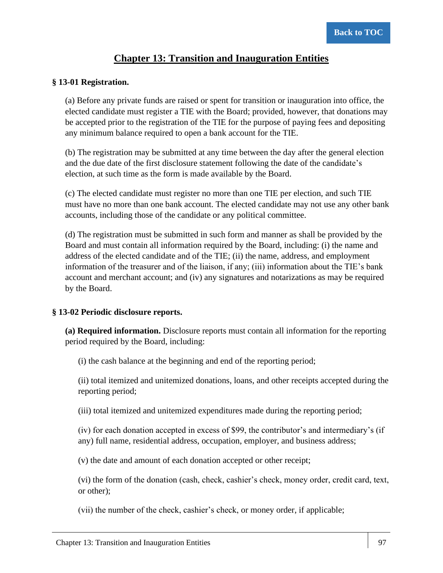# **Chapter 13: Transition and Inauguration Entities**

#### **§ 13-01 Registration.**

(a) Before any private funds are raised or spent for transition or inauguration into office, the elected candidate must register a TIE with the Board; provided, however, that donations may be accepted prior to the registration of the TIE for the purpose of paying fees and depositing any minimum balance required to open a bank account for the TIE.

(b) The registration may be submitted at any time between the day after the general election and the due date of the first disclosure statement following the date of the candidate's election, at such time as the form is made available by the Board.

(c) The elected candidate must register no more than one TIE per election, and such TIE must have no more than one bank account. The elected candidate may not use any other bank accounts, including those of the candidate or any political committee.

(d) The registration must be submitted in such form and manner as shall be provided by the Board and must contain all information required by the Board, including: (i) the name and address of the elected candidate and of the TIE; (ii) the name, address, and employment information of the treasurer and of the liaison, if any; (iii) information about the TIE's bank account and merchant account; and (iv) any signatures and notarizations as may be required by the Board.

#### **§ 13-02 Periodic disclosure reports.**

**(a) Required information.** Disclosure reports must contain all information for the reporting period required by the Board, including:

(i) the cash balance at the beginning and end of the reporting period;

(ii) total itemized and unitemized donations, loans, and other receipts accepted during the reporting period;

(iii) total itemized and unitemized expenditures made during the reporting period;

(iv) for each donation accepted in excess of \$99, the contributor's and intermediary's (if any) full name, residential address, occupation, employer, and business address;

(v) the date and amount of each donation accepted or other receipt;

(vi) the form of the donation (cash, check, cashier's check, money order, credit card, text, or other);

(vii) the number of the check, cashier's check, or money order, if applicable;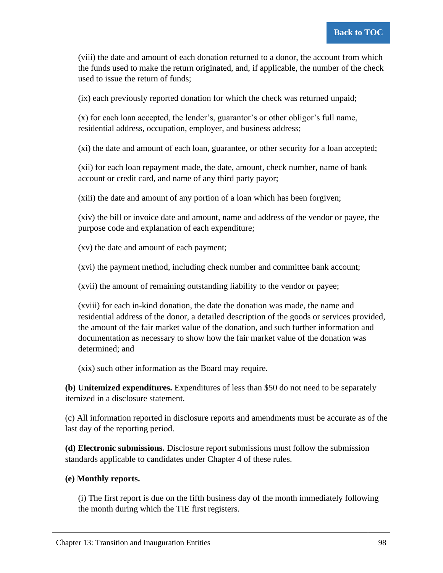(viii) the date and amount of each donation returned to a donor, the account from which the funds used to make the return originated, and, if applicable, the number of the check used to issue the return of funds;

(ix) each previously reported donation for which the check was returned unpaid;

(x) for each loan accepted, the lender's, guarantor's or other obligor's full name, residential address, occupation, employer, and business address;

(xi) the date and amount of each loan, guarantee, or other security for a loan accepted;

(xii) for each loan repayment made, the date, amount, check number, name of bank account or credit card, and name of any third party payor;

(xiii) the date and amount of any portion of a loan which has been forgiven;

(xiv) the bill or invoice date and amount, name and address of the vendor or payee, the purpose code and explanation of each expenditure;

(xv) the date and amount of each payment;

(xvi) the payment method, including check number and committee bank account;

(xvii) the amount of remaining outstanding liability to the vendor or payee;

(xviii) for each in-kind donation, the date the donation was made, the name and residential address of the donor, a detailed description of the goods or services provided, the amount of the fair market value of the donation, and such further information and documentation as necessary to show how the fair market value of the donation was determined; and

(xix) such other information as the Board may require.

**(b) Unitemized expenditures.** Expenditures of less than \$50 do not need to be separately itemized in a disclosure statement.

(c) All information reported in disclosure reports and amendments must be accurate as of the last day of the reporting period.

**(d) Electronic submissions.** Disclosure report submissions must follow the submission standards applicable to candidates under Chapter 4 of these rules.

### **(e) Monthly reports.**

(i) The first report is due on the fifth business day of the month immediately following the month during which the TIE first registers.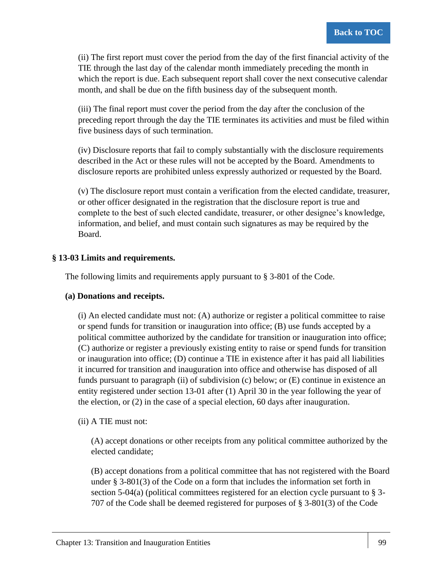(ii) The first report must cover the period from the day of the first financial activity of the TIE through the last day of the calendar month immediately preceding the month in which the report is due. Each subsequent report shall cover the next consecutive calendar month, and shall be due on the fifth business day of the subsequent month.

(iii) The final report must cover the period from the day after the conclusion of the preceding report through the day the TIE terminates its activities and must be filed within five business days of such termination.

(iv) Disclosure reports that fail to comply substantially with the disclosure requirements described in the Act or these rules will not be accepted by the Board. Amendments to disclosure reports are prohibited unless expressly authorized or requested by the Board.

(v) The disclosure report must contain a verification from the elected candidate, treasurer, or other officer designated in the registration that the disclosure report is true and complete to the best of such elected candidate, treasurer, or other designee's knowledge, information, and belief, and must contain such signatures as may be required by the Board.

### **§ 13-03 Limits and requirements.**

The following limits and requirements apply pursuant to § 3-801 of the Code.

### **(a) Donations and receipts.**

(i) An elected candidate must not: (A) authorize or register a political committee to raise or spend funds for transition or inauguration into office; (B) use funds accepted by a political committee authorized by the candidate for transition or inauguration into office; (C) authorize or register a previously existing entity to raise or spend funds for transition or inauguration into office; (D) continue a TIE in existence after it has paid all liabilities it incurred for transition and inauguration into office and otherwise has disposed of all funds pursuant to paragraph (ii) of subdivision (c) below; or  $(E)$  continue in existence an entity registered under section 13-01 after (1) April 30 in the year following the year of the election, or (2) in the case of a special election, 60 days after inauguration.

### (ii) A TIE must not:

(A) accept donations or other receipts from any political committee authorized by the elected candidate;

(B) accept donations from a political committee that has not registered with the Board under § 3-801(3) of the Code on a form that includes the information set forth in section 5-04(a) (political committees registered for an election cycle pursuant to  $\S$  3-707 of the Code shall be deemed registered for purposes of § 3-801(3) of the Code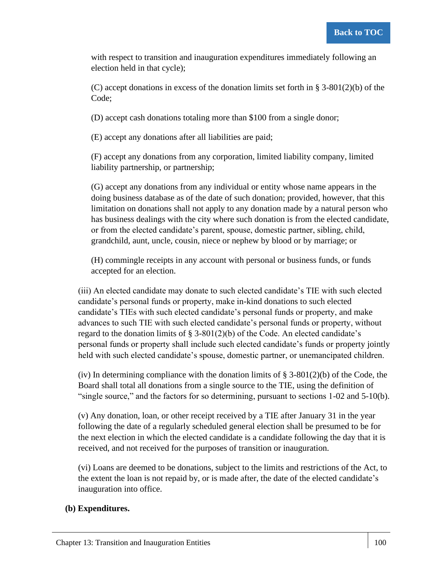with respect to transition and inauguration expenditures immediately following an election held in that cycle);

(C) accept donations in excess of the donation limits set forth in  $\S$  3-801(2)(b) of the Code;

(D) accept cash donations totaling more than \$100 from a single donor;

(E) accept any donations after all liabilities are paid;

(F) accept any donations from any corporation, limited liability company, limited liability partnership, or partnership;

(G) accept any donations from any individual or entity whose name appears in the doing business database as of the date of such donation; provided, however, that this limitation on donations shall not apply to any donation made by a natural person who has business dealings with the city where such donation is from the elected candidate, or from the elected candidate's parent, spouse, domestic partner, sibling, child, grandchild, aunt, uncle, cousin, niece or nephew by blood or by marriage; or

(H) commingle receipts in any account with personal or business funds, or funds accepted for an election.

(iii) An elected candidate may donate to such elected candidate's TIE with such elected candidate's personal funds or property, make in-kind donations to such elected candidate's TIEs with such elected candidate's personal funds or property, and make advances to such TIE with such elected candidate's personal funds or property, without regard to the donation limits of  $\S 3-801(2)(b)$  of the Code. An elected candidate's personal funds or property shall include such elected candidate's funds or property jointly held with such elected candidate's spouse, domestic partner, or unemancipated children.

(iv) In determining compliance with the donation limits of  $\S$  3-801(2)(b) of the Code, the Board shall total all donations from a single source to the TIE, using the definition of "single source," and the factors for so determining, pursuant to sections 1-02 and 5-10(b).

(v) Any donation, loan, or other receipt received by a TIE after January 31 in the year following the date of a regularly scheduled general election shall be presumed to be for the next election in which the elected candidate is a candidate following the day that it is received, and not received for the purposes of transition or inauguration.

(vi) Loans are deemed to be donations, subject to the limits and restrictions of the Act, to the extent the loan is not repaid by, or is made after, the date of the elected candidate's inauguration into office.

## **(b) Expenditures.**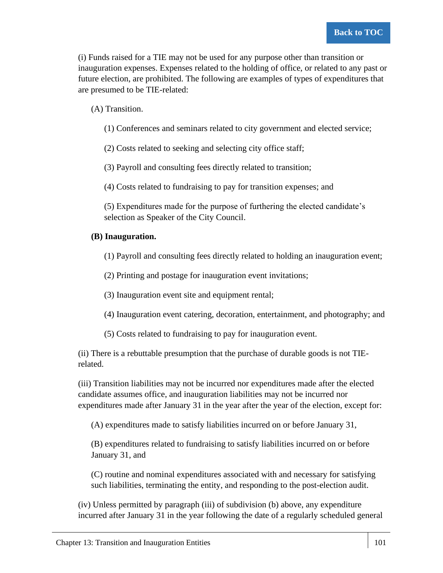(i) Funds raised for a TIE may not be used for any purpose other than transition or inauguration expenses. Expenses related to the holding of office, or related to any past or future election, are prohibited. The following are examples of types of expenditures that are presumed to be TIE-related:

(A) Transition.

(1) Conferences and seminars related to city government and elected service;

(2) Costs related to seeking and selecting city office staff;

(3) Payroll and consulting fees directly related to transition;

(4) Costs related to fundraising to pay for transition expenses; and

(5) Expenditures made for the purpose of furthering the elected candidate's selection as Speaker of the City Council.

### **(B) Inauguration.**

(1) Payroll and consulting fees directly related to holding an inauguration event;

(2) Printing and postage for inauguration event invitations;

(3) Inauguration event site and equipment rental;

(4) Inauguration event catering, decoration, entertainment, and photography; and

(5) Costs related to fundraising to pay for inauguration event.

(ii) There is a rebuttable presumption that the purchase of durable goods is not TIErelated.

(iii) Transition liabilities may not be incurred nor expenditures made after the elected candidate assumes office, and inauguration liabilities may not be incurred nor expenditures made after January 31 in the year after the year of the election, except for:

(A) expenditures made to satisfy liabilities incurred on or before January 31,

(B) expenditures related to fundraising to satisfy liabilities incurred on or before January 31, and

(C) routine and nominal expenditures associated with and necessary for satisfying such liabilities, terminating the entity, and responding to the post-election audit.

(iv) Unless permitted by paragraph (iii) of subdivision (b) above, any expenditure incurred after January 31 in the year following the date of a regularly scheduled general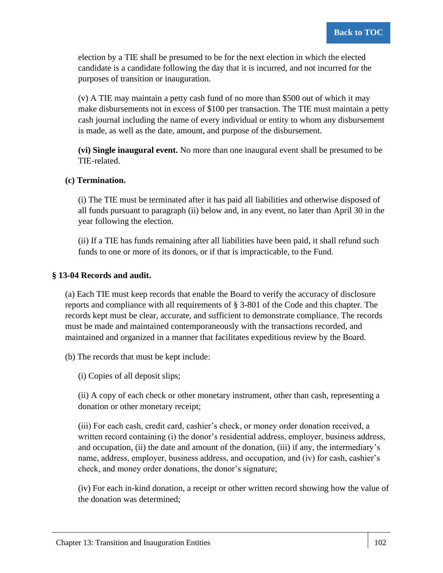election by a TIE shall be presumed to be for the next election in which the elected candidate is a candidate following the day that it is incurred, and not incurred for the purposes of transition or inauguration.

(v) A TIE may maintain a petty cash fund of no more than \$500 out of which it may make disbursements not in excess of \$100 per transaction. The TIE must maintain a petty cash journal including the name of every individual or entity to whom any disbursement is made, as well as the date, amount, and purpose of the disbursement.

**(vi) Single inaugural event.** No more than one inaugural event shall be presumed to be TIE-related.

### **(c) Termination.**

(i) The TIE must be terminated after it has paid all liabilities and otherwise disposed of all funds pursuant to paragraph (ii) below and, in any event, no later than April 30 in the year following the election.

(ii) If a TIE has funds remaining after all liabilities have been paid, it shall refund such funds to one or more of its donors, or if that is impracticable, to the Fund.

### **§ 13-04 Records and audit.**

(a) Each TIE must keep records that enable the Board to verify the accuracy of disclosure reports and compliance with all requirements of § 3-801 of the Code and this chapter. The records kept must be clear, accurate, and sufficient to demonstrate compliance. The records must be made and maintained contemporaneously with the transactions recorded, and maintained and organized in a manner that facilitates expeditious review by the Board.

(b) The records that must be kept include:

(i) Copies of all deposit slips;

(ii) A copy of each check or other monetary instrument, other than cash, representing a donation or other monetary receipt;

(iii) For each cash, credit card, cashier's check, or money order donation received, a written record containing (i) the donor's residential address, employer, business address, and occupation, (ii) the date and amount of the donation, (iii) if any, the intermediary's name, address, employer, business address, and occupation, and (iv) for cash, cashier's check, and money order donations, the donor's signature;

(iv) For each in-kind donation, a receipt or other written record showing how the value of the donation was determined;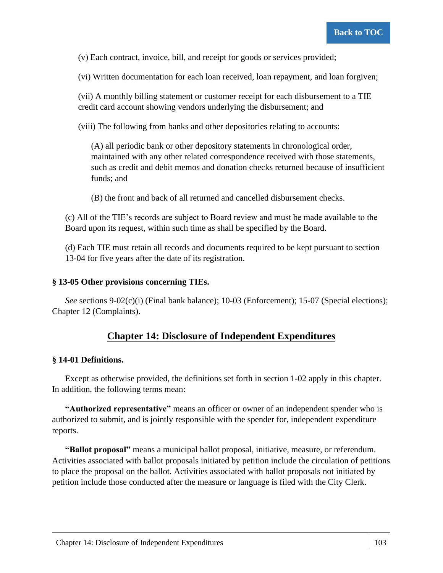(v) Each contract, invoice, bill, and receipt for goods or services provided;

(vi) Written documentation for each loan received, loan repayment, and loan forgiven;

(vii) A monthly billing statement or customer receipt for each disbursement to a TIE credit card account showing vendors underlying the disbursement; and

(viii) The following from banks and other depositories relating to accounts:

(A) all periodic bank or other depository statements in chronological order, maintained with any other related correspondence received with those statements, such as credit and debit memos and donation checks returned because of insufficient funds; and

(B) the front and back of all returned and cancelled disbursement checks.

(c) All of the TIE's records are subject to Board review and must be made available to the Board upon its request, within such time as shall be specified by the Board.

(d) Each TIE must retain all records and documents required to be kept pursuant to section 13-04 for five years after the date of its registration.

#### **§ 13-05 Other provisions concerning TIEs.**

*See* sections 9-02(c)(i) (Final bank balance); 10-03 (Enforcement); 15-07 (Special elections); Chapter 12 (Complaints).

## **Chapter 14: Disclosure of Independent Expenditures**

#### **§ 14-01 Definitions.**

Except as otherwise provided, the definitions set forth in section 1-02 apply in this chapter. In addition, the following terms mean:

**"Authorized representative"** means an officer or owner of an independent spender who is authorized to submit, and is jointly responsible with the spender for, independent expenditure reports.

**"Ballot proposal"** means a municipal ballot proposal, initiative, measure, or referendum. Activities associated with ballot proposals initiated by petition include the circulation of petitions to place the proposal on the ballot. Activities associated with ballot proposals not initiated by petition include those conducted after the measure or language is filed with the City Clerk.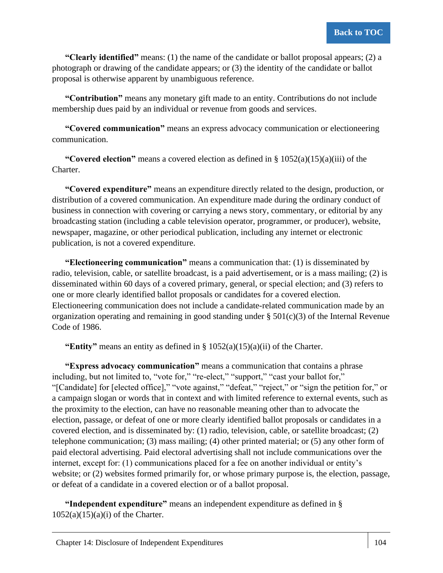**"Clearly identified"** means: (1) the name of the candidate or ballot proposal appears; (2) a photograph or drawing of the candidate appears; or (3) the identity of the candidate or ballot proposal is otherwise apparent by unambiguous reference.

**"Contribution"** means any monetary gift made to an entity. Contributions do not include membership dues paid by an individual or revenue from goods and services.

**"Covered communication"** means an express advocacy communication or electioneering communication.

**"Covered election"** means a covered election as defined in § 1052(a)(15)(a)(iii) of the Charter.

**"Covered expenditure"** means an expenditure directly related to the design, production, or distribution of a covered communication. An expenditure made during the ordinary conduct of business in connection with covering or carrying a news story, commentary, or editorial by any broadcasting station (including a cable television operator, programmer, or producer), website, newspaper, magazine, or other periodical publication, including any internet or electronic publication, is not a covered expenditure.

**"Electioneering communication"** means a communication that: (1) is disseminated by radio, television, cable, or satellite broadcast, is a paid advertisement, or is a mass mailing; (2) is disseminated within 60 days of a covered primary, general, or special election; and (3) refers to one or more clearly identified ballot proposals or candidates for a covered election. Electioneering communication does not include a candidate-related communication made by an organization operating and remaining in good standing under  $\S 501(c)(3)$  of the Internal Revenue Code of 1986.

**"Entity"** means an entity as defined in § 1052(a)(15)(a)(ii) of the Charter.

**"Express advocacy communication"** means a communication that contains a phrase including, but not limited to, "vote for," "re-elect," "support," "cast your ballot for," "[Candidate] for [elected office]," "vote against," "defeat," "reject," or "sign the petition for," or a campaign slogan or words that in context and with limited reference to external events, such as the proximity to the election, can have no reasonable meaning other than to advocate the election, passage, or defeat of one or more clearly identified ballot proposals or candidates in a covered election, and is disseminated by: (1) radio, television, cable, or satellite broadcast; (2) telephone communication; (3) mass mailing; (4) other printed material; or (5) any other form of paid electoral advertising. Paid electoral advertising shall not include communications over the internet, except for: (1) communications placed for a fee on another individual or entity's website; or (2) websites formed primarily for, or whose primary purpose is, the election, passage, or defeat of a candidate in a covered election or of a ballot proposal.

**"Independent expenditure"** means an independent expenditure as defined in §  $1052(a)(15)(a)(i)$  of the Charter.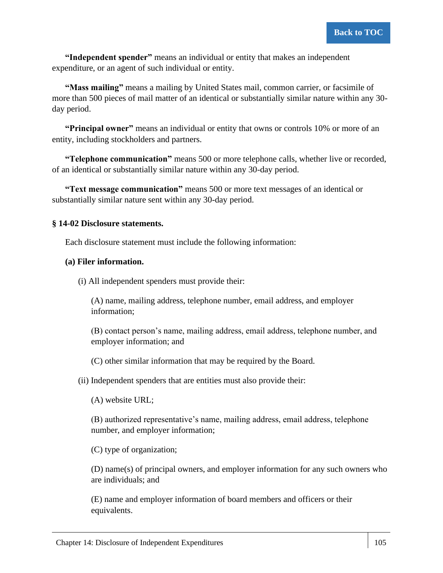**"Independent spender"** means an individual or entity that makes an independent expenditure, or an agent of such individual or entity.

**"Mass mailing"** means a mailing by United States mail, common carrier, or facsimile of more than 500 pieces of mail matter of an identical or substantially similar nature within any 30 day period.

**"Principal owner"** means an individual or entity that owns or controls 10% or more of an entity, including stockholders and partners.

**"Telephone communication"** means 500 or more telephone calls, whether live or recorded, of an identical or substantially similar nature within any 30-day period.

**"Text message communication"** means 500 or more text messages of an identical or substantially similar nature sent within any 30-day period.

### **§ 14-02 Disclosure statements.**

Each disclosure statement must include the following information:

### **(a) Filer information.**

(i) All independent spenders must provide their:

(A) name, mailing address, telephone number, email address, and employer information;

(B) contact person's name, mailing address, email address, telephone number, and employer information; and

(C) other similar information that may be required by the Board.

(ii) Independent spenders that are entities must also provide their:

(A) website URL;

(B) authorized representative's name, mailing address, email address, telephone number, and employer information;

(C) type of organization;

(D) name(s) of principal owners, and employer information for any such owners who are individuals; and

(E) name and employer information of board members and officers or their equivalents.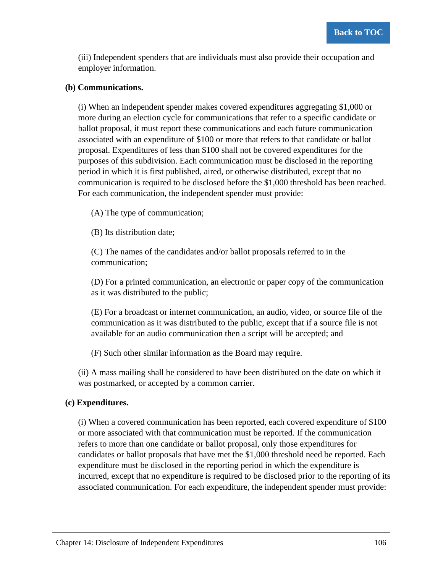(iii) Independent spenders that are individuals must also provide their occupation and employer information.

#### **(b) Communications.**

(i) When an independent spender makes covered expenditures aggregating \$1,000 or more during an election cycle for communications that refer to a specific candidate or ballot proposal, it must report these communications and each future communication associated with an expenditure of \$100 or more that refers to that candidate or ballot proposal. Expenditures of less than \$100 shall not be covered expenditures for the purposes of this subdivision. Each communication must be disclosed in the reporting period in which it is first published, aired, or otherwise distributed, except that no communication is required to be disclosed before the \$1,000 threshold has been reached. For each communication, the independent spender must provide:

(A) The type of communication;

(B) Its distribution date;

(C) The names of the candidates and/or ballot proposals referred to in the communication;

(D) For a printed communication, an electronic or paper copy of the communication as it was distributed to the public;

(E) For a broadcast or internet communication, an audio, video, or source file of the communication as it was distributed to the public, except that if a source file is not available for an audio communication then a script will be accepted; and

(F) Such other similar information as the Board may require.

(ii) A mass mailing shall be considered to have been distributed on the date on which it was postmarked, or accepted by a common carrier.

### **(c) Expenditures.**

(i) When a covered communication has been reported, each covered expenditure of \$100 or more associated with that communication must be reported. If the communication refers to more than one candidate or ballot proposal, only those expenditures for candidates or ballot proposals that have met the \$1,000 threshold need be reported. Each expenditure must be disclosed in the reporting period in which the expenditure is incurred, except that no expenditure is required to be disclosed prior to the reporting of its associated communication. For each expenditure, the independent spender must provide: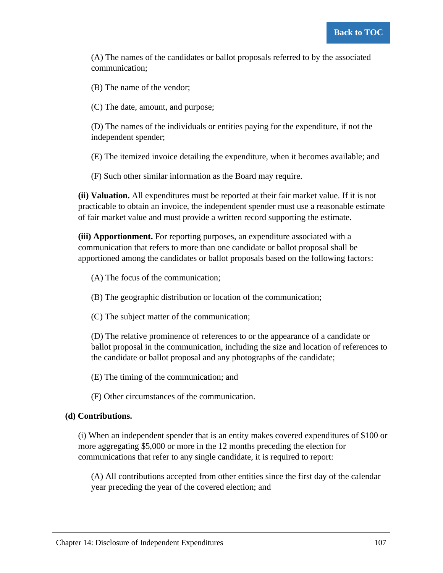(A) The names of the candidates or ballot proposals referred to by the associated communication;

(B) The name of the vendor;

(C) The date, amount, and purpose;

(D) The names of the individuals or entities paying for the expenditure, if not the independent spender;

(E) The itemized invoice detailing the expenditure, when it becomes available; and

(F) Such other similar information as the Board may require.

**(ii) Valuation.** All expenditures must be reported at their fair market value. If it is not practicable to obtain an invoice, the independent spender must use a reasonable estimate of fair market value and must provide a written record supporting the estimate.

**(iii) Apportionment.** For reporting purposes, an expenditure associated with a communication that refers to more than one candidate or ballot proposal shall be apportioned among the candidates or ballot proposals based on the following factors:

(A) The focus of the communication;

(B) The geographic distribution or location of the communication;

(C) The subject matter of the communication;

(D) The relative prominence of references to or the appearance of a candidate or ballot proposal in the communication, including the size and location of references to the candidate or ballot proposal and any photographs of the candidate;

(E) The timing of the communication; and

(F) Other circumstances of the communication.

### **(d) Contributions.**

(i) When an independent spender that is an entity makes covered expenditures of \$100 or more aggregating \$5,000 or more in the 12 months preceding the election for communications that refer to any single candidate, it is required to report:

(A) All contributions accepted from other entities since the first day of the calendar year preceding the year of the covered election; and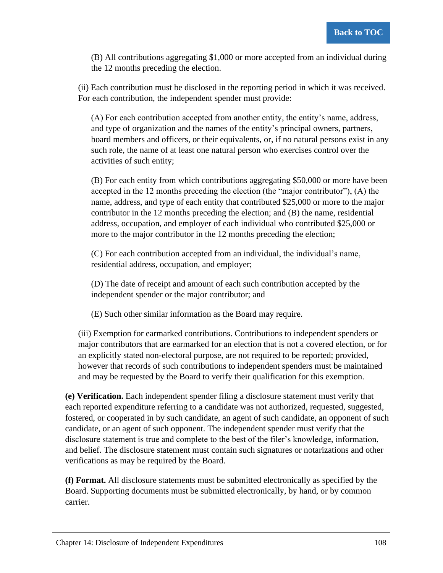(B) All contributions aggregating \$1,000 or more accepted from an individual during the 12 months preceding the election.

(ii) Each contribution must be disclosed in the reporting period in which it was received. For each contribution, the independent spender must provide:

(A) For each contribution accepted from another entity, the entity's name, address, and type of organization and the names of the entity's principal owners, partners, board members and officers, or their equivalents, or, if no natural persons exist in any such role, the name of at least one natural person who exercises control over the activities of such entity;

(B) For each entity from which contributions aggregating \$50,000 or more have been accepted in the 12 months preceding the election (the "major contributor"), (A) the name, address, and type of each entity that contributed \$25,000 or more to the major contributor in the 12 months preceding the election; and (B) the name, residential address, occupation, and employer of each individual who contributed \$25,000 or more to the major contributor in the 12 months preceding the election;

(C) For each contribution accepted from an individual, the individual's name, residential address, occupation, and employer;

(D) The date of receipt and amount of each such contribution accepted by the independent spender or the major contributor; and

(E) Such other similar information as the Board may require.

(iii) Exemption for earmarked contributions. Contributions to independent spenders or major contributors that are earmarked for an election that is not a covered election, or for an explicitly stated non-electoral purpose, are not required to be reported; provided, however that records of such contributions to independent spenders must be maintained and may be requested by the Board to verify their qualification for this exemption.

**(e) Verification.** Each independent spender filing a disclosure statement must verify that each reported expenditure referring to a candidate was not authorized, requested, suggested, fostered, or cooperated in by such candidate, an agent of such candidate, an opponent of such candidate, or an agent of such opponent. The independent spender must verify that the disclosure statement is true and complete to the best of the filer's knowledge, information, and belief. The disclosure statement must contain such signatures or notarizations and other verifications as may be required by the Board.

**(f) Format.** All disclosure statements must be submitted electronically as specified by the Board. Supporting documents must be submitted electronically, by hand, or by common carrier.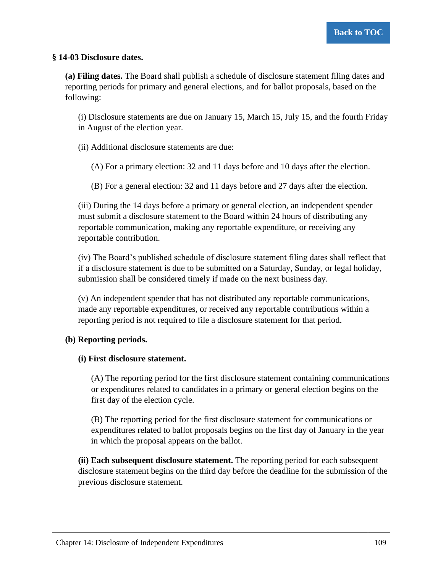#### **§ 14-03 Disclosure dates.**

**(a) Filing dates.** The Board shall publish a schedule of disclosure statement filing dates and reporting periods for primary and general elections, and for ballot proposals, based on the following:

(i) Disclosure statements are due on January 15, March 15, July 15, and the fourth Friday in August of the election year.

(ii) Additional disclosure statements are due:

(A) For a primary election: 32 and 11 days before and 10 days after the election.

(B) For a general election: 32 and 11 days before and 27 days after the election.

(iii) During the 14 days before a primary or general election, an independent spender must submit a disclosure statement to the Board within 24 hours of distributing any reportable communication, making any reportable expenditure, or receiving any reportable contribution.

(iv) The Board's published schedule of disclosure statement filing dates shall reflect that if a disclosure statement is due to be submitted on a Saturday, Sunday, or legal holiday, submission shall be considered timely if made on the next business day.

(v) An independent spender that has not distributed any reportable communications, made any reportable expenditures, or received any reportable contributions within a reporting period is not required to file a disclosure statement for that period.

### **(b) Reporting periods.**

#### **(i) First disclosure statement.**

(A) The reporting period for the first disclosure statement containing communications or expenditures related to candidates in a primary or general election begins on the first day of the election cycle.

(B) The reporting period for the first disclosure statement for communications or expenditures related to ballot proposals begins on the first day of January in the year in which the proposal appears on the ballot.

**(ii) Each subsequent disclosure statement.** The reporting period for each subsequent disclosure statement begins on the third day before the deadline for the submission of the previous disclosure statement.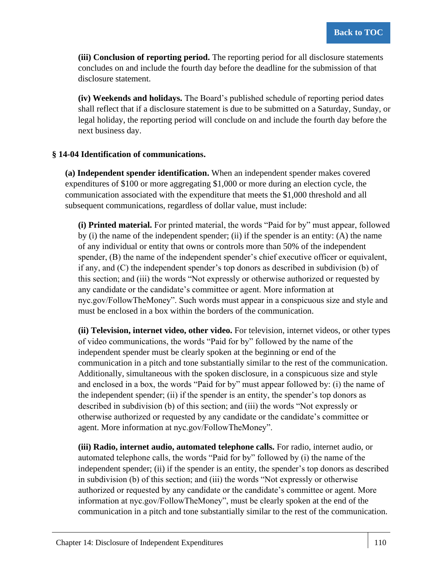**(iii) Conclusion of reporting period.** The reporting period for all disclosure statements concludes on and include the fourth day before the deadline for the submission of that disclosure statement.

**(iv) Weekends and holidays.** The Board's published schedule of reporting period dates shall reflect that if a disclosure statement is due to be submitted on a Saturday, Sunday, or legal holiday, the reporting period will conclude on and include the fourth day before the next business day.

### **§ 14-04 Identification of communications.**

**(a) Independent spender identification.** When an independent spender makes covered expenditures of \$100 or more aggregating \$1,000 or more during an election cycle, the communication associated with the expenditure that meets the \$1,000 threshold and all subsequent communications, regardless of dollar value, must include:

**(i) Printed material.** For printed material, the words "Paid for by" must appear, followed by (i) the name of the independent spender; (ii) if the spender is an entity: (A) the name of any individual or entity that owns or controls more than 50% of the independent spender, (B) the name of the independent spender's chief executive officer or equivalent, if any, and (C) the independent spender's top donors as described in subdivision (b) of this section; and (iii) the words "Not expressly or otherwise authorized or requested by any candidate or the candidate's committee or agent. More information at nyc.gov/FollowTheMoney". Such words must appear in a conspicuous size and style and must be enclosed in a box within the borders of the communication.

**(ii) Television, internet video, other video.** For television, internet videos, or other types of video communications, the words "Paid for by" followed by the name of the independent spender must be clearly spoken at the beginning or end of the communication in a pitch and tone substantially similar to the rest of the communication. Additionally, simultaneous with the spoken disclosure, in a conspicuous size and style and enclosed in a box, the words "Paid for by" must appear followed by: (i) the name of the independent spender; (ii) if the spender is an entity, the spender's top donors as described in subdivision (b) of this section; and (iii) the words "Not expressly or otherwise authorized or requested by any candidate or the candidate's committee or agent. More information at nyc.gov/FollowTheMoney".

**(iii) Radio, internet audio, automated telephone calls.** For radio, internet audio, or automated telephone calls, the words "Paid for by" followed by (i) the name of the independent spender; (ii) if the spender is an entity, the spender's top donors as described in subdivision (b) of this section; and (iii) the words "Not expressly or otherwise authorized or requested by any candidate or the candidate's committee or agent. More information at nyc.gov/FollowTheMoney", must be clearly spoken at the end of the communication in a pitch and tone substantially similar to the rest of the communication.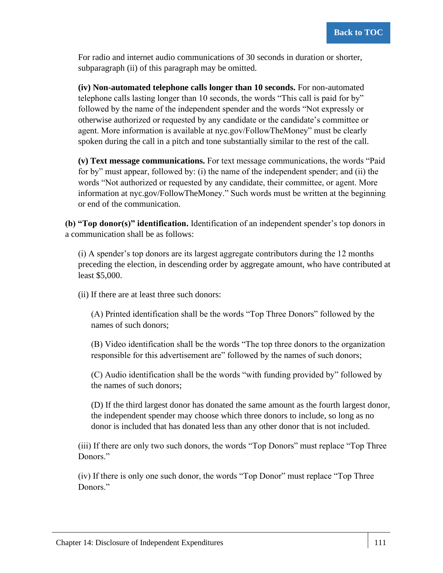For radio and internet audio communications of 30 seconds in duration or shorter, subparagraph (ii) of this paragraph may be omitted.

**(iv) Non-automated telephone calls longer than 10 seconds.** For non-automated telephone calls lasting longer than 10 seconds, the words "This call is paid for by" followed by the name of the independent spender and the words "Not expressly or otherwise authorized or requested by any candidate or the candidate's committee or agent. More information is available at nyc.gov/FollowTheMoney" must be clearly spoken during the call in a pitch and tone substantially similar to the rest of the call.

**(v) Text message communications.** For text message communications, the words "Paid for by" must appear, followed by: (i) the name of the independent spender; and (ii) the words "Not authorized or requested by any candidate, their committee, or agent. More information at nyc.gov/FollowTheMoney." Such words must be written at the beginning or end of the communication.

**(b) "Top donor(s)" identification.** Identification of an independent spender's top donors in a communication shall be as follows:

(i) A spender's top donors are its largest aggregate contributors during the 12 months preceding the election, in descending order by aggregate amount, who have contributed at least \$5,000.

(ii) If there are at least three such donors:

(A) Printed identification shall be the words "Top Three Donors" followed by the names of such donors;

(B) Video identification shall be the words "The top three donors to the organization responsible for this advertisement are" followed by the names of such donors;

(C) Audio identification shall be the words "with funding provided by" followed by the names of such donors;

(D) If the third largest donor has donated the same amount as the fourth largest donor, the independent spender may choose which three donors to include, so long as no donor is included that has donated less than any other donor that is not included.

(iii) If there are only two such donors, the words "Top Donors" must replace "Top Three Donors."

(iv) If there is only one such donor, the words "Top Donor" must replace "Top Three Donors."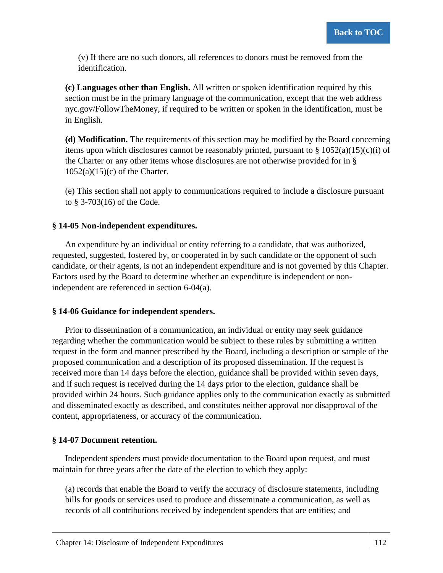(v) If there are no such donors, all references to donors must be removed from the identification.

**(c) Languages other than English.** All written or spoken identification required by this section must be in the primary language of the communication, except that the web address nyc.gov/FollowTheMoney, if required to be written or spoken in the identification, must be in English.

**(d) Modification.** The requirements of this section may be modified by the Board concerning items upon which disclosures cannot be reasonably printed, pursuant to  $\S 1052(a)(15)(c)(i)$  of the Charter or any other items whose disclosures are not otherwise provided for in §  $1052(a)(15)(c)$  of the Charter.

(e) This section shall not apply to communications required to include a disclosure pursuant to § 3-703(16) of the Code.

### **§ 14-05 Non-independent expenditures.**

An expenditure by an individual or entity referring to a candidate, that was authorized, requested, suggested, fostered by, or cooperated in by such candidate or the opponent of such candidate, or their agents, is not an independent expenditure and is not governed by this Chapter. Factors used by the Board to determine whether an expenditure is independent or nonindependent are referenced in section 6-04(a).

### **§ 14-06 Guidance for independent spenders.**

Prior to dissemination of a communication, an individual or entity may seek guidance regarding whether the communication would be subject to these rules by submitting a written request in the form and manner prescribed by the Board, including a description or sample of the proposed communication and a description of its proposed dissemination. If the request is received more than 14 days before the election, guidance shall be provided within seven days, and if such request is received during the 14 days prior to the election, guidance shall be provided within 24 hours. Such guidance applies only to the communication exactly as submitted and disseminated exactly as described, and constitutes neither approval nor disapproval of the content, appropriateness, or accuracy of the communication.

### **§ 14-07 Document retention.**

Independent spenders must provide documentation to the Board upon request, and must maintain for three years after the date of the election to which they apply:

(a) records that enable the Board to verify the accuracy of disclosure statements, including bills for goods or services used to produce and disseminate a communication, as well as records of all contributions received by independent spenders that are entities; and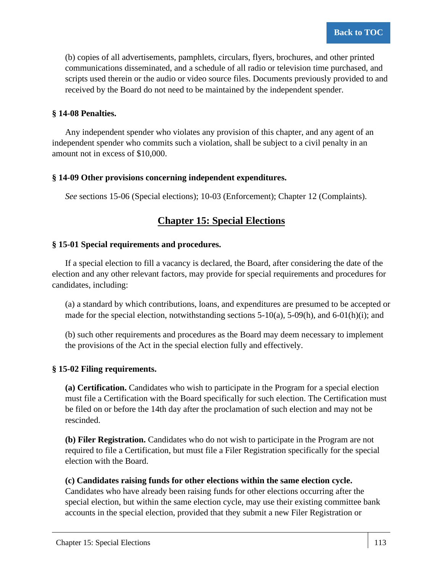(b) copies of all advertisements, pamphlets, circulars, flyers, brochures, and other printed communications disseminated, and a schedule of all radio or television time purchased, and scripts used therein or the audio or video source files. Documents previously provided to and received by the Board do not need to be maintained by the independent spender.

### **§ 14-08 Penalties.**

Any independent spender who violates any provision of this chapter, and any agent of an independent spender who commits such a violation, shall be subject to a civil penalty in an amount not in excess of \$10,000.

### **§ 14-09 Other provisions concerning independent expenditures.**

*See* sections 15-06 (Special elections); 10-03 (Enforcement); Chapter 12 (Complaints).

# **Chapter 15: Special Elections**

### **§ 15-01 Special requirements and procedures.**

If a special election to fill a vacancy is declared, the Board, after considering the date of the election and any other relevant factors, may provide for special requirements and procedures for candidates, including:

(a) a standard by which contributions, loans, and expenditures are presumed to be accepted or made for the special election, notwithstanding sections  $5-10(a)$ ,  $5-09(h)$ , and  $6-01(h)(i)$ ; and

(b) such other requirements and procedures as the Board may deem necessary to implement the provisions of the Act in the special election fully and effectively.

### **§ 15-02 Filing requirements.**

**(a) Certification.** Candidates who wish to participate in the Program for a special election must file a Certification with the Board specifically for such election. The Certification must be filed on or before the 14th day after the proclamation of such election and may not be rescinded.

**(b) Filer Registration.** Candidates who do not wish to participate in the Program are not required to file a Certification, but must file a Filer Registration specifically for the special election with the Board.

### **(c) Candidates raising funds for other elections within the same election cycle.**

Candidates who have already been raising funds for other elections occurring after the special election, but within the same election cycle, may use their existing committee bank accounts in the special election, provided that they submit a new Filer Registration or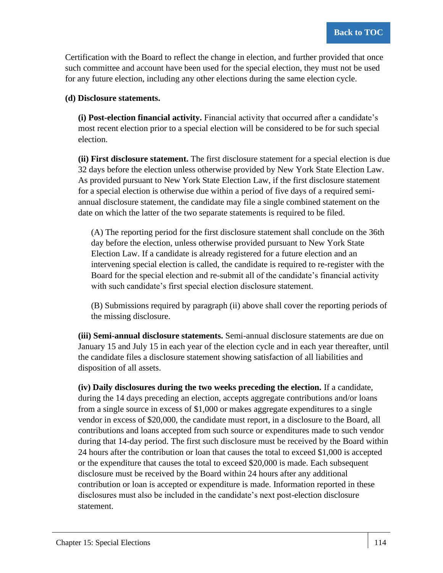Certification with the Board to reflect the change in election, and further provided that once such committee and account have been used for the special election, they must not be used for any future election, including any other elections during the same election cycle.

### **(d) Disclosure statements.**

**(i) Post-election financial activity.** Financial activity that occurred after a candidate's most recent election prior to a special election will be considered to be for such special election.

**(ii) First disclosure statement.** The first disclosure statement for a special election is due 32 days before the election unless otherwise provided by New York State Election Law. As provided pursuant to New York State Election Law, if the first disclosure statement for a special election is otherwise due within a period of five days of a required semiannual disclosure statement, the candidate may file a single combined statement on the date on which the latter of the two separate statements is required to be filed.

(A) The reporting period for the first disclosure statement shall conclude on the 36th day before the election, unless otherwise provided pursuant to New York State Election Law. If a candidate is already registered for a future election and an intervening special election is called, the candidate is required to re-register with the Board for the special election and re-submit all of the candidate's financial activity with such candidate's first special election disclosure statement.

(B) Submissions required by paragraph (ii) above shall cover the reporting periods of the missing disclosure.

**(iii) Semi-annual disclosure statements.** Semi-annual disclosure statements are due on January 15 and July 15 in each year of the election cycle and in each year thereafter, until the candidate files a disclosure statement showing satisfaction of all liabilities and disposition of all assets.

**(iv) Daily disclosures during the two weeks preceding the election.** If a candidate, during the 14 days preceding an election, accepts aggregate contributions and/or loans from a single source in excess of \$1,000 or makes aggregate expenditures to a single vendor in excess of \$20,000, the candidate must report, in a disclosure to the Board, all contributions and loans accepted from such source or expenditures made to such vendor during that 14-day period. The first such disclosure must be received by the Board within 24 hours after the contribution or loan that causes the total to exceed \$1,000 is accepted or the expenditure that causes the total to exceed \$20,000 is made. Each subsequent disclosure must be received by the Board within 24 hours after any additional contribution or loan is accepted or expenditure is made. Information reported in these disclosures must also be included in the candidate's next post-election disclosure statement.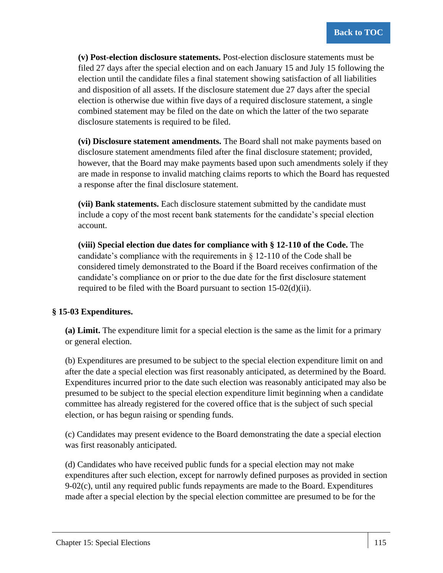**(v) Post-election disclosure statements.** Post-election disclosure statements must be filed 27 days after the special election and on each January 15 and July 15 following the election until the candidate files a final statement showing satisfaction of all liabilities and disposition of all assets. If the disclosure statement due 27 days after the special election is otherwise due within five days of a required disclosure statement, a single combined statement may be filed on the date on which the latter of the two separate disclosure statements is required to be filed.

**(vi) Disclosure statement amendments.** The Board shall not make payments based on disclosure statement amendments filed after the final disclosure statement; provided, however, that the Board may make payments based upon such amendments solely if they are made in response to invalid matching claims reports to which the Board has requested a response after the final disclosure statement.

**(vii) Bank statements.** Each disclosure statement submitted by the candidate must include a copy of the most recent bank statements for the candidate's special election account.

**(viii) Special election due dates for compliance with § 12-110 of the Code.** The candidate's compliance with the requirements in  $\S$  12-110 of the Code shall be considered timely demonstrated to the Board if the Board receives confirmation of the candidate's compliance on or prior to the due date for the first disclosure statement required to be filed with the Board pursuant to section 15-02(d)(ii).

### **§ 15-03 Expenditures.**

**(a) Limit.** The expenditure limit for a special election is the same as the limit for a primary or general election.

(b) Expenditures are presumed to be subject to the special election expenditure limit on and after the date a special election was first reasonably anticipated, as determined by the Board. Expenditures incurred prior to the date such election was reasonably anticipated may also be presumed to be subject to the special election expenditure limit beginning when a candidate committee has already registered for the covered office that is the subject of such special election, or has begun raising or spending funds.

(c) Candidates may present evidence to the Board demonstrating the date a special election was first reasonably anticipated.

(d) Candidates who have received public funds for a special election may not make expenditures after such election, except for narrowly defined purposes as provided in section  $9-02(c)$ , until any required public funds repayments are made to the Board. Expenditures made after a special election by the special election committee are presumed to be for the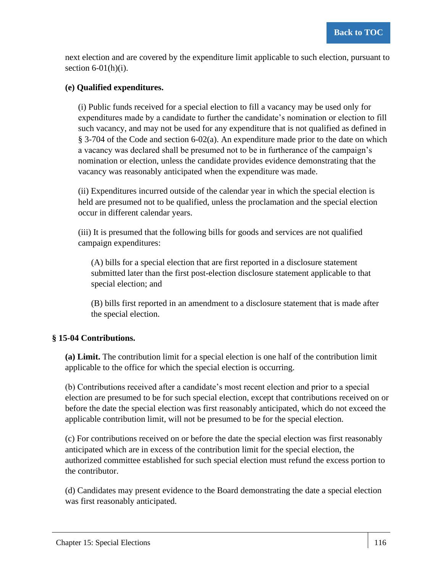next election and are covered by the expenditure limit applicable to such election, pursuant to section  $6-01(h)(i)$ .

### **(e) Qualified expenditures.**

(i) Public funds received for a special election to fill a vacancy may be used only for expenditures made by a candidate to further the candidate's nomination or election to fill such vacancy, and may not be used for any expenditure that is not qualified as defined in § 3-704 of the Code and section 6-02(a). An expenditure made prior to the date on which a vacancy was declared shall be presumed not to be in furtherance of the campaign's nomination or election, unless the candidate provides evidence demonstrating that the vacancy was reasonably anticipated when the expenditure was made.

(ii) Expenditures incurred outside of the calendar year in which the special election is held are presumed not to be qualified, unless the proclamation and the special election occur in different calendar years.

(iii) It is presumed that the following bills for goods and services are not qualified campaign expenditures:

(A) bills for a special election that are first reported in a disclosure statement submitted later than the first post-election disclosure statement applicable to that special election; and

(B) bills first reported in an amendment to a disclosure statement that is made after the special election.

### **§ 15-04 Contributions.**

**(a) Limit.** The contribution limit for a special election is one half of the contribution limit applicable to the office for which the special election is occurring.

(b) Contributions received after a candidate's most recent election and prior to a special election are presumed to be for such special election, except that contributions received on or before the date the special election was first reasonably anticipated, which do not exceed the applicable contribution limit, will not be presumed to be for the special election.

(c) For contributions received on or before the date the special election was first reasonably anticipated which are in excess of the contribution limit for the special election, the authorized committee established for such special election must refund the excess portion to the contributor.

(d) Candidates may present evidence to the Board demonstrating the date a special election was first reasonably anticipated.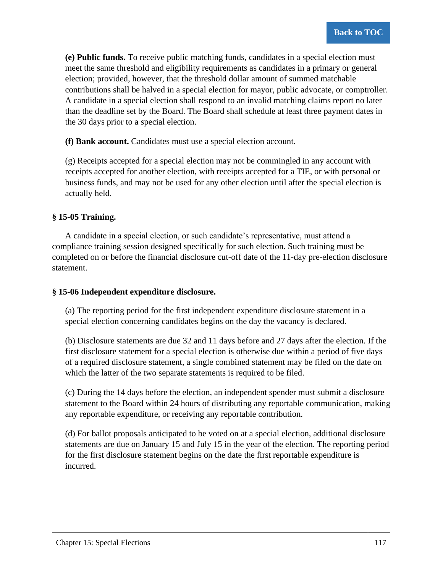**(e) Public funds.** To receive public matching funds, candidates in a special election must meet the same threshold and eligibility requirements as candidates in a primary or general election; provided, however, that the threshold dollar amount of summed matchable contributions shall be halved in a special election for mayor, public advocate, or comptroller. A candidate in a special election shall respond to an invalid matching claims report no later than the deadline set by the Board. The Board shall schedule at least three payment dates in the 30 days prior to a special election.

**(f) Bank account.** Candidates must use a special election account.

(g) Receipts accepted for a special election may not be commingled in any account with receipts accepted for another election, with receipts accepted for a TIE, or with personal or business funds, and may not be used for any other election until after the special election is actually held.

### **§ 15-05 Training.**

A candidate in a special election, or such candidate's representative, must attend a compliance training session designed specifically for such election. Such training must be completed on or before the financial disclosure cut-off date of the 11-day pre-election disclosure statement.

### **§ 15-06 Independent expenditure disclosure.**

(a) The reporting period for the first independent expenditure disclosure statement in a special election concerning candidates begins on the day the vacancy is declared.

(b) Disclosure statements are due 32 and 11 days before and 27 days after the election. If the first disclosure statement for a special election is otherwise due within a period of five days of a required disclosure statement, a single combined statement may be filed on the date on which the latter of the two separate statements is required to be filed.

(c) During the 14 days before the election, an independent spender must submit a disclosure statement to the Board within 24 hours of distributing any reportable communication, making any reportable expenditure, or receiving any reportable contribution.

(d) For ballot proposals anticipated to be voted on at a special election, additional disclosure statements are due on January 15 and July 15 in the year of the election. The reporting period for the first disclosure statement begins on the date the first reportable expenditure is incurred.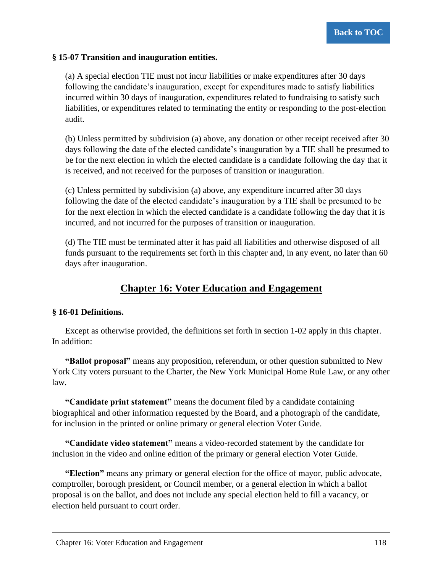### **§ 15-07 Transition and inauguration entities.**

(a) A special election TIE must not incur liabilities or make expenditures after 30 days following the candidate's inauguration, except for expenditures made to satisfy liabilities incurred within 30 days of inauguration, expenditures related to fundraising to satisfy such liabilities, or expenditures related to terminating the entity or responding to the post-election audit.

(b) Unless permitted by subdivision (a) above, any donation or other receipt received after 30 days following the date of the elected candidate's inauguration by a TIE shall be presumed to be for the next election in which the elected candidate is a candidate following the day that it is received, and not received for the purposes of transition or inauguration.

(c) Unless permitted by subdivision (a) above, any expenditure incurred after 30 days following the date of the elected candidate's inauguration by a TIE shall be presumed to be for the next election in which the elected candidate is a candidate following the day that it is incurred, and not incurred for the purposes of transition or inauguration.

(d) The TIE must be terminated after it has paid all liabilities and otherwise disposed of all funds pursuant to the requirements set forth in this chapter and, in any event, no later than 60 days after inauguration.

# **Chapter 16: Voter Education and Engagement**

### **§ 16-01 Definitions.**

Except as otherwise provided, the definitions set forth in section 1-02 apply in this chapter. In addition:

**"Ballot proposal"** means any proposition, referendum, or other question submitted to New York City voters pursuant to the Charter, the New York Municipal Home Rule Law, or any other law.

**"Candidate print statement"** means the document filed by a candidate containing biographical and other information requested by the Board, and a photograph of the candidate, for inclusion in the printed or online primary or general election Voter Guide.

**"Candidate video statement"** means a video-recorded statement by the candidate for inclusion in the video and online edition of the primary or general election Voter Guide.

**"Election"** means any primary or general election for the office of mayor, public advocate, comptroller, borough president, or Council member, or a general election in which a ballot proposal is on the ballot, and does not include any special election held to fill a vacancy, or election held pursuant to court order.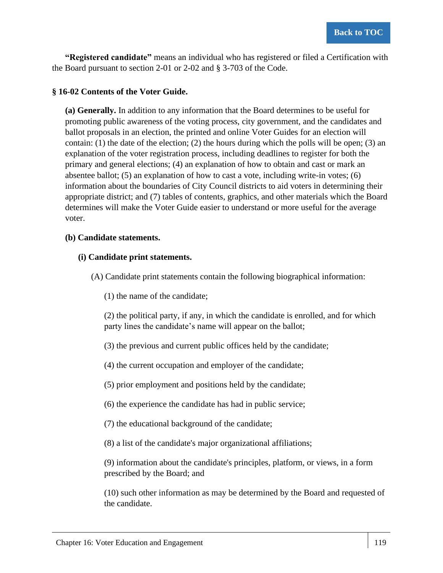**"Registered candidate"** means an individual who has registered or filed a Certification with the Board pursuant to section 2-01 or 2-02 and § 3-703 of the Code.

### **§ 16-02 Contents of the Voter Guide.**

**(a) Generally.** In addition to any information that the Board determines to be useful for promoting public awareness of the voting process, city government, and the candidates and ballot proposals in an election, the printed and online Voter Guides for an election will contain: (1) the date of the election; (2) the hours during which the polls will be open; (3) an explanation of the voter registration process, including deadlines to register for both the primary and general elections; (4) an explanation of how to obtain and cast or mark an absentee ballot; (5) an explanation of how to cast a vote, including write-in votes; (6) information about the boundaries of City Council districts to aid voters in determining their appropriate district; and (7) tables of contents, graphics, and other materials which the Board determines will make the Voter Guide easier to understand or more useful for the average voter.

### **(b) Candidate statements.**

### **(i) Candidate print statements.**

(A) Candidate print statements contain the following biographical information:

(1) the name of the candidate;

(2) the political party, if any, in which the candidate is enrolled, and for which party lines the candidate's name will appear on the ballot;

(3) the previous and current public offices held by the candidate;

(4) the current occupation and employer of the candidate;

(5) prior employment and positions held by the candidate;

(6) the experience the candidate has had in public service;

(7) the educational background of the candidate;

(8) a list of the candidate's major organizational affiliations;

(9) information about the candidate's principles, platform, or views, in a form prescribed by the Board; and

(10) such other information as may be determined by the Board and requested of the candidate.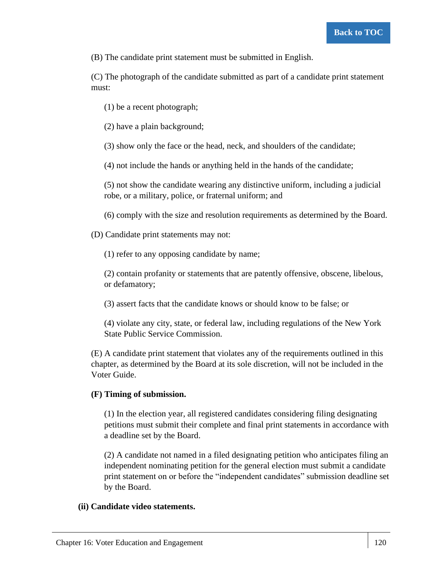(B) The candidate print statement must be submitted in English.

(C) The photograph of the candidate submitted as part of a candidate print statement must:

(1) be a recent photograph;

(2) have a plain background;

(3) show only the face or the head, neck, and shoulders of the candidate;

(4) not include the hands or anything held in the hands of the candidate;

(5) not show the candidate wearing any distinctive uniform, including a judicial robe, or a military, police, or fraternal uniform; and

(6) comply with the size and resolution requirements as determined by the Board.

(D) Candidate print statements may not:

(1) refer to any opposing candidate by name;

(2) contain profanity or statements that are patently offensive, obscene, libelous, or defamatory;

(3) assert facts that the candidate knows or should know to be false; or

(4) violate any city, state, or federal law, including regulations of the New York State Public Service Commission.

(E) A candidate print statement that violates any of the requirements outlined in this chapter, as determined by the Board at its sole discretion, will not be included in the Voter Guide.

### **(F) Timing of submission.**

(1) In the election year, all registered candidates considering filing designating petitions must submit their complete and final print statements in accordance with a deadline set by the Board.

(2) A candidate not named in a filed designating petition who anticipates filing an independent nominating petition for the general election must submit a candidate print statement on or before the "independent candidates" submission deadline set by the Board.

### **(ii) Candidate video statements.**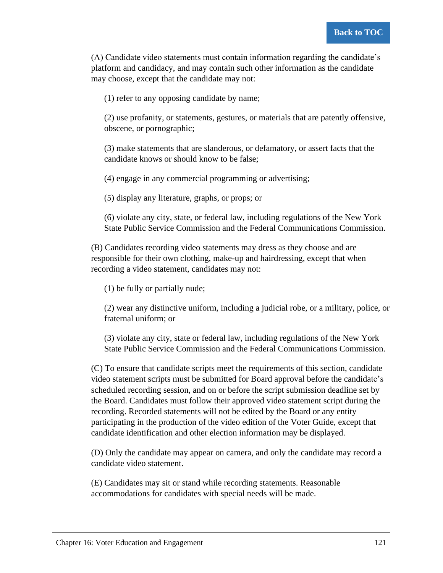(A) Candidate video statements must contain information regarding the candidate's platform and candidacy, and may contain such other information as the candidate may choose, except that the candidate may not:

(1) refer to any opposing candidate by name;

(2) use profanity, or statements, gestures, or materials that are patently offensive, obscene, or pornographic;

(3) make statements that are slanderous, or defamatory, or assert facts that the candidate knows or should know to be false;

(4) engage in any commercial programming or advertising;

(5) display any literature, graphs, or props; or

(6) violate any city, state, or federal law, including regulations of the New York State Public Service Commission and the Federal Communications Commission.

(B) Candidates recording video statements may dress as they choose and are responsible for their own clothing, make-up and hairdressing, except that when recording a video statement, candidates may not:

(1) be fully or partially nude;

(2) wear any distinctive uniform, including a judicial robe, or a military, police, or fraternal uniform; or

(3) violate any city, state or federal law, including regulations of the New York State Public Service Commission and the Federal Communications Commission.

(C) To ensure that candidate scripts meet the requirements of this section, candidate video statement scripts must be submitted for Board approval before the candidate's scheduled recording session, and on or before the script submission deadline set by the Board. Candidates must follow their approved video statement script during the recording. Recorded statements will not be edited by the Board or any entity participating in the production of the video edition of the Voter Guide, except that candidate identification and other election information may be displayed.

(D) Only the candidate may appear on camera, and only the candidate may record a candidate video statement.

(E) Candidates may sit or stand while recording statements. Reasonable accommodations for candidates with special needs will be made.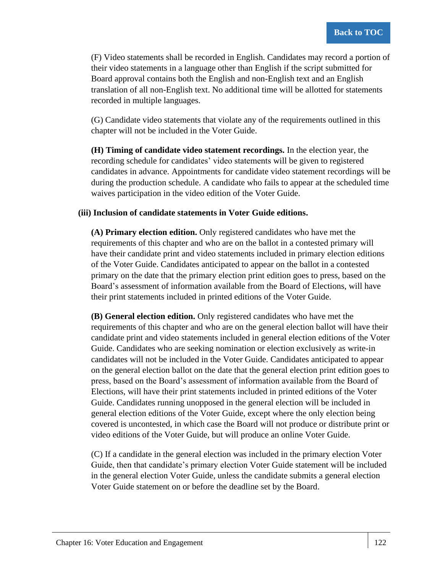(F) Video statements shall be recorded in English. Candidates may record a portion of their video statements in a language other than English if the script submitted for Board approval contains both the English and non-English text and an English translation of all non-English text. No additional time will be allotted for statements recorded in multiple languages.

(G) Candidate video statements that violate any of the requirements outlined in this chapter will not be included in the Voter Guide.

**(H) Timing of candidate video statement recordings.** In the election year, the recording schedule for candidates' video statements will be given to registered candidates in advance. Appointments for candidate video statement recordings will be during the production schedule. A candidate who fails to appear at the scheduled time waives participation in the video edition of the Voter Guide.

### **(iii) Inclusion of candidate statements in Voter Guide editions.**

**(A) Primary election edition.** Only registered candidates who have met the requirements of this chapter and who are on the ballot in a contested primary will have their candidate print and video statements included in primary election editions of the Voter Guide. Candidates anticipated to appear on the ballot in a contested primary on the date that the primary election print edition goes to press, based on the Board's assessment of information available from the Board of Elections, will have their print statements included in printed editions of the Voter Guide.

**(B) General election edition.** Only registered candidates who have met the requirements of this chapter and who are on the general election ballot will have their candidate print and video statements included in general election editions of the Voter Guide. Candidates who are seeking nomination or election exclusively as write-in candidates will not be included in the Voter Guide. Candidates anticipated to appear on the general election ballot on the date that the general election print edition goes to press, based on the Board's assessment of information available from the Board of Elections, will have their print statements included in printed editions of the Voter Guide. Candidates running unopposed in the general election will be included in general election editions of the Voter Guide, except where the only election being covered is uncontested, in which case the Board will not produce or distribute print or video editions of the Voter Guide, but will produce an online Voter Guide.

(C) If a candidate in the general election was included in the primary election Voter Guide, then that candidate's primary election Voter Guide statement will be included in the general election Voter Guide, unless the candidate submits a general election Voter Guide statement on or before the deadline set by the Board.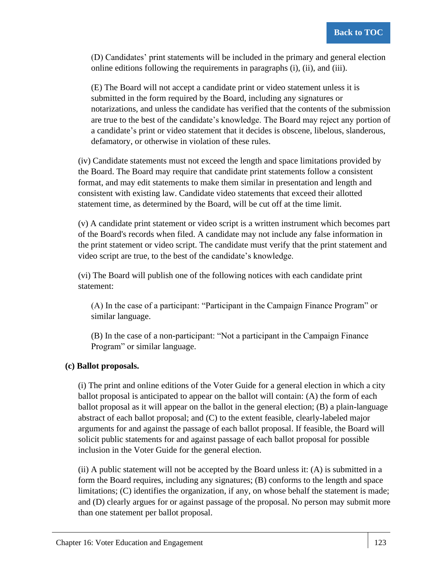(D) Candidates' print statements will be included in the primary and general election online editions following the requirements in paragraphs (i), (ii), and (iii).

(E) The Board will not accept a candidate print or video statement unless it is submitted in the form required by the Board, including any signatures or notarizations, and unless the candidate has verified that the contents of the submission are true to the best of the candidate's knowledge. The Board may reject any portion of a candidate's print or video statement that it decides is obscene, libelous, slanderous, defamatory, or otherwise in violation of these rules.

(iv) Candidate statements must not exceed the length and space limitations provided by the Board. The Board may require that candidate print statements follow a consistent format, and may edit statements to make them similar in presentation and length and consistent with existing law. Candidate video statements that exceed their allotted statement time, as determined by the Board, will be cut off at the time limit.

(v) A candidate print statement or video script is a written instrument which becomes part of the Board's records when filed. A candidate may not include any false information in the print statement or video script. The candidate must verify that the print statement and video script are true, to the best of the candidate's knowledge.

(vi) The Board will publish one of the following notices with each candidate print statement:

(A) In the case of a participant: "Participant in the Campaign Finance Program" or similar language.

(B) In the case of a non-participant: "Not a participant in the Campaign Finance Program" or similar language.

### **(c) Ballot proposals.**

(i) The print and online editions of the Voter Guide for a general election in which a city ballot proposal is anticipated to appear on the ballot will contain: (A) the form of each ballot proposal as it will appear on the ballot in the general election; (B) a plain-language abstract of each ballot proposal; and (C) to the extent feasible, clearly-labeled major arguments for and against the passage of each ballot proposal. If feasible, the Board will solicit public statements for and against passage of each ballot proposal for possible inclusion in the Voter Guide for the general election.

 $(ii)$  A public statement will not be accepted by the Board unless it:  $(A)$  is submitted in a form the Board requires, including any signatures; (B) conforms to the length and space limitations; (C) identifies the organization, if any, on whose behalf the statement is made; and (D) clearly argues for or against passage of the proposal. No person may submit more than one statement per ballot proposal.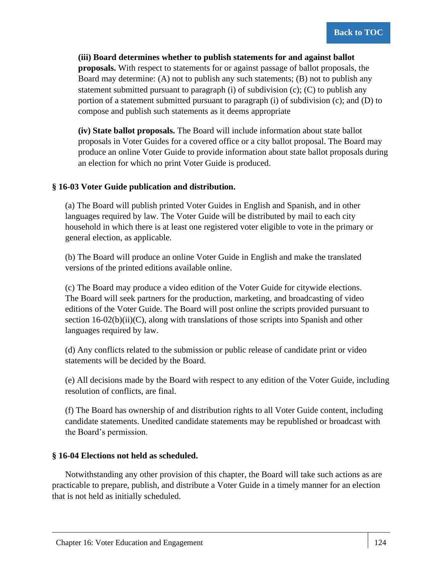#### **(iii) Board determines whether to publish statements for and against ballot**

**proposals.** With respect to statements for or against passage of ballot proposals, the Board may determine: (A) not to publish any such statements; (B) not to publish any statement submitted pursuant to paragraph (i) of subdivision (c); (C) to publish any portion of a statement submitted pursuant to paragraph (i) of subdivision (c); and (D) to compose and publish such statements as it deems appropriate

**(iv) State ballot proposals.** The Board will include information about state ballot proposals in Voter Guides for a covered office or a city ballot proposal. The Board may produce an online Voter Guide to provide information about state ballot proposals during an election for which no print Voter Guide is produced.

### **§ 16-03 Voter Guide publication and distribution.**

(a) The Board will publish printed Voter Guides in English and Spanish, and in other languages required by law. The Voter Guide will be distributed by mail to each city household in which there is at least one registered voter eligible to vote in the primary or general election, as applicable.

(b) The Board will produce an online Voter Guide in English and make the translated versions of the printed editions available online.

(c) The Board may produce a video edition of the Voter Guide for citywide elections. The Board will seek partners for the production, marketing, and broadcasting of video editions of the Voter Guide. The Board will post online the scripts provided pursuant to section  $16-02(b)(ii)(C)$ , along with translations of those scripts into Spanish and other languages required by law.

(d) Any conflicts related to the submission or public release of candidate print or video statements will be decided by the Board.

(e) All decisions made by the Board with respect to any edition of the Voter Guide, including resolution of conflicts, are final.

(f) The Board has ownership of and distribution rights to all Voter Guide content, including candidate statements. Unedited candidate statements may be republished or broadcast with the Board's permission.

### **§ 16-04 Elections not held as scheduled.**

Notwithstanding any other provision of this chapter, the Board will take such actions as are practicable to prepare, publish, and distribute a Voter Guide in a timely manner for an election that is not held as initially scheduled.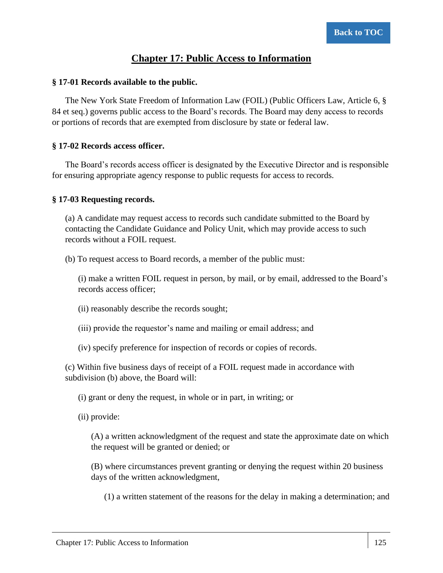## **Chapter 17: Public Access to Information**

### **§ 17-01 Records available to the public.**

The New York State Freedom of Information Law (FOIL) (Public Officers Law, Article 6, § 84 et seq.) governs public access to the Board's records. The Board may deny access to records or portions of records that are exempted from disclosure by state or federal law.

### **§ 17-02 Records access officer.**

The Board's records access officer is designated by the Executive Director and is responsible for ensuring appropriate agency response to public requests for access to records.

### **§ 17-03 Requesting records.**

(a) A candidate may request access to records such candidate submitted to the Board by contacting the Candidate Guidance and Policy Unit, which may provide access to such records without a FOIL request.

(b) To request access to Board records, a member of the public must:

(i) make a written FOIL request in person, by mail, or by email, addressed to the Board's records access officer;

(ii) reasonably describe the records sought;

(iii) provide the requestor's name and mailing or email address; and

(iv) specify preference for inspection of records or copies of records.

(c) Within five business days of receipt of a FOIL request made in accordance with subdivision (b) above, the Board will:

(i) grant or deny the request, in whole or in part, in writing; or

(ii) provide:

(A) a written acknowledgment of the request and state the approximate date on which the request will be granted or denied; or

(B) where circumstances prevent granting or denying the request within 20 business days of the written acknowledgment,

(1) a written statement of the reasons for the delay in making a determination; and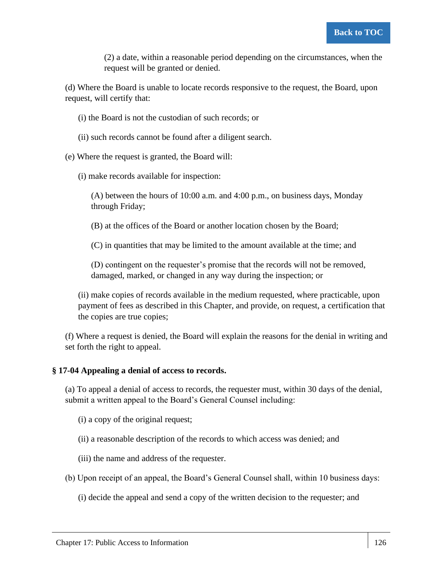(2) a date, within a reasonable period depending on the circumstances, when the request will be granted or denied.

(d) Where the Board is unable to locate records responsive to the request, the Board, upon request, will certify that:

- (i) the Board is not the custodian of such records; or
- (ii) such records cannot be found after a diligent search.
- (e) Where the request is granted, the Board will:
	- (i) make records available for inspection:

(A) between the hours of 10:00 a.m. and 4:00 p.m., on business days, Monday through Friday;

(B) at the offices of the Board or another location chosen by the Board;

(C) in quantities that may be limited to the amount available at the time; and

(D) contingent on the requester's promise that the records will not be removed, damaged, marked, or changed in any way during the inspection; or

(ii) make copies of records available in the medium requested, where practicable, upon payment of fees as described in this Chapter, and provide, on request, a certification that the copies are true copies;

(f) Where a request is denied, the Board will explain the reasons for the denial in writing and set forth the right to appeal.

#### **§ 17-04 Appealing a denial of access to records.**

(a) To appeal a denial of access to records, the requester must, within 30 days of the denial, submit a written appeal to the Board's General Counsel including:

(i) a copy of the original request;

(ii) a reasonable description of the records to which access was denied; and

(iii) the name and address of the requester.

(b) Upon receipt of an appeal, the Board's General Counsel shall, within 10 business days:

(i) decide the appeal and send a copy of the written decision to the requester; and